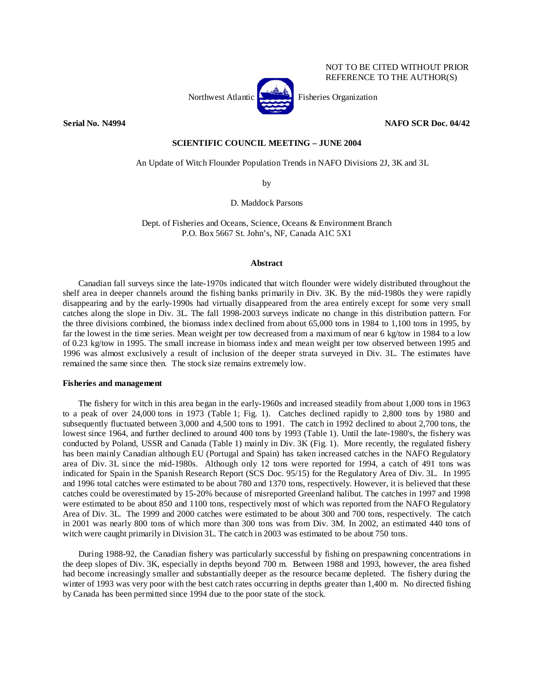

NOT TO BE CITED WITHOUT PRIOR REFERENCE TO THE AUTHOR(S)

**Serial No. N4994 NAFO SCR Doc. 04/42** 

# **SCIENTIFIC COUNCIL MEETING – JUNE 2004**

An Update of Witch Flounder Population Trends in NAFO Divisions 2J, 3K and 3L

by

D. Maddock Parsons

Dept. of Fisheries and Oceans, Science, Oceans & Environment Branch P.O. Box 5667 St. John's, NF, Canada A1C 5X1

# **Abstract**

Canadian fall surveys since the late-1970s indicated that witch flounder were widely distributed throughout the shelf area in deeper channels around the fishing banks primarily in Div. 3K. By the mid-1980s they were rapidly disappearing and by the early-1990s had virtually disappeared from the area entirely except for some very small catches along the slope in Div. 3L. The fall 1998-2003 surveys indicate no change in this distribution pattern. For the three divisions combined, the biomass index declined from about 65,000 tons in 1984 to 1,100 tons in 1995, by far the lowest in the time series. Mean weight per tow decreased from a maximum of near 6 kg/tow in 1984 to a low of 0.23 kg/tow in 1995. The small increase in biomass index and mean weight per tow observed between 1995 and 1996 was almost exclusively a result of inclusion of the deeper strata surveyed in Div. 3L. The estimates have remained the same since then. The stock size remains extremely low.

## **Fisheries and management**

 The fishery for witch in this area began in the early-1960s and increased steadily from about 1,000 tons in 1963 to a peak of over 24,000 tons in 1973 (Table 1; Fig. 1). Catches declined rapidly to 2,800 tons by 1980 and subsequently fluctuated between 3,000 and 4,500 tons to 1991. The catch in 1992 declined to about 2,700 tons, the lowest since 1964, and further declined to around 400 tons by 1993 (Table 1). Until the late-1980's, the fishery was conducted by Poland, USSR and Canada (Table 1) mainly in Div. 3K (Fig. 1). More recently, the regulated fishery has been mainly Canadian although EU (Portugal and Spain) has taken increased catches in the NAFO Regulatory area of Div. 3L since the mid-1980s. Although only 12 tons were reported for 1994, a catch of 491 tons was indicated for Spain in the Spanish Research Report (SCS Doc. 95/15) for the Regulatory Area of Div. 3L. In 1995 and 1996 total catches were estimated to be about 780 and 1370 tons, respectively. However, it is believed that these catches could be overestimated by 15-20% because of misreported Greenland halibut. The catches in 1997 and 1998 were estimated to be about 850 and 1100 tons, respectively most of which was reported from the NAFO Regulatory Area of Div. 3L. The 1999 and 2000 catches were estimated to be about 300 and 700 tons, respectively. The catch in 2001 was nearly 800 tons of which more than 300 tons was from Div. 3M. In 2002, an estimated 440 tons of witch were caught primarily in Division 3L. The catch in 2003 was estimated to be about 750 tons.

 During 1988-92, the Canadian fishery was particularly successful by fishing on prespawning concentrations in the deep slopes of Div. 3K, especially in depths beyond 700 m. Between 1988 and 1993, however, the area fished had become increasingly smaller and substantially deeper as the resource became depleted. The fishery during the winter of 1993 was very poor with the best catch rates occurring in depths greater than 1,400 m. No directed fishing by Canada has been permitted since 1994 due to the poor state of the stock.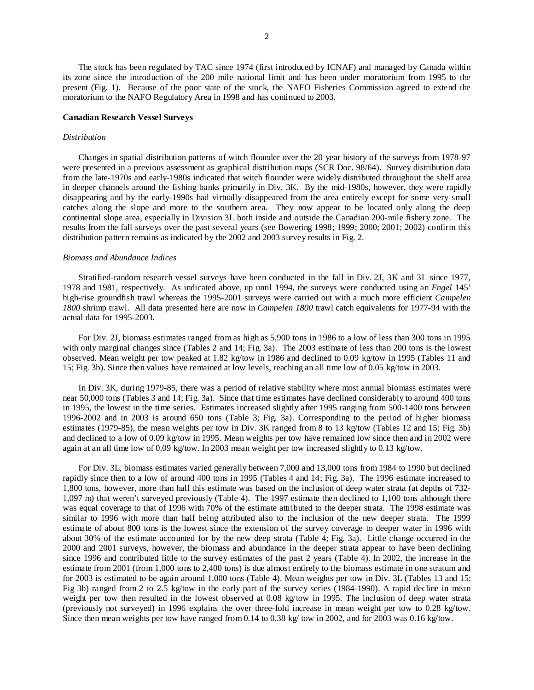The stock has been regulated by TAC since 1974 (first introduced by ICNAF) and managed by Canada within its zone since the introduction of the 200 mile national limit and has been under moratorium from 1995 to the present (Fig. 1). Because of the poor state of the stock, the NAFO Fisheries Commission agreed to extend the moratorium to the NAFO Regulatory Area in 1998 and has continued to 2003.

### **Canadian Research Vessel Surveys**

### *Distribution*

Changes in spatial distribution patterns of witch flounder over the 20 year history of the surveys from 1978-97 were presented in a previous assessment as graphical distribution maps (SCR Doc. 98/64). Survey distribution data from the late-1970s and early-1980s indicated that witch flounder were widely distributed throughout the shelf area in deeper channels around the fishing banks primarily in Div. 3K. By the mid-1980s, however, they were rapidly disappearing and by the early-1990s had virtually disappeared from the area entirely except for some very small catches along the slope and more to the southern area. They now appear to be located only along the deep continental slope area, especially in Division 3L both inside and outside the Canadian 200-mile fishery zone. The results from the fall surveys over the past several years (see Bowering 1998; 1999; 2000; 2001; 2002) confirm this distribution pattern remains as indicated by the 2002 and 2003 survey results in Fig. 2.

### *Biomass and Abundance Indices*

 Stratified-random research vessel surveys have been conducted in the fall in Div. 2J, 3K and 3L since 1977, 1978 and 1981, respectively. As indicated above, up until 1994, the surveys were conducted using an *Engel* 145' high-rise groundfish trawl whereas the 1995-2001 surveys were carried out with a much more efficient *Campelen 1800* shrimp trawl. All data presented here are now in *Campelen 1800* trawl catch equivalents for 1977-94 with the actual data for 1995-2003.

For Div. 2J, biomass estimates ranged from as high as 5,900 tons in 1986 to a low of less than 300 tons in 1995 with only marginal changes since (Tables 2 and 14; Fig. 3a). The 2003 estimate of less than 200 tons is the lowest observed. Mean weight per tow peaked at 1.82 kg/tow in 1986 and declined to 0.09 kg/tow in 1995 (Tables 11 and 15; Fig. 3b). Since then values have remained at low levels, reaching an all time low of 0.05 kg/tow in 2003.

In Div. 3K, during 1979-85, there was a period of relative stability where most annual biomass estimates were near 50,000 tons (Tables 3 and 14; Fig. 3a). Since that time estimates have declined considerably to around 400 tons in 1995, the lowest in the time series. Estimates increased slightly after 1995 ranging from 500-1400 tons between 1996-2002 and in 2003 is around 650 tons (Table 3; Fig. 3a). Corresponding to the period of higher biomass estimates (1979-85), the mean weights per tow in Div. 3K ranged from 8 to 13 kg/tow (Tables 12 and 15; Fig. 3b) and declined to a low of 0.09 kg/tow in 1995. Mean weights per tow have remained low since then and in 2002 were again at an all time low of 0.09 kg/tow. In 2003 mean weight per tow increased slightly to 0.13 kg/tow.

For Div. 3L, biomass estimates varied generally between 7,000 and 13,000 tons from 1984 to 1990 but declined rapidly since then to a low of around 400 tons in 1995 (Tables 4 and 14; Fig. 3a). The 1996 estimate increased to 1,800 tons, however, more than half this estimate was based on the inclusion of deep water strata (at depths of 732- 1,097 m) that weren't surveyed previously (Table 4). The 1997 estimate then declined to 1,100 tons although there was equal coverage to that of 1996 with 70% of the estimate attributed to the deeper strata. The 1998 estimate was similar to 1996 with more than half being attributed also to the inclusion of the new deeper strata. The 1999 estimate of about 800 tons is the lowest since the extension of the survey coverage to deeper water in 1996 with about 30% of the estimate accounted for by the new deep strata (Table 4; Fig. 3a). Little change occurred in the 2000 and 2001 surveys, however, the biomass and abundance in the deeper strata appear to have been declining since 1996 and contributed little to the survey estimates of the past 2 years (Table 4). In 2002, the increase in the estimate from 2001 (from 1,000 tons to 2,400 tons) is due almost entirely to the biomass estimate in one stratum and for 2003 is estimated to be again around 1,000 tons (Table 4). Mean weights per tow in Div. 3L (Tables 13 and 15; Fig 3b) ranged from 2 to 2.5 kg/tow in the early part of the survey series (1984-1990). A rapid decline in mean weight per tow then resulted in the lowest observed at 0.08 kg/tow in 1995. The inclusion of deep water strata (previously not surveyed) in 1996 explains the over three-fold increase in mean weight per tow to 0.28 kg/tow. Since then mean weights per tow have ranged from 0.14 to 0.38 kg/ tow in 2002, and for 2003 was 0.16 kg/tow.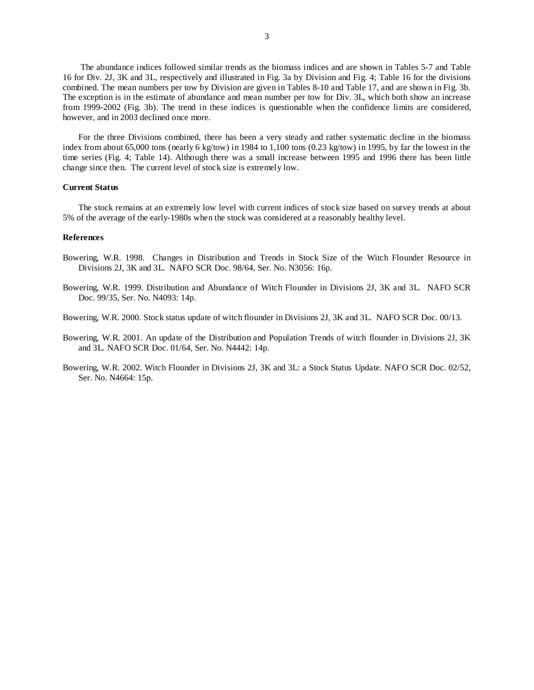The abundance indices followed similar trends as the biomass indices and are shown in Tables 5-7 and Table 16 for Div. 2J, 3K and 3L, respectively and illustrated in Fig. 3a by Division and Fig. 4; Table 16 for the divisions combined. The mean numbers per tow by Division are given in Tables 8-10 and Table 17, and are shown in Fig. 3b. The exception is in the estimate of abundance and mean number per tow for Div. 3L, which both show an increase from 1999-2002 (Fig. 3b). The trend in these indices is questionable when the confidence limits are considered, however, and in 2003 declined once more.

For the three Divisions combined, there has been a very steady and rather systematic decline in the biomass index from about 65,000 tons (nearly 6 kg/tow) in 1984 to 1,100 tons (0.23 kg/tow) in 1995, by far the lowest in the time series (Fig. 4; Table 14). Although there was a small increase between 1995 and 1996 there has been little change since then. The current level of stock size is extremely low.

### **Current Status**

The stock remains at an extremely low level with current indices of stock size based on survey trends at about 5% of the average of the early-1980s when the stock was considered at a reasonably healthy level.

#### **References**

- Bowering, W.R. 1998. Changes in Distribution and Trends in Stock Size of the Witch Flounder Resource in Divisions 2J, 3K and 3L. NAFO SCR Doc. 98/64, Ser. No. N3056: 16p.
- Bowering, W.R. 1999. Distribution and Abundance of Witch Flounder in Divisions 2J, 3K and 3L. NAFO SCR Doc. 99/35, Ser. No. N4093: 14p.
- Bowering, W.R. 2000. Stock status update of witch flounder in Divisions 2J, 3K and 3L. NAFO SCR Doc. 00/13.
- Bowering, W.R. 2001. An update of the Distribution and Population Trends of witch flounder in Divisions 2J, 3K and 3L. NAFO SCR Doc. 01/64, Ser. No. N4442: 14p.
- Bowering, W.R. 2002. Witch Flounder in Divisions 2J, 3K and 3L: a Stock Status Update. NAFO SCR Doc. 02/52, Ser. No. N4664: 15p.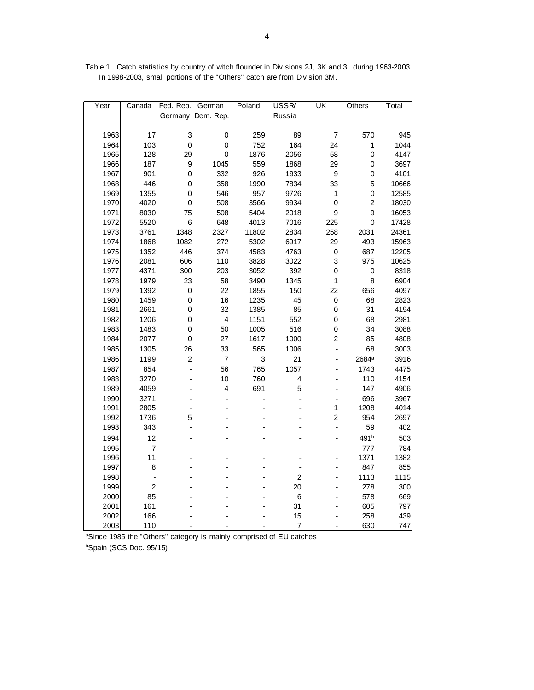| Year | Canada                   | Fed. Rep. German |                           | Poland | USSR/          | UK                       | Others            | Total |
|------|--------------------------|------------------|---------------------------|--------|----------------|--------------------------|-------------------|-------|
|      |                          |                  | Germany Dem. Rep.         |        | Russia         |                          |                   |       |
|      |                          |                  |                           |        |                |                          |                   |       |
| 1963 | $\overline{17}$          | $\overline{3}$   | $\overline{\mathfrak{o}}$ | 259    | 89             | 7                        | 570               | 945   |
| 1964 | 103                      | $\pmb{0}$        | $\mathbf 0$               | 752    | 164            | 24                       | $\mathbf{1}$      | 1044  |
| 1965 | 128                      | 29               | $\pmb{0}$                 | 1876   | 2056           | 58                       | $\pmb{0}$         | 4147  |
| 1966 | 187                      | 9                | 1045                      | 559    | 1868           | 29                       | $\pmb{0}$         | 3697  |
| 1967 | 901                      | 0                | 332                       | 926    | 1933           | $\mathbf 9$              | $\mathbf 0$       | 4101  |
| 1968 | 446                      | 0                | 358                       | 1990   | 7834           | 33                       | 5                 | 10666 |
| 1969 | 1355                     | $\mathbf 0$      | 546                       | 957    | 9726           | 1                        | $\mathbf 0$       | 12585 |
| 1970 | 4020                     | 0                | 508                       | 3566   | 9934           | $\mathbf 0$              | $\overline{c}$    | 18030 |
| 1971 | 8030                     | 75               | 508                       | 5404   | 2018           | 9                        | 9                 | 16053 |
| 1972 | 5520                     | 6                | 648                       | 4013   | 7016           | 225                      | $\mathsf 0$       | 17428 |
| 1973 | 3761                     | 1348             | 2327                      | 11802  | 2834           | 258                      | 2031              | 24361 |
| 1974 | 1868                     | 1082             | 272                       | 5302   | 6917           | 29                       | 493               | 15963 |
| 1975 | 1352                     | 446              | 374                       | 4583   | 4763           | $\mathbf 0$              | 687               | 12205 |
| 1976 | 2081                     | 606              | 110                       | 3828   | 3022           | 3                        | 975               | 10625 |
| 1977 | 4371                     | 300              | 203                       | 3052   | 392            | $\mathsf 0$              | $\pmb{0}$         | 8318  |
| 1978 | 1979                     | 23               | 58                        | 3490   | 1345           | 1                        | 8                 | 6904  |
| 1979 | 1392                     | $\pmb{0}$        | 22                        | 1855   | 150            | 22                       | 656               | 4097  |
| 1980 | 1459                     | $\mathbf 0$      | 16                        | 1235   | 45             | $\mathsf 0$              | 68                | 2823  |
| 1981 | 2661                     | 0                | 32                        | 1385   | 85             | 0                        | 31                | 4194  |
| 1982 | 1206                     | $\mathbf 0$      | $\overline{\mathbf{4}}$   | 1151   | 552            | $\mathbf 0$              | 68                | 2981  |
| 1983 | 1483                     | 0                | 50                        | 1005   | 516            | $\mathbf 0$              | 34                | 3088  |
| 1984 | 2077                     | $\pmb{0}$        | 27                        | 1617   | 1000           | $\overline{c}$           | 85                | 4808  |
| 1985 | 1305                     | 26               | 33                        | 565    | 1006           | $\blacksquare$           | 68                | 3003  |
| 1986 | 1199                     | $\overline{c}$   | $\overline{7}$            | 3      | 21             |                          | 2684 <sup>a</sup> | 3916  |
| 1987 | 854                      |                  | 56                        | 765    | 1057           |                          | 1743              | 4475  |
| 1988 | 3270                     |                  | 10                        | 760    | 4              |                          | 110               | 4154  |
| 1989 | 4059                     |                  | 4                         | 691    | 5              |                          | 147               | 4906  |
| 1990 | 3271                     |                  |                           |        | $\overline{a}$ | $\overline{\phantom{0}}$ | 696               | 3967  |
| 1991 | 2805                     |                  |                           |        |                | $\mathbf{1}$             | 1208              | 4014  |
| 1992 | 1736                     | 5                |                           |        |                | $\overline{2}$           | 954               | 2697  |
| 1993 | 343                      |                  |                           |        |                | $\overline{a}$           | 59                | 402   |
| 1994 | 12                       |                  |                           |        |                |                          | 491b              | 503   |
| 1995 | $\overline{7}$           |                  |                           |        |                |                          | 777               | 784   |
| 1996 | 11                       |                  |                           |        |                |                          | 1371              | 1382  |
| 1997 | 8                        |                  |                           |        | $\overline{a}$ |                          | 847               | 855   |
| 1998 | $\overline{\phantom{a}}$ |                  |                           |        | $\overline{c}$ |                          | 1113              | 1115  |
| 1999 | $\overline{c}$           |                  |                           |        | 20             |                          | 278               | 300   |
| 2000 | 85                       |                  |                           |        | $\,6$          |                          | 578               | 669   |
| 2001 | 161                      |                  |                           |        | 31             |                          | 605               | 797   |
| 2002 | 166                      |                  |                           |        | 15             |                          | 258               | 439   |
| 2003 | 110                      |                  |                           |        | $\overline{7}$ | ÷,                       | 630               | 747   |

Table 1. Catch statistics by country of witch flounder in Divisions 2J, 3K and 3L during 1963-2003. In 1998-2003, small portions of the "Others" catch are from Division 3M.

aSince 1985 the "Others" category is mainly comprised of EU catches

bSpain (SCS Doc. 95/15)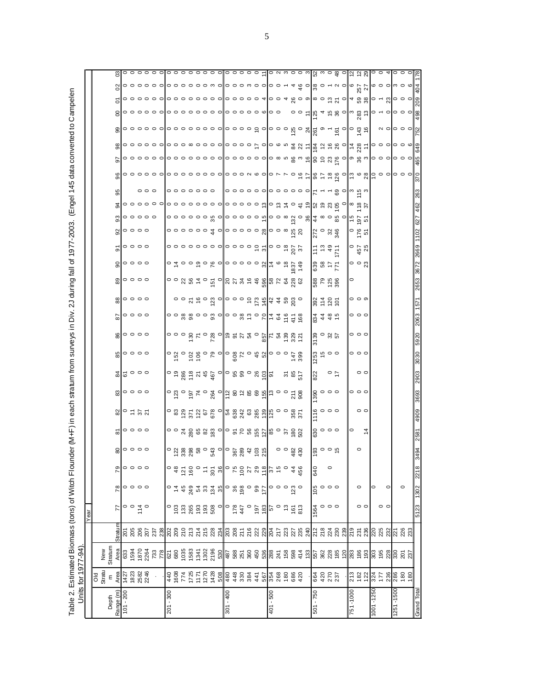Table 2. Estimated Biomass (tons) of Witch Flounder (M+F) in each stratum from surveys in Div. 2J during fall of 1977-2003. (Engel 145 data converted to Campelen Table 2. Estimated Biomass (tons) of Witch Flounder (M+F) in each stratum from surveys in Div. 2J during fall of 1977-2003. (Engel 145 data converted to Campelen

|                    | Units for 1977-94)                                                     |                                                                                                                                                                                                                                         |                         |                               |           |                |                                        |                                        |                                                                                                                                                                                                                                                                                                                          |                                      |                                                                                                                                                                                                                                                                                                                          |                 |                                                                                                       |                           |                                                       |                                                                                                                                                                                                                                                                                                                        |                                                                                                                                                                                                                                                             |                                           |                                                                                                                 |                                                                                                                             |                                                 |    |   |                                        |                                                                                                                                                           |                                                                                                      |  |
|--------------------|------------------------------------------------------------------------|-----------------------------------------------------------------------------------------------------------------------------------------------------------------------------------------------------------------------------------------|-------------------------|-------------------------------|-----------|----------------|----------------------------------------|----------------------------------------|--------------------------------------------------------------------------------------------------------------------------------------------------------------------------------------------------------------------------------------------------------------------------------------------------------------------------|--------------------------------------|--------------------------------------------------------------------------------------------------------------------------------------------------------------------------------------------------------------------------------------------------------------------------------------------------------------------------|-----------------|-------------------------------------------------------------------------------------------------------|---------------------------|-------------------------------------------------------|------------------------------------------------------------------------------------------------------------------------------------------------------------------------------------------------------------------------------------------------------------------------------------------------------------------------|-------------------------------------------------------------------------------------------------------------------------------------------------------------------------------------------------------------------------------------------------------------|-------------------------------------------|-----------------------------------------------------------------------------------------------------------------|-----------------------------------------------------------------------------------------------------------------------------|-------------------------------------------------|----|---|----------------------------------------|-----------------------------------------------------------------------------------------------------------------------------------------------------------|------------------------------------------------------------------------------------------------------|--|
|                    |                                                                        |                                                                                                                                                                                                                                         |                         | Year                          |           |                |                                        |                                        |                                                                                                                                                                                                                                                                                                                          |                                      |                                                                                                                                                                                                                                                                                                                          |                 |                                                                                                       |                           |                                                       |                                                                                                                                                                                                                                                                                                                        |                                                                                                                                                                                                                                                             |                                           |                                                                                                                 |                                                                                                                             |                                                 |    |   |                                        |                                                                                                                                                           |                                                                                                      |  |
|                    | Old<br>Stratu                                                          | New<br>Stratum                                                                                                                                                                                                                          |                         |                               |           |                |                                        |                                        |                                                                                                                                                                                                                                                                                                                          |                                      |                                                                                                                                                                                                                                                                                                                          |                 |                                                                                                       |                           |                                                       |                                                                                                                                                                                                                                                                                                                        |                                                                                                                                                                                                                                                             |                                           |                                                                                                                 |                                                                                                                             |                                                 |    |   |                                        |                                                                                                                                                           |                                                                                                      |  |
| Range (m)<br>Depth | $\mathsf E$                                                            | Area                                                                                                                                                                                                                                    | Straturr                | 77                            | 78        | 79             |                                        |                                        |                                                                                                                                                                                                                                                                                                                          |                                      |                                                                                                                                                                                                                                                                                                                          |                 |                                                                                                       | $\overline{8}$            |                                                       | 89                                                                                                                                                                                                                                                                                                                     | $\mathbf{S}$                                                                                                                                                                                                                                                | $\overline{5}$                            | ଖ                                                                                                               |                                                                                                                             | 95                                              | 96 | 5 | இ                                      | δ<br>8                                                                                                                                                    | ဒ                                                                                                    |  |
| $101 - 200$        | $\frac{\text{Area}}{1427}$<br>$\frac{127}{1823}$<br>$\frac{233}{2246}$ |                                                                                                                                                                                                                                         |                         |                               |           |                | $\frac{8}{20}$ $\circ$ $\circ$ $\circ$ | $\frac{1}{20}$ $\circ$ $\circ$ $\circ$ | ន $\circ$ = $\approx$ $\sim$                                                                                                                                                                                                                                                                                             | $\mathbb{C}$ $\circ$ $\circ$ $\circ$ | 2000                                                                                                                                                                                                                                                                                                                     | ပ္ဆုိ၀၀၀၀       | $\frac{6}{6}$ $\circ$ $\circ$ $\circ$                                                                 |                           | $\frac{30}{20}$ $\circ$ $\circ$ $\circ$               |                                                                                                                                                                                                                                                                                                                        |                                                                                                                                                                                                                                                             |                                           |                                                                                                                 |                                                                                                                             |                                                 |    |   |                                        |                                                                                                                                                           |                                                                                                      |  |
|                    |                                                                        | 633<br>1594<br>1870<br>284                                                                                                                                                                                                              | គនី ខ្លួន<br>ខ្លួន ខ្លួ | $\circ$ $\frac{1}{4}$ $\circ$ | 。。。。      | 。。。。           |                                        |                                        |                                                                                                                                                                                                                                                                                                                          |                                      |                                                                                                                                                                                                                                                                                                                          |                 |                                                                                                       | $\circ \circ \circ \circ$ |                                                       | $\circ\circ\circ\circ$                                                                                                                                                                                                                                                                                                 | $\circ \circ \circ \circ$                                                                                                                                                                                                                                   | $\circ \circ \circ \circ$                 | $\circ \circ \circ \circ$                                                                                       |                                                                                                                             |                                                 |    |   |                                        |                                                                                                                                                           |                                                                                                      |  |
|                    |                                                                        |                                                                                                                                                                                                                                         |                         |                               |           |                |                                        |                                        |                                                                                                                                                                                                                                                                                                                          |                                      |                                                                                                                                                                                                                                                                                                                          |                 |                                                                                                       |                           |                                                       |                                                                                                                                                                                                                                                                                                                        |                                                                                                                                                                                                                                                             |                                           |                                                                                                                 |                                                                                                                             |                                                 |    |   |                                        |                                                                                                                                                           |                                                                                                      |  |
|                    |                                                                        |                                                                                                                                                                                                                                         |                         |                               |           |                |                                        |                                        |                                                                                                                                                                                                                                                                                                                          |                                      |                                                                                                                                                                                                                                                                                                                          |                 |                                                                                                       |                           |                                                       |                                                                                                                                                                                                                                                                                                                        |                                                                                                                                                                                                                                                             |                                           |                                                                                                                 | $\circ \circ \circ \circ \circ$                                                                                             | $\circ \circ \circ$                             |    |   |                                        |                                                                                                                                                           |                                                                                                      |  |
|                    |                                                                        |                                                                                                                                                                                                                                         | 237                     |                               |           |                |                                        |                                        |                                                                                                                                                                                                                                                                                                                          |                                      |                                                                                                                                                                                                                                                                                                                          |                 |                                                                                                       |                           |                                                       |                                                                                                                                                                                                                                                                                                                        |                                                                                                                                                                                                                                                             |                                           |                                                                                                                 |                                                                                                                             |                                                 |    |   |                                        |                                                                                                                                                           |                                                                                                      |  |
|                    |                                                                        |                                                                                                                                                                                                                                         |                         |                               |           |                |                                        |                                        |                                                                                                                                                                                                                                                                                                                          |                                      |                                                                                                                                                                                                                                                                                                                          |                 |                                                                                                       |                           |                                                       |                                                                                                                                                                                                                                                                                                                        |                                                                                                                                                                                                                                                             |                                           |                                                                                                                 |                                                                                                                             |                                                 |    |   |                                        |                                                                                                                                                           |                                                                                                      |  |
| $201 - 300$        |                                                                        |                                                                                                                                                                                                                                         |                         |                               |           |                |                                        |                                        |                                                                                                                                                                                                                                                                                                                          |                                      |                                                                                                                                                                                                                                                                                                                          |                 |                                                                                                       |                           |                                                       |                                                                                                                                                                                                                                                                                                                        |                                                                                                                                                                                                                                                             |                                           |                                                                                                                 |                                                                                                                             |                                                 |    |   |                                        |                                                                                                                                                           |                                                                                                      |  |
|                    |                                                                        |                                                                                                                                                                                                                                         |                         |                               |           |                |                                        |                                        |                                                                                                                                                                                                                                                                                                                          |                                      |                                                                                                                                                                                                                                                                                                                          |                 |                                                                                                       |                           |                                                       |                                                                                                                                                                                                                                                                                                                        |                                                                                                                                                                                                                                                             |                                           |                                                                                                                 |                                                                                                                             | $  \circ \circ \circ \circ \circ \circ \circ  $ |    |   |                                        |                                                                                                                                                           |                                                                                                      |  |
|                    |                                                                        |                                                                                                                                                                                                                                         |                         |                               |           |                |                                        |                                        |                                                                                                                                                                                                                                                                                                                          |                                      |                                                                                                                                                                                                                                                                                                                          |                 |                                                                                                       |                           |                                                       |                                                                                                                                                                                                                                                                                                                        |                                                                                                                                                                                                                                                             |                                           |                                                                                                                 |                                                                                                                             |                                                 |    |   |                                        |                                                                                                                                                           |                                                                                                      |  |
|                    |                                                                        |                                                                                                                                                                                                                                         |                         |                               |           |                |                                        |                                        |                                                                                                                                                                                                                                                                                                                          |                                      |                                                                                                                                                                                                                                                                                                                          |                 |                                                                                                       |                           |                                                       |                                                                                                                                                                                                                                                                                                                        |                                                                                                                                                                                                                                                             |                                           |                                                                                                                 |                                                                                                                             |                                                 |    |   |                                        |                                                                                                                                                           |                                                                                                      |  |
|                    |                                                                        |                                                                                                                                                                                                                                         |                         |                               |           |                |                                        |                                        |                                                                                                                                                                                                                                                                                                                          |                                      |                                                                                                                                                                                                                                                                                                                          |                 |                                                                                                       |                           |                                                       |                                                                                                                                                                                                                                                                                                                        |                                                                                                                                                                                                                                                             |                                           |                                                                                                                 |                                                                                                                             |                                                 |    |   |                                        |                                                                                                                                                           |                                                                                                      |  |
|                    |                                                                        |                                                                                                                                                                                                                                         |                         |                               |           |                |                                        |                                        |                                                                                                                                                                                                                                                                                                                          |                                      |                                                                                                                                                                                                                                                                                                                          |                 |                                                                                                       |                           |                                                       |                                                                                                                                                                                                                                                                                                                        |                                                                                                                                                                                                                                                             |                                           |                                                                                                                 |                                                                                                                             |                                                 |    |   |                                        |                                                                                                                                                           |                                                                                                      |  |
|                    |                                                                        |                                                                                                                                                                                                                                         |                         |                               |           |                |                                        |                                        |                                                                                                                                                                                                                                                                                                                          |                                      |                                                                                                                                                                                                                                                                                                                          |                 |                                                                                                       |                           |                                                       |                                                                                                                                                                                                                                                                                                                        |                                                                                                                                                                                                                                                             |                                           |                                                                                                                 |                                                                                                                             |                                                 |    |   |                                        |                                                                                                                                                           |                                                                                                      |  |
|                    |                                                                        |                                                                                                                                                                                                                                         |                         |                               |           |                |                                        |                                        |                                                                                                                                                                                                                                                                                                                          |                                      |                                                                                                                                                                                                                                                                                                                          |                 |                                                                                                       |                           |                                                       |                                                                                                                                                                                                                                                                                                                        |                                                                                                                                                                                                                                                             |                                           |                                                                                                                 |                                                                                                                             |                                                 |    |   |                                        |                                                                                                                                                           |                                                                                                      |  |
| $301 - 400$        |                                                                        |                                                                                                                                                                                                                                         |                         |                               |           |                |                                        |                                        |                                                                                                                                                                                                                                                                                                                          |                                      |                                                                                                                                                                                                                                                                                                                          |                 |                                                                                                       |                           |                                                       |                                                                                                                                                                                                                                                                                                                        |                                                                                                                                                                                                                                                             |                                           |                                                                                                                 |                                                                                                                             |                                                 |    |   |                                        |                                                                                                                                                           |                                                                                                      |  |
|                    |                                                                        |                                                                                                                                                                                                                                         |                         |                               |           |                |                                        |                                        |                                                                                                                                                                                                                                                                                                                          |                                      |                                                                                                                                                                                                                                                                                                                          |                 |                                                                                                       |                           |                                                       |                                                                                                                                                                                                                                                                                                                        |                                                                                                                                                                                                                                                             |                                           |                                                                                                                 |                                                                                                                             |                                                 |    |   |                                        |                                                                                                                                                           |                                                                                                      |  |
|                    |                                                                        |                                                                                                                                                                                                                                         |                         |                               |           |                |                                        |                                        |                                                                                                                                                                                                                                                                                                                          |                                      |                                                                                                                                                                                                                                                                                                                          |                 |                                                                                                       |                           |                                                       |                                                                                                                                                                                                                                                                                                                        |                                                                                                                                                                                                                                                             |                                           |                                                                                                                 |                                                                                                                             |                                                 |    |   |                                        |                                                                                                                                                           |                                                                                                      |  |
|                    |                                                                        |                                                                                                                                                                                                                                         |                         |                               |           |                |                                        |                                        |                                                                                                                                                                                                                                                                                                                          |                                      |                                                                                                                                                                                                                                                                                                                          |                 |                                                                                                       |                           |                                                       |                                                                                                                                                                                                                                                                                                                        |                                                                                                                                                                                                                                                             |                                           |                                                                                                                 |                                                                                                                             |                                                 |    |   |                                        |                                                                                                                                                           |                                                                                                      |  |
|                    |                                                                        |                                                                                                                                                                                                                                         |                         |                               |           |                |                                        |                                        |                                                                                                                                                                                                                                                                                                                          |                                      |                                                                                                                                                                                                                                                                                                                          |                 |                                                                                                       |                           |                                                       |                                                                                                                                                                                                                                                                                                                        |                                                                                                                                                                                                                                                             |                                           |                                                                                                                 |                                                                                                                             |                                                 |    |   |                                        |                                                                                                                                                           |                                                                                                      |  |
|                    |                                                                        |                                                                                                                                                                                                                                         |                         |                               |           |                |                                        |                                        |                                                                                                                                                                                                                                                                                                                          |                                      |                                                                                                                                                                                                                                                                                                                          |                 |                                                                                                       |                           |                                                       |                                                                                                                                                                                                                                                                                                                        |                                                                                                                                                                                                                                                             |                                           |                                                                                                                 |                                                                                                                             |                                                 |    |   |                                        |                                                                                                                                                           |                                                                                                      |  |
| 009 - 10           |                                                                        |                                                                                                                                                                                                                                         |                         |                               |           |                |                                        |                                        |                                                                                                                                                                                                                                                                                                                          |                                      |                                                                                                                                                                                                                                                                                                                          |                 |                                                                                                       |                           |                                                       |                                                                                                                                                                                                                                                                                                                        |                                                                                                                                                                                                                                                             |                                           |                                                                                                                 |                                                                                                                             |                                                 |    |   |                                        |                                                                                                                                                           |                                                                                                      |  |
|                    |                                                                        |                                                                                                                                                                                                                                         |                         |                               |           |                |                                        |                                        |                                                                                                                                                                                                                                                                                                                          |                                      |                                                                                                                                                                                                                                                                                                                          |                 |                                                                                                       |                           |                                                       |                                                                                                                                                                                                                                                                                                                        |                                                                                                                                                                                                                                                             |                                           |                                                                                                                 |                                                                                                                             |                                                 |    |   |                                        |                                                                                                                                                           |                                                                                                      |  |
|                    |                                                                        |                                                                                                                                                                                                                                         |                         |                               |           |                |                                        |                                        |                                                                                                                                                                                                                                                                                                                          |                                      |                                                                                                                                                                                                                                                                                                                          |                 |                                                                                                       |                           |                                                       |                                                                                                                                                                                                                                                                                                                        |                                                                                                                                                                                                                                                             |                                           |                                                                                                                 |                                                                                                                             |                                                 |    |   |                                        |                                                                                                                                                           |                                                                                                      |  |
|                    |                                                                        |                                                                                                                                                                                                                                         |                         |                               |           | $4\frac{4}{6}$ |                                        |                                        | $\sim$ $\frac{1}{2}$ $\frac{1}{2}$ $\frac{1}{2}$ $\frac{1}{2}$ $\frac{1}{2}$ $\frac{1}{2}$ $\frac{1}{2}$ $\frac{1}{2}$ $\frac{1}{2}$ $\frac{1}{2}$ $\frac{1}{2}$ $\frac{1}{2}$ $\frac{1}{2}$ $\frac{1}{2}$ $\frac{1}{2}$ $\frac{1}{2}$ $\frac{1}{2}$ $\frac{1}{2}$ $\frac{1}{2}$ $\frac{1}{2}$ $\frac{1}{2}$ $\frac{1}{$ |                                      | $\sim$ $\frac{1}{2}$ $\frac{1}{2}$ $\frac{1}{2}$ $\frac{1}{2}$ $\frac{1}{2}$ $\frac{1}{2}$ $\frac{1}{2}$ $\frac{1}{2}$ $\frac{1}{2}$ $\frac{1}{2}$ $\frac{1}{2}$ $\frac{1}{2}$ $\frac{1}{2}$ $\frac{1}{2}$ $\frac{1}{2}$ $\frac{1}{2}$ $\frac{1}{2}$ $\frac{1}{2}$ $\frac{1}{2}$ $\frac{1}{2}$ $\frac{1}{2}$ $\frac{1}{$ |                 |                                                                                                       |                           | <u>៰៰៴៝៰៰៴៑៰</u> ៙៰៰៰ៜ៵៑៓ <del>ឨ</del> ៓៓៓៓៓៓៓៓៓៓៓៓៓៰ | $\circ$ $\circ$ $\%$ $\frac{1}{2}$ $\circ$ $\frac{1}{2}$ $\circ$ $\frac{1}{2}$ $\circ$ $\frac{1}{2}$ $\frac{1}{2}$ $\frac{1}{2}$ $\frac{1}{2}$ $\frac{1}{2}$ $\frac{1}{2}$ $\frac{1}{2}$ $\frac{1}{2}$ $\frac{1}{2}$ $\frac{1}{2}$ $\frac{1}{2}$ $\frac{1}{2}$ $\frac{1}{2}$ $\frac{1}{2}$ $\frac{1}{2}$ $\frac{1}{2}$ | $\Bigg  \circ \tilde{A} \circ \circ \tilde{\phi} \circ \tilde{K} \circ \Bigg _{\mathcal{O}} \circ \circ \circ \circ \circ \otimes \Bigg _{\tilde{A}} \circ \tilde{\phi} \stackrel{\overline{\sigma}}{\sim} \tilde{\phi} \stackrel{\overline{\sigma}}{\sim}$ | $\sim$                                    |                                                                                                                 |                                                                                                                             |                                                 |    |   |                                        |                                                                                                                                                           |                                                                                                      |  |
|                    |                                                                        |                                                                                                                                                                                                                                         |                         |                               |           |                |                                        |                                        |                                                                                                                                                                                                                                                                                                                          |                                      |                                                                                                                                                                                                                                                                                                                          |                 |                                                                                                       |                           |                                                       |                                                                                                                                                                                                                                                                                                                        |                                                                                                                                                                                                                                                             |                                           |                                                                                                                 |                                                                                                                             |                                                 |    |   |                                        |                                                                                                                                                           |                                                                                                      |  |
|                    |                                                                        |                                                                                                                                                                                                                                         |                         |                               |           |                |                                        |                                        |                                                                                                                                                                                                                                                                                                                          |                                      |                                                                                                                                                                                                                                                                                                                          |                 |                                                                                                       |                           |                                                       |                                                                                                                                                                                                                                                                                                                        |                                                                                                                                                                                                                                                             |                                           |                                                                                                                 |                                                                                                                             |                                                 |    |   |                                        |                                                                                                                                                           |                                                                                                      |  |
| $501 - 750$        | 84257                                                                  |                                                                                                                                                                                                                                         |                         | 1564                          |           | 640            | အ္လ္က ၀ ဗ္                             | )<br>မွ ၀ ၀ ၀                          | $\frac{6}{5}$ $\circ$ $\circ$                                                                                                                                                                                                                                                                                            | ္က ၀ ၀ ၀<br>က                        | 822                                                                                                                                                                                                                                                                                                                      | $\frac{25}{25}$ | 21<br>0<br>8<br>8<br>8<br>2<br>1<br>2<br>2<br>2<br>2<br>2<br>2<br>2<br>2<br>2<br>2<br>2<br>2<br>2<br> | $\frac{83}{4}$ 4 4 5      | 325                                                   | <b>ြို့</b> ၁ နာ နာ                                                                                                                                                                                                                                                                                                    | 34850                                                                                                                                                                                                                                                       | $779$<br>$799$<br>$77$                    | $\frac{1}{2}$ $\frac{1}{2}$ $\frac{1}{2}$ $\frac{1}{2}$ $\frac{1}{2}$ $\frac{1}{2}$ $\frac{1}{2}$ $\frac{1}{2}$ |                                                                                                                             |                                                 |    |   |                                        |                                                                                                                                                           |                                                                                                      |  |
|                    |                                                                        |                                                                                                                                                                                                                                         |                         | $\circ \circ \circ$           | ဗ္ဇီ<br>ဗ |                |                                        |                                        |                                                                                                                                                                                                                                                                                                                          |                                      |                                                                                                                                                                                                                                                                                                                          |                 |                                                                                                       |                           |                                                       |                                                                                                                                                                                                                                                                                                                        |                                                                                                                                                                                                                                                             |                                           |                                                                                                                 |                                                                                                                             |                                                 |    |   |                                        |                                                                                                                                                           |                                                                                                      |  |
|                    |                                                                        |                                                                                                                                                                                                                                         |                         |                               |           | $\circ$        |                                        |                                        |                                                                                                                                                                                                                                                                                                                          |                                      | $\frac{1}{2}$ o                                                                                                                                                                                                                                                                                                          |                 |                                                                                                       |                           |                                                       |                                                                                                                                                                                                                                                                                                                        |                                                                                                                                                                                                                                                             |                                           |                                                                                                                 |                                                                                                                             |                                                 |    |   |                                        |                                                                                                                                                           |                                                                                                      |  |
|                    |                                                                        |                                                                                                                                                                                                                                         | 28488                   |                               |           |                |                                        |                                        |                                                                                                                                                                                                                                                                                                                          |                                      |                                                                                                                                                                                                                                                                                                                          |                 |                                                                                                       |                           |                                                       |                                                                                                                                                                                                                                                                                                                        |                                                                                                                                                                                                                                                             |                                           |                                                                                                                 |                                                                                                                             |                                                 |    |   |                                        |                                                                                                                                                           |                                                                                                      |  |
|                    |                                                                        |                                                                                                                                                                                                                                         |                         |                               |           |                |                                        |                                        |                                                                                                                                                                                                                                                                                                                          |                                      |                                                                                                                                                                                                                                                                                                                          |                 |                                                                                                       |                           |                                                       |                                                                                                                                                                                                                                                                                                                        |                                                                                                                                                                                                                                                             |                                           |                                                                                                                 |                                                                                                                             |                                                 |    |   |                                        |                                                                                                                                                           |                                                                                                      |  |
| 751-1000           |                                                                        |                                                                                                                                                                                                                                         |                         |                               |           |                |                                        | $\circ$                                |                                                                                                                                                                                                                                                                                                                          |                                      |                                                                                                                                                                                                                                                                                                                          |                 |                                                                                                       |                           |                                                       | $\circ$                                                                                                                                                                                                                                                                                                                |                                                                                                                                                                                                                                                             |                                           |                                                                                                                 |                                                                                                                             |                                                 |    |   |                                        |                                                                                                                                                           |                                                                                                      |  |
|                    | 213<br>182<br>122                                                      | <u>ិដ្ឋ ក្នុង ក្នុង ក្នុង ក្នុង ក្នុង ក្នុង ក្នុង ក្នុង ក្នុង ក្នុង ក្នុង ក្នុង ក្នុង ក្នុង ក្នុង ក្នុង ក្នុង ក្ន<br/>ដែលថា ក្នុង ក្នុង ក្នុង ក្នុង ក្នុង ក្នុង ក្នុង ក្នុង ក្នុង ក្នុង ក្នុង ក្នុង ក្នុង ក្នុង ក្នុង ក្នុង ក្នុង ក</u> | 219<br>23<br>236        | $\circ$ $\circ$               | $\circ$   |                | $\circ$                                | $\dot{4}$                              | $\circ$ $\circ$                                                                                                                                                                                                                                                                                                          | $\circ \circ \circ$                  | $\circ$ $\circ$                                                                                                                                                                                                                                                                                                          | 。。。             | 。。。                                                                                                   | 。。。                       | ၀ ၀ ၈                                                 |                                                                                                                                                                                                                                                                                                                        | $  \circ \circ \mathrm{g}  $                                                                                                                                                                                                                                | $\frac{1}{9}$ $\frac{5}{9}$ $\frac{5}{9}$ | ុក្ខ                                                                                                            | ㅇㅇㅇㅇㅇㅇㅇㅇㅇㅇㅇㅇㅇㅇㅇㅇㅇ <u>ㅇ</u> ㅇㅇㅎㅇㅎ 이 e s e s e s e s e o s e o s e s e<br>၀၀၀၀၀၀ ထိ ဝ ၀၀၀၀ ဂ် ၀၀ ∞ ၾဝ ၛွဲ 4 ∞ ဝ အိ ဝ ဂ် မီ ဗိ |                                                 |    |   |                                        | o o o o o o o o o o o o o o o o o o a lo o a xo o la o ci zi o la & xi lo ci si o o o la si<br>ooooooooooooooooooooooooooooocee aree sol saalo - olooolas | <u>o o o o o o o o o o o o o o o o o o a do u w o o u l<math>\alpha</math> w o o do o do o o la </u> |  |
| 1001-1250          |                                                                        |                                                                                                                                                                                                                                         | 220                     |                               | 0         |                |                                        |                                        |                                                                                                                                                                                                                                                                                                                          |                                      |                                                                                                                                                                                                                                                                                                                          |                 |                                                                                                       |                           |                                                       |                                                                                                                                                                                                                                                                                                                        |                                                                                                                                                                                                                                                             |                                           |                                                                                                                 |                                                                                                                             |                                                 |    |   |                                        |                                                                                                                                                           |                                                                                                      |  |
|                    | 324<br>177                                                             |                                                                                                                                                                                                                                         | 225                     |                               |           |                |                                        |                                        |                                                                                                                                                                                                                                                                                                                          |                                      |                                                                                                                                                                                                                                                                                                                          |                 |                                                                                                       |                           |                                                       |                                                                                                                                                                                                                                                                                                                        |                                                                                                                                                                                                                                                             |                                           |                                                                                                                 |                                                                                                                             |                                                 |    |   |                                        |                                                                                                                                                           |                                                                                                      |  |
|                    |                                                                        |                                                                                                                                                                                                                                         |                         | $\circ$ $\circ$               | $\circ$   |                |                                        |                                        |                                                                                                                                                                                                                                                                                                                          |                                      |                                                                                                                                                                                                                                                                                                                          |                 |                                                                                                       |                           |                                                       |                                                                                                                                                                                                                                                                                                                        |                                                                                                                                                                                                                                                             |                                           |                                                                                                                 |                                                                                                                             |                                                 |    |   |                                        |                                                                                                                                                           |                                                                                                      |  |
| 1251-1500          |                                                                        |                                                                                                                                                                                                                                         |                         |                               |           |                |                                        |                                        |                                                                                                                                                                                                                                                                                                                          |                                      |                                                                                                                                                                                                                                                                                                                          |                 |                                                                                                       |                           |                                                       |                                                                                                                                                                                                                                                                                                                        |                                                                                                                                                                                                                                                             |                                           |                                                                                                                 |                                                                                                                             |                                                 |    |   |                                        |                                                                                                                                                           |                                                                                                      |  |
|                    | $\frac{236}{286}$                                                      | ន្ត្រី នី នី នី នី នី នី                                                                                                                                                                                                                | <u>ន្លង</u> ខ្លួន       |                               | $\circ$   |                |                                        |                                        |                                                                                                                                                                                                                                                                                                                          |                                      |                                                                                                                                                                                                                                                                                                                          |                 |                                                                                                       |                           |                                                       |                                                                                                                                                                                                                                                                                                                        |                                                                                                                                                                                                                                                             |                                           |                                                                                                                 |                                                                                                                             |                                                 |    |   | $\sim$ $\circ$ $\circ$ $\frac{10}{10}$ |                                                                                                                                                           |                                                                                                      |  |
|                    |                                                                        |                                                                                                                                                                                                                                         |                         |                               |           |                |                                        |                                        |                                                                                                                                                                                                                                                                                                                          |                                      |                                                                                                                                                                                                                                                                                                                          |                 |                                                                                                       |                           |                                                       |                                                                                                                                                                                                                                                                                                                        |                                                                                                                                                                                                                                                             |                                           |                                                                                                                 |                                                                                                                             |                                                 |    |   |                                        |                                                                                                                                                           |                                                                                                      |  |
| Grand Tota         |                                                                        |                                                                                                                                                                                                                                         |                         | 5123                          | 1302      | 2218           | 3494                                   | 2581                                   | 4909                                                                                                                                                                                                                                                                                                                     | 3693                                 | 2903                                                                                                                                                                                                                                                                                                                     | 3030            | 5920                                                                                                  | 2063                      | 1571                                                  | 2653                                                                                                                                                                                                                                                                                                                   | 3672                                                                                                                                                                                                                                                        | 1102<br>2669                              | 627                                                                                                             | 462                                                                                                                         | 263                                             |    |   |                                        |                                                                                                                                                           |                                                                                                      |  |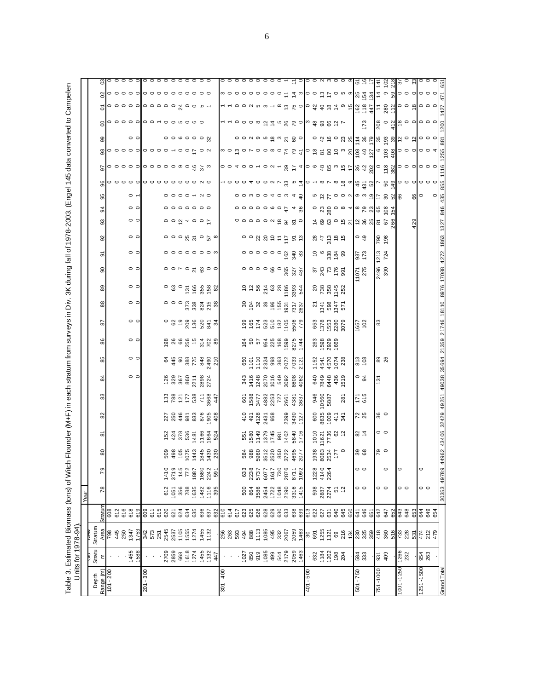Table 3. Estimated Biomass (tons) of Witch Flounder (M+F) in each stratum from surveys in Div. 3K during fall of 1978-2003. (Engel 145 data converted to Campelen<br>\_\_\_\_\_Units for 1978-94). Table 3. Estimated Biomass (tons) of Witch Flounder (M+F) in each stratum from surveys in Div. 3K during fall of 1978-2003. (Engel 145 data converted to Campelen Units for 1978-94).

|              |                                                                                            |                                  |                                          | Year                                     |                                                    |                                                                                                                                                                                                                                                                                                               |                                                |                                  |                                                       |                       |                                                        |                                                                                                                                                                                                                                                                                                                     |                                                  |                                                                                        |                                        |                 |                                                                     |                                                                                                                                                     |                                                                                          |                                                               |                                                                                            |                                                                             |                             |                                                       |                                                                                                                                                                                                                                                                                                                     |                                                                                             |                                                                                             |  |
|--------------|--------------------------------------------------------------------------------------------|----------------------------------|------------------------------------------|------------------------------------------|----------------------------------------------------|---------------------------------------------------------------------------------------------------------------------------------------------------------------------------------------------------------------------------------------------------------------------------------------------------------------|------------------------------------------------|----------------------------------|-------------------------------------------------------|-----------------------|--------------------------------------------------------|---------------------------------------------------------------------------------------------------------------------------------------------------------------------------------------------------------------------------------------------------------------------------------------------------------------------|--------------------------------------------------|----------------------------------------------------------------------------------------|----------------------------------------|-----------------|---------------------------------------------------------------------|-----------------------------------------------------------------------------------------------------------------------------------------------------|------------------------------------------------------------------------------------------|---------------------------------------------------------------|--------------------------------------------------------------------------------------------|-----------------------------------------------------------------------------|-----------------------------|-------------------------------------------------------|---------------------------------------------------------------------------------------------------------------------------------------------------------------------------------------------------------------------------------------------------------------------------------------------------------------------|---------------------------------------------------------------------------------------------|---------------------------------------------------------------------------------------------|--|
| <b>Depth</b> | Stratu                                                                                     | Stratum                          |                                          |                                          |                                                    |                                                                                                                                                                                                                                                                                                               |                                                |                                  |                                                       |                       |                                                        |                                                                                                                                                                                                                                                                                                                     |                                                  |                                                                                        |                                        |                 |                                                                     |                                                                                                                                                     |                                                                                          |                                                               |                                                                                            |                                                                             |                             |                                                       |                                                                                                                                                                                                                                                                                                                     |                                                                                             |                                                                                             |  |
| Range (m)    | ε                                                                                          | Area                             | Stratun                                  | $\overline{78}$                          | 79                                                 | 80                                                                                                                                                                                                                                                                                                            | ò                                              | 8                                | 83                                                    | $\overline{a}$        | 85                                                     | 86                                                                                                                                                                                                                                                                                                                  | 5                                                | 88                                                                                     | 89                                     | 8               | ō                                                                   | 3<br>92                                                                                                                                             | 34                                                                                       | 8                                                             | 8                                                                                          |                                                                             |                             | ၜၟ                                                    | 8                                                                                                                                                                                                                                                                                                                   | 8                                                                                           |                                                                                             |  |
| $101 - 200$  |                                                                                            | 798                              | 608<br>612<br>616                        |                                          |                                                    |                                                                                                                                                                                                                                                                                                               |                                                |                                  |                                                       |                       |                                                        |                                                                                                                                                                                                                                                                                                                     |                                                  |                                                                                        |                                        |                 |                                                                     |                                                                                                                                                     |                                                                                          |                                                               |                                                                                            |                                                                             |                             |                                                       |                                                                                                                                                                                                                                                                                                                     |                                                                                             |                                                                                             |  |
|              |                                                                                            | 445<br>250                       |                                          |                                          |                                                    |                                                                                                                                                                                                                                                                                                               |                                                |                                  |                                                       |                       |                                                        |                                                                                                                                                                                                                                                                                                                     |                                                  |                                                                                        |                                        |                 |                                                                     |                                                                                                                                                     |                                                                                          |                                                               |                                                                                            |                                                                             |                             |                                                       |                                                                                                                                                                                                                                                                                                                     |                                                                                             |                                                                                             |  |
|              |                                                                                            |                                  |                                          |                                          |                                                    |                                                                                                                                                                                                                                                                                                               |                                                |                                  |                                                       |                       |                                                        |                                                                                                                                                                                                                                                                                                                     |                                                  |                                                                                        |                                        |                 |                                                                     |                                                                                                                                                     |                                                                                          |                                                               |                                                                                            |                                                                             |                             |                                                       |                                                                                                                                                                                                                                                                                                                     |                                                                                             |                                                                                             |  |
|              | 1455<br>1588                                                                               |                                  | 618<br>619                               |                                          |                                                    |                                                                                                                                                                                                                                                                                                               |                                                |                                  |                                                       | $\circ$ $\circ$       | $\circ$ $\circ$                                        | $\circ$ $\circ$                                                                                                                                                                                                                                                                                                     | $\circ$ $\circ$                                  | $\circ$ $\circ$                                                                        | $\circ$ $\circ$                        | $\circ$ $\circ$ | $\circ$ $\circ$                                                     | $\circ$ $\circ$                                                                                                                                     | $\circ$ $\circ$<br>$\circ$ $\circ$                                                       |                                                               | ㅇㅇㅇㅇㅇ                                                                                      | ၀၀၀၀၀ <mark>၀၀၀၀၀၈၀မ္</mark> ဗ္က                                            | $\circ\circ\circ\circ\circ$ | $\circ$ $\circ$                                       |                                                                                                                                                                                                                                                                                                                     | $\circ \circ \circ \circ \circ \circ \circ \circ \circ \circ \circ \circ \circ$             |                                                                                             |  |
| $201 - 300$  |                                                                                            |                                  |                                          |                                          |                                                    |                                                                                                                                                                                                                                                                                                               |                                                |                                  |                                                       |                       |                                                        |                                                                                                                                                                                                                                                                                                                     |                                                  |                                                                                        |                                        |                 |                                                                     |                                                                                                                                                     |                                                                                          |                                                               |                                                                                            |                                                                             |                             |                                                       |                                                                                                                                                                                                                                                                                                                     |                                                                                             |                                                                                             |  |
|              |                                                                                            |                                  | 609<br>611                               |                                          |                                                    |                                                                                                                                                                                                                                                                                                               |                                                |                                  |                                                       |                       |                                                        |                                                                                                                                                                                                                                                                                                                     |                                                  |                                                                                        |                                        |                 |                                                                     |                                                                                                                                                     |                                                                                          |                                                               | $\begin{array}{c} \circ \circ \circ \circ \circ \circ \circ \circ \circ \circ \end{array}$ |                                                                             | $000000000$                 |                                                       |                                                                                                                                                                                                                                                                                                                     |                                                                                             | $\begin{array}{c} \circ \circ \circ \circ \circ \circ \circ \circ \circ \circ \end{array}$  |  |
|              |                                                                                            |                                  | 615<br>620                               |                                          |                                                    |                                                                                                                                                                                                                                                                                                               |                                                |                                  |                                                       |                       |                                                        |                                                                                                                                                                                                                                                                                                                     |                                                  |                                                                                        |                                        |                 |                                                                     |                                                                                                                                                     |                                                                                          |                                                               |                                                                                            |                                                                             |                             |                                                       |                                                                                                                                                                                                                                                                                                                     |                                                                                             |                                                                                             |  |
|              |                                                                                            |                                  |                                          |                                          | $\begin{array}{c} 1410 \\ 3719 \\ 145 \end{array}$ |                                                                                                                                                                                                                                                                                                               |                                                |                                  |                                                       |                       |                                                        |                                                                                                                                                                                                                                                                                                                     |                                                  |                                                                                        |                                        |                 |                                                                     |                                                                                                                                                     |                                                                                          |                                                               |                                                                                            |                                                                             |                             |                                                       |                                                                                                                                                                                                                                                                                                                     |                                                                                             |                                                                                             |  |
|              | 2709<br>2859<br>668                                                                        |                                  | 621                                      |                                          |                                                    |                                                                                                                                                                                                                                                                                                               |                                                |                                  |                                                       |                       |                                                        |                                                                                                                                                                                                                                                                                                                     |                                                  |                                                                                        |                                        |                 |                                                                     | $\circ$ $\circ$ $\stackrel{\circ}{\circ}$ $\stackrel{\circ}{\circ}$ $\stackrel{\circ}{\circ}$                                                       | $\circ \circ \circ \circ \circ \circ \circ$                                              | $\circ$ $\circ$ $\circ$ $\circ$                               |                                                                                            |                                                                             |                             | $\circ \circ \circ \circ \circ \circ \pi$             |                                                                                                                                                                                                                                                                                                                     |                                                                                             |                                                                                             |  |
|              |                                                                                            |                                  | 624                                      |                                          |                                                    |                                                                                                                                                                                                                                                                                                               |                                                |                                  |                                                       |                       |                                                        |                                                                                                                                                                                                                                                                                                                     |                                                  |                                                                                        |                                        |                 |                                                                     |                                                                                                                                                     |                                                                                          |                                                               |                                                                                            |                                                                             |                             |                                                       |                                                                                                                                                                                                                                                                                                                     |                                                                                             |                                                                                             |  |
|              | 1618                                                                                       |                                  | 634                                      |                                          | 772                                                |                                                                                                                                                                                                                                                                                                               |                                                |                                  |                                                       |                       |                                                        |                                                                                                                                                                                                                                                                                                                     |                                                  |                                                                                        |                                        |                 |                                                                     |                                                                                                                                                     |                                                                                          |                                                               |                                                                                            |                                                                             |                             |                                                       |                                                                                                                                                                                                                                                                                                                     |                                                                                             |                                                                                             |  |
|              |                                                                                            |                                  | 635                                      |                                          | 1887                                               |                                                                                                                                                                                                                                                                                                               |                                                |                                  |                                                       |                       |                                                        |                                                                                                                                                                                                                                                                                                                     |                                                  |                                                                                        |                                        |                 |                                                                     |                                                                                                                                                     |                                                                                          |                                                               |                                                                                            |                                                                             |                             |                                                       |                                                                                                                                                                                                                                                                                                                     |                                                                                             |                                                                                             |  |
|              | $1274$<br>$1455$<br>$1132$                                                                 |                                  | 637<br>637                               |                                          | 1680                                               |                                                                                                                                                                                                                                                                                                               |                                                |                                  |                                                       |                       |                                                        |                                                                                                                                                                                                                                                                                                                     |                                                  |                                                                                        |                                        |                 |                                                                     |                                                                                                                                                     |                                                                                          |                                                               |                                                                                            |                                                                             |                             |                                                       |                                                                                                                                                                                                                                                                                                                     |                                                                                             |                                                                                             |  |
|              |                                                                                            |                                  |                                          | 612<br>1956 88<br>1958 1959<br>1959 1959 | 2242                                               | $\begin{array}{c} 0.88 \\ 0.98 \\ 0.99 \\ 0.01 \\ 0.01 \\ 0.01 \\ 0.01 \\ 0.01 \\ 0.01 \\ 0.01 \\ 0.01 \\ 0.01 \\ 0.01 \\ 0.01 \\ 0.01 \\ 0.01 \\ 0.01 \\ 0.01 \\ 0.01 \\ 0.01 \\ 0.01 \\ 0.01 \\ 0.01 \\ 0.01 \\ 0.01 \\ 0.01 \\ 0.01 \\ 0.01 \\ 0.01 \\ 0.01 \\ 0.01 \\ 0.01 \\ 0.01 \\ 0.01 \\ 0.01 \\ 0.$ |                                                |                                  |                                                       |                       | $49887820$<br>$49887890$                               | $\frac{8}{2}$ $\frac{8}{2}$ $\frac{6}{2}$ $\frac{6}{2}$ $\frac{6}{2}$ $\frac{6}{2}$ $\frac{6}{2}$ $\frac{6}{2}$ $\frac{6}{2}$ $\frac{6}{2}$ $\frac{6}{2}$ $\frac{6}{2}$ $\frac{6}{2}$ $\frac{6}{2}$ $\frac{6}{2}$ $\frac{6}{2}$ $\frac{6}{2}$ $\frac{6}{2}$ $\frac{6}{2}$ $\frac{6}{2}$ $\frac{6}{2}$ $\frac{6}{2}$ |                                                  | $\circ$ $\circ$ $\circ$ $\cos \frac{\pi}{6}$ $\sin \frac{\pi}{6}$ $\sin \frac{\pi}{6}$ | <b>ះ</b> ខេត្តដូច ខ                    |                 | $\circ \circ \circ \circ \circ \circ \circ$                         | $\circ$ $\circ$ $\circ$ $\frac{1}{2}$ $\circ$ $\frac{1}{2}$ $\circ$ $\frac{1}{2}$ $\circ$ $\frac{1}{2}$ $\circ$ $\frac{1}{2}$ $\circ$ $\frac{1}{2}$ |                                                                                          |                                                               |                                                                                            |                                                                             |                             |                                                       |                                                                                                                                                                                                                                                                                                                     |                                                                                             |                                                                                             |  |
|              | 447                                                                                        |                                  | 632                                      |                                          | 591                                                |                                                                                                                                                                                                                                                                                                               |                                                |                                  |                                                       |                       |                                                        |                                                                                                                                                                                                                                                                                                                     |                                                  |                                                                                        |                                        |                 |                                                                     |                                                                                                                                                     |                                                                                          |                                                               |                                                                                            |                                                                             |                             |                                                       |                                                                                                                                                                                                                                                                                                                     |                                                                                             |                                                                                             |  |
| $301 - 400$  |                                                                                            |                                  |                                          |                                          |                                                    |                                                                                                                                                                                                                                                                                                               |                                                |                                  |                                                       |                       |                                                        |                                                                                                                                                                                                                                                                                                                     |                                                  |                                                                                        |                                        |                 |                                                                     |                                                                                                                                                     |                                                                                          |                                                               |                                                                                            |                                                                             |                             |                                                       |                                                                                                                                                                                                                                                                                                                     |                                                                                             |                                                                                             |  |
|              |                                                                                            |                                  | 614<br>614                               |                                          |                                                    |                                                                                                                                                                                                                                                                                                               |                                                |                                  |                                                       |                       |                                                        |                                                                                                                                                                                                                                                                                                                     |                                                  |                                                                                        |                                        |                 |                                                                     |                                                                                                                                                     |                                                                                          |                                                               |                                                                                            |                                                                             |                             |                                                       |                                                                                                                                                                                                                                                                                                                     |                                                                                             |                                                                                             |  |
|              |                                                                                            |                                  | 617<br>623<br>625                        |                                          |                                                    |                                                                                                                                                                                                                                                                                                               |                                                |                                  |                                                       |                       |                                                        |                                                                                                                                                                                                                                                                                                                     |                                                  |                                                                                        |                                        |                 |                                                                     |                                                                                                                                                     |                                                                                          |                                                               |                                                                                            |                                                                             |                             |                                                       |                                                                                                                                                                                                                                                                                                                     |                                                                                             |                                                                                             |  |
|              |                                                                                            |                                  |                                          |                                          | 633                                                |                                                                                                                                                                                                                                                                                                               |                                                |                                  |                                                       |                       |                                                        |                                                                                                                                                                                                                                                                                                                     |                                                  |                                                                                        |                                        |                 |                                                                     |                                                                                                                                                     |                                                                                          |                                                               |                                                                                            |                                                                             |                             |                                                       |                                                                                                                                                                                                                                                                                                                     |                                                                                             |                                                                                             |  |
|              |                                                                                            |                                  |                                          |                                          | 2238                                               |                                                                                                                                                                                                                                                                                                               |                                                |                                  |                                                       |                       |                                                        |                                                                                                                                                                                                                                                                                                                     |                                                  |                                                                                        |                                        |                 |                                                                     |                                                                                                                                                     |                                                                                          |                                                               |                                                                                            |                                                                             |                             |                                                       |                                                                                                                                                                                                                                                                                                                     |                                                                                             |                                                                                             |  |
|              |                                                                                            |                                  | 626                                      | $0.8884298$<br>$0.884298$<br>$0.7298$    | 5737                                               |                                                                                                                                                                                                                                                                                                               | 551<br>1980<br>592<br>593<br>593<br>593<br>593 | $758$<br>$758$<br>$758$<br>$758$ |                                                       |                       |                                                        |                                                                                                                                                                                                                                                                                                                     |                                                  |                                                                                        |                                        |                 |                                                                     |                                                                                                                                                     |                                                                                          |                                                               |                                                                                            |                                                                             |                             |                                                       |                                                                                                                                                                                                                                                                                                                     |                                                                                             |                                                                                             |  |
|              |                                                                                            |                                  | 628                                      |                                          | 6077<br>1617                                       |                                                                                                                                                                                                                                                                                                               |                                                |                                  |                                                       |                       |                                                        |                                                                                                                                                                                                                                                                                                                     |                                                  |                                                                                        |                                        |                 |                                                                     |                                                                                                                                                     |                                                                                          |                                                               |                                                                                            |                                                                             |                             |                                                       |                                                                                                                                                                                                                                                                                                                     |                                                                                             |                                                                                             |  |
|              |                                                                                            |                                  |                                          |                                          |                                                    |                                                                                                                                                                                                                                                                                                               |                                                |                                  |                                                       |                       |                                                        |                                                                                                                                                                                                                                                                                                                     |                                                  |                                                                                        |                                        |                 |                                                                     |                                                                                                                                                     |                                                                                          |                                                               |                                                                                            |                                                                             |                             |                                                       |                                                                                                                                                                                                                                                                                                                     |                                                                                             |                                                                                             |  |
|              |                                                                                            |                                  | 630                                      |                                          | 730                                                |                                                                                                                                                                                                                                                                                                               |                                                |                                  |                                                       |                       |                                                        |                                                                                                                                                                                                                                                                                                                     |                                                  |                                                                                        |                                        |                 |                                                                     |                                                                                                                                                     |                                                                                          |                                                               |                                                                                            |                                                                             |                             |                                                       |                                                                                                                                                                                                                                                                                                                     |                                                                                             |                                                                                             |  |
|              | $\begin{array}{r} 1027 \\ 850 \\ 979 \\ 1085 \\ 499 \\ 547 \\ 2159 \\ 2159 \\ \end{array}$ |                                  | 633                                      |                                          | 2876                                               |                                                                                                                                                                                                                                                                                                               |                                                |                                  |                                                       |                       |                                                        |                                                                                                                                                                                                                                                                                                                     |                                                  |                                                                                        |                                        |                 |                                                                     |                                                                                                                                                     |                                                                                          |                                                               |                                                                                            |                                                                             |                             |                                                       |                                                                                                                                                                                                                                                                                                                     |                                                                                             |                                                                                             |  |
|              |                                                                                            |                                  | 638                                      | 3316<br>1415                             | 8711                                               | 4695                                                                                                                                                                                                                                                                                                          | 1402<br>5840<br>1716                           | 2399<br>3430<br>1127             | 601<br>1582<br>1582<br>1583<br>1583<br>15837<br>15837 |                       | 650<br>1101 1110<br>232 3863<br>2072 1212<br>2073 3863 |                                                                                                                                                                                                                                                                                                                     | $19877328568$<br>$1532856$<br>$1732856$<br>$179$ |                                                                                        | $0.5888834$<br>$0.5888834$<br>$0.5834$ | 0000808278      | $\circ \circ \circ \circ \circ \circ \circ \circ \circ \circ \circ$ | 0000000000000                                                                                                                                       | 0.0000000748                                                                             | $\circ \circ \circ \circ \circ \circ \circ \circ \circ \circ$ | $-000400015807$                                                                            |                                                                             |                             | 0.000000000000000                                     |                                                                                                                                                                                                                                                                                                                     |                                                                                             |                                                                                             |  |
|              | 1463                                                                                       |                                  | 639                                      |                                          | 1092                                               | 2077                                                                                                                                                                                                                                                                                                          |                                                |                                  |                                                       |                       |                                                        |                                                                                                                                                                                                                                                                                                                     |                                                  |                                                                                        |                                        |                 |                                                                     |                                                                                                                                                     |                                                                                          |                                                               |                                                                                            |                                                                             |                             |                                                       |                                                                                                                                                                                                                                                                                                                     |                                                                                             |                                                                                             |  |
| 401 - 500    |                                                                                            | 891<br>691<br>1255<br>126<br>134 | 613<br>622<br>627                        | 598                                      | 1228                                               |                                                                                                                                                                                                                                                                                                               |                                                |                                  |                                                       | 640                   |                                                        |                                                                                                                                                                                                                                                                                                                     |                                                  |                                                                                        |                                        |                 |                                                                     |                                                                                                                                                     |                                                                                          |                                                               |                                                                                            |                                                                             |                             |                                                       | - - ㅇㅇㅇ ∞ 얻 ± ㅁ % ♡ ㅇ ㅇ ㅎ % % ♡ ㄴ                                                                                                                                                                                                                                                                                   |                                                                                             | $\circ \circ \circ \circ \circ \circ \circ \circ \cdot \cdot \cdot \circ \circ \circ \circ$ |  |
|              |                                                                                            |                                  |                                          |                                          |                                                    | 1938                                                                                                                                                                                                                                                                                                          | 1010                                           | 600                              |                                                       |                       |                                                        | 263<br>1598                                                                                                                                                                                                                                                                                                         |                                                  |                                                                                        |                                        |                 |                                                                     |                                                                                                                                                     |                                                                                          |                                                               |                                                                                            |                                                                             |                             |                                                       |                                                                                                                                                                                                                                                                                                                     |                                                                                             |                                                                                             |  |
|              | $632$<br>$750$<br>$750$<br>$80$<br>$750$                                                   |                                  |                                          | 2887<br>2274                             | 4140<br>2264                                       | 8083<br>2534<br>177<br>177                                                                                                                                                                                                                                                                                    | 11621                                          | 8635<br>1009                     | 946<br>10560<br>5887                                  | 7849<br>6448          | 1152<br>4541<br>4570<br>1074<br>238                    |                                                                                                                                                                                                                                                                                                                     | 658<br>1953<br>1979<br>1979                      | <u>s ä g ä e</u><br>2 <del>i</del> ä g ä e                                             | 88848                                  |                 | <u>င် <sub>လ</sub>ွိ အိ</u> ဆို                                     |                                                                                                                                                     |                                                                                          |                                                               |                                                                                            |                                                                             |                             |                                                       |                                                                                                                                                                                                                                                                                                                     |                                                                                             |                                                                                             |  |
|              |                                                                                            |                                  |                                          |                                          |                                                    |                                                                                                                                                                                                                                                                                                               | 7736<br>62<br>12                               | 411                              |                                                       |                       |                                                        | 2929<br>1669                                                                                                                                                                                                                                                                                                        |                                                  |                                                                                        |                                        |                 |                                                                     |                                                                                                                                                     |                                                                                          |                                                               |                                                                                            |                                                                             |                             |                                                       |                                                                                                                                                                                                                                                                                                                     |                                                                                             |                                                                                             |  |
|              |                                                                                            |                                  | $\begin{array}{c} 63 \\ 645 \end{array}$ | $51$                                     |                                                    |                                                                                                                                                                                                                                                                                                               |                                                | 341                              | 281                                                   | 436<br>1519           |                                                        |                                                                                                                                                                                                                                                                                                                     |                                                  |                                                                                        |                                        |                 |                                                                     |                                                                                                                                                     |                                                                                          |                                                               |                                                                                            |                                                                             |                             |                                                       |                                                                                                                                                                                                                                                                                                                     |                                                                                             |                                                                                             |  |
|              |                                                                                            |                                  | 650                                      |                                          |                                                    |                                                                                                                                                                                                                                                                                                               |                                                |                                  |                                                       |                       |                                                        |                                                                                                                                                                                                                                                                                                                     |                                                  |                                                                                        |                                        |                 |                                                                     |                                                                                                                                                     |                                                                                          |                                                               |                                                                                            |                                                                             |                             |                                                       |                                                                                                                                                                                                                                                                                                                     |                                                                                             |                                                                                             |  |
| $501 - 750$  | 584<br>333                                                                                 | 230<br>325<br>359                | <b>646</b><br>646<br>651                 | $\circ$ $\circ$                          | $\circ$ $\circ$                                    | 89<br>68                                                                                                                                                                                                                                                                                                      | 82 ±                                           | 72<br>25                         | $\frac{5}{171}$                                       | $\circ$ $\frac{9}{4}$ | 813<br>108                                             |                                                                                                                                                                                                                                                                                                                     | 1657<br>102                                      |                                                                                        |                                        | 11071<br>275    | 937<br>173                                                          | $7800052$ $7288$ $560$<br>ိ ဒု                                                                                                                      | $\circ$ $\frac{36}{2}$ $\circ$ $\circ$ $\frac{4}{2}$ $\circ$ $\frac{5}{2}$ $\frac{6}{2}$ | ம ஜ ८ ० ० ० <mark>० ० ० २ </mark> ८ ४ <mark>८ ८</mark>        | $\circ$ – $\circ$ – $\circ$ $\circ$ $\circ$ – $\circ$ – $\circ$                            |                                                                             |                             |                                                       |                                                                                                                                                                                                                                                                                                                     |                                                                                             | <u> 혼 등 는 후 정 일</u><br>이 동 등 한 정 일 일                                                        |  |
|              |                                                                                            |                                  |                                          |                                          |                                                    |                                                                                                                                                                                                                                                                                                               |                                                |                                  |                                                       |                       |                                                        |                                                                                                                                                                                                                                                                                                                     |                                                  |                                                                                        |                                        |                 |                                                                     |                                                                                                                                                     |                                                                                          |                                                               |                                                                                            |                                                                             |                             |                                                       | 173                                                                                                                                                                                                                                                                                                                 |                                                                                             |                                                                                             |  |
| 751-1000     |                                                                                            | 418                              | 642                                      |                                          |                                                    |                                                                                                                                                                                                                                                                                                               |                                                |                                  |                                                       | $\frac{5}{2}$         |                                                        |                                                                                                                                                                                                                                                                                                                     | 8                                                |                                                                                        |                                        | 2496            | 1213                                                                |                                                                                                                                                     |                                                                                          |                                                               |                                                                                            |                                                                             |                             |                                                       |                                                                                                                                                                                                                                                                                                                     |                                                                                             |                                                                                             |  |
|              | 55<br>409                                                                                  | 360                              | 647                                      | $\circ$ $\circ$                          | $\circ$                                            | $\frac{1}{2}$                                                                                                                                                                                                                                                                                                 | 。。                                             | శిం                              |                                                       |                       | 89<br>26                                               |                                                                                                                                                                                                                                                                                                                     |                                                  |                                                                                        |                                        | 390             | 724                                                                 | $\frac{861}{664}$                                                                                                                                   |                                                                                          |                                                               |                                                                                            |                                                                             |                             |                                                       |                                                                                                                                                                                                                                                                                                                     |                                                                                             |                                                                                             |  |
|              |                                                                                            | 516                              |                                          |                                          |                                                    |                                                                                                                                                                                                                                                                                                               |                                                |                                  |                                                       |                       |                                                        |                                                                                                                                                                                                                                                                                                                     |                                                  |                                                                                        |                                        |                 |                                                                     |                                                                                                                                                     | 164                                                                                      |                                                               |                                                                                            |                                                                             |                             |                                                       |                                                                                                                                                                                                                                                                                                                     |                                                                                             |                                                                                             |  |
| 1001-1250    | 1266<br>232                                                                                | <b>733</b><br>228                | $rac{8}{3}$ $rac{3}{3}$ $rac{3}{3}$      | $\circ$                                  | $\circ$                                            |                                                                                                                                                                                                                                                                                                               |                                                |                                  |                                                       |                       |                                                        |                                                                                                                                                                                                                                                                                                                     |                                                  |                                                                                        |                                        |                 |                                                                     |                                                                                                                                                     |                                                                                          |                                                               |                                                                                            |                                                                             |                             |                                                       |                                                                                                                                                                                                                                                                                                                     |                                                                                             |                                                                                             |  |
|              |                                                                                            |                                  |                                          |                                          |                                                    |                                                                                                                                                                                                                                                                                                               |                                                |                                  |                                                       |                       |                                                        |                                                                                                                                                                                                                                                                                                                     |                                                  |                                                                                        |                                        |                 |                                                                     |                                                                                                                                                     |                                                                                          |                                                               |                                                                                            |                                                                             |                             |                                                       |                                                                                                                                                                                                                                                                                                                     |                                                                                             |                                                                                             |  |
|              |                                                                                            | 531                              | 653                                      |                                          |                                                    |                                                                                                                                                                                                                                                                                                               |                                                |                                  |                                                       |                       |                                                        |                                                                                                                                                                                                                                                                                                                     |                                                  |                                                                                        |                                        |                 |                                                                     |                                                                                                                                                     |                                                                                          | ္ပူ၀                                                          |                                                                                            |                                                                             |                             |                                                       |                                                                                                                                                                                                                                                                                                                     |                                                                                             |                                                                                             |  |
| 1251-1500    | 954<br>263                                                                                 | 472<br>212<br>479                | 649<br>649<br>654                        | $\circ$ $\circ$                          | $\circ$                                            |                                                                                                                                                                                                                                                                                                               |                                                |                                  |                                                       |                       |                                                        |                                                                                                                                                                                                                                                                                                                     |                                                  |                                                                                        |                                        |                 |                                                                     |                                                                                                                                                     |                                                                                          |                                                               | 690000000                                                                                  | $\circ$ $\frac{8}{5}$ $\frac{1}{8}$ $\circ$ $\circ$ $\circ$ $\circ$ $\circ$ | $\frac{54}{60}$ 0 0 0 0 0 4 | $\circ$ အံ ေ မွ မွ မွ မွ မွ မွ မွ မွ မွ မွ မွ ျပည္နယ္ | $\frac{1}{2}$ $\frac{1}{2}$ $\frac{1}{2}$ $\frac{1}{2}$ $\frac{1}{2}$ $\frac{1}{2}$ $\frac{1}{2}$ $\frac{1}{2}$ $\frac{1}{2}$ $\frac{1}{2}$ $\frac{1}{2}$ $\frac{1}{2}$ $\frac{1}{2}$ $\frac{1}{2}$ $\frac{1}{2}$ $\frac{1}{2}$ $\frac{1}{2}$ $\frac{1}{2}$ $\frac{1}{2}$ $\frac{1}{2}$ $\frac{1}{2}$ $\frac{1}{2}$ | ၑဝဝဝဝဝဝဝင် z <sub>ၑ</sub> ဝဝ ၖ်င်ဝ ၈ စ <mark>တြီး အဲ့ခြင်း စလို</mark> ဝဝဝ <mark>ဝဝဝ</mark> | $\circ \circ \circ$                                                                         |  |
|              |                                                                                            |                                  |                                          |                                          |                                                    |                                                                                                                                                                                                                                                                                                               |                                                |                                  |                                                       |                       |                                                        |                                                                                                                                                                                                                                                                                                                     |                                                  |                                                                                        |                                        |                 |                                                                     |                                                                                                                                                     |                                                                                          |                                                               |                                                                                            |                                                                             |                             |                                                       |                                                                                                                                                                                                                                                                                                                     |                                                                                             |                                                                                             |  |
| Grand Total  |                                                                                            |                                  |                                          | 30353 49789                              |                                                    |                                                                                                                                                                                                                                                                                                               | 43406                                          | 32429                            | 49251                                                 | 49038                 | 35694                                                  |                                                                                                                                                                                                                                                                                                                     |                                                  | 18110                                                                                  | 8976                                   |                 |                                                                     |                                                                                                                                                     |                                                                                          |                                                               |                                                                                            |                                                                             |                             |                                                       |                                                                                                                                                                                                                                                                                                                     |                                                                                             |                                                                                             |  |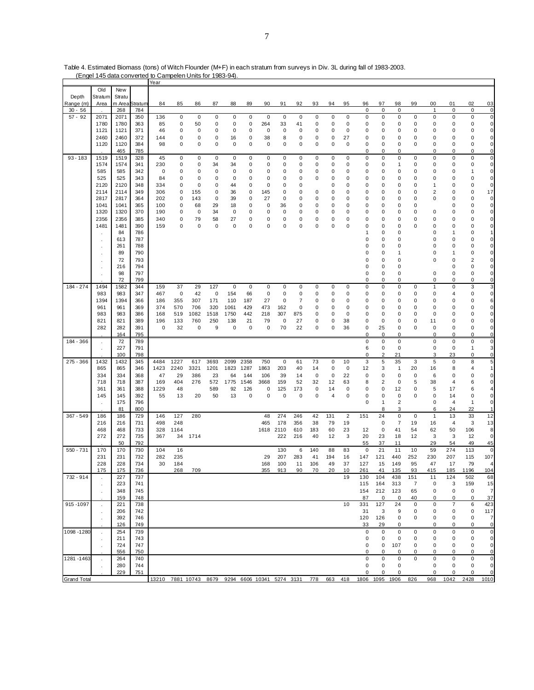|                    | (Engel 145 data converted to Campelen Units for 1983-94) |               |            |                                                             |            |             |             |              |             |             |             |           |         |         |                |                   |                |                |             |              |                             |              |                 |
|--------------------|----------------------------------------------------------|---------------|------------|-------------------------------------------------------------|------------|-------------|-------------|--------------|-------------|-------------|-------------|-----------|---------|---------|----------------|-------------------|----------------|----------------|-------------|--------------|-----------------------------|--------------|-----------------|
|                    |                                                          |               |            | Year                                                        |            |             |             |              |             |             |             |           |         |         |                |                   |                |                |             |              |                             |              |                 |
| Depth              | Old<br>Stratum                                           | New<br>Stratu |            |                                                             |            |             |             |              |             |             |             |           |         |         |                |                   |                |                |             |              |                             |              |                 |
| Range (m)          | Area                                                     | m Area        | Stratum    | 84                                                          | 85         | 86          | 87          | 88           | 89          | 90          | 91          | 92        | 93      | 94      | 95             | 96                | 97             | 98             | 99          | 00           | 01                          | 02           | 03              |
| $30 - 56$          |                                                          | 268           | 784        |                                                             |            |             |             |              |             |             |             |           |         |         |                | $\pmb{0}$         | 0              | 0              |             | 1            | 0                           | 0            | $\pmb{0}$       |
| $57 - 92$          | 2071                                                     | 2071          | 350        | 136                                                         | $\pmb{0}$  | $\mathbf 0$ | 0           | $\bf 0$      | $\pmb{0}$   | $\mathbf 0$ | 0           | 0         | 0       | 0       | 0              | $\mathbf 0$       | 0              | $\bf 0$        | 0           | 0            | $\pmb{0}$                   | 0            | 0               |
|                    | 1780                                                     | 1780          | 363        | 85                                                          | 0          | 50          | 0           | 0            | 0           | 264         | 33          | 41        | 0       | 0       | 0              | 0                 | 0              | 0              | 0           | 0            | 0                           | 0            | 0               |
|                    | 1121                                                     | 1121          | 371        | 46                                                          | 0          | 0           | 0           | 0            | 0           | 0           | 0           | 0         | 0       | 0       | 0              | 0                 | 0              | 0              | 0           | 0            | 0                           | 0            | 0               |
|                    | 2460                                                     | 2460          | 372        | 144                                                         | 0          | $\mathbf 0$ | 0           | 16           | 0           | 38          | 8           | 0         | 0       | 0       | 27             | 0                 | 0              | 0              | 0           | 0            | 0                           | 0            | 0               |
|                    | 1120                                                     | 1120          | 384        | 98                                                          | 0          | $\mathbf 0$ | $\mathbf 0$ | 0            | 0           | $\mathbf 0$ | $\mathsf 0$ | $\pmb{0}$ | 0       | 0       | 0              | 0                 | 0              | 0              | 0           | 0            | 0                           | 0            | 0               |
|                    |                                                          | 465           | 785        |                                                             |            |             |             |              |             |             |             |           |         |         |                | 0                 | 0              | 0              |             | 0            | 0                           | 0            | 0               |
| $93 - 183$         | 1519<br>1574                                             | 1519<br>1574  | 328<br>341 | 45<br>230                                                   | 0<br>0     | 0<br>0      | 0<br>34     | 0<br>34      | 0<br>0      | 0<br>0      | 0<br>0      | 0<br>0    | 0<br>0  | 0<br>0  | 0<br>0         | 0<br>0            | 0<br>0         | 0<br>1         | 0<br>0      | 0<br>0       | 0<br>0                      | 0<br>0       | 0<br>0          |
|                    | 585                                                      | 585           | 342        | $\pmb{0}$                                                   | 0          | $\mathbf 0$ | $\mathbf 0$ | 0            | 0           | 0           | 0           | 0         | 0       | 0       | 0              | 0                 | 0              | 0              | 0           | 0            | $\pmb{0}$                   | 1            | 0               |
|                    | 525                                                      | 525           | 343        | 84                                                          | 0          | 0           | 0           | 0            | 0           | 0           | 0           | 0         | 0       | 0       | 0              | 0                 | 0              | 0              | 0           | 0            | 0                           | 0            | 0               |
|                    | 2120                                                     | 2120          | 348        | 334                                                         | 0          | 0           | 0           | 44           | 0           | 0           | 0           | 0         |         | 0       | 0              | 0                 | 0              | 0              | 0           | 1            | 0                           | 0            | 0               |
|                    | 2114                                                     | 2114          | 349        | 306                                                         | 0          | 155         | 0           | 36           | 0           | 145         | 0           | 0         | 0       | 0       | 0              | 0                 | 0              | 0              | 0           | 2            | 0                           | 0            | 17              |
|                    | 2817                                                     | 2817          | 364        | 202                                                         | 0          | 143         | 0           | 39           | 0           | 27          | 0           | 0         | 0       | 0       | 0              | 0                 | 0              | 0              | $\Omega$    | 0            | 0                           | 0            | 0               |
|                    | 1041                                                     | 1041          | 365        | 100                                                         | 0          | 68          | 29          | 18           | 0           | $\mathbf 0$ | 36          | 0         | 0       | 0       | 0              | 0                 | 0              | 0              | 0           |              | 0                           | 0            | 0               |
|                    | 1320                                                     | 1320          | 370        | 190                                                         | 0          | 0           | 34          | 0            | 0           | 0           | 0           | 0         | 0       | 0       | 0              | 0                 | 0              | 0              | 0           | 0            | 0                           | 0            | 0               |
|                    | 2356                                                     | 2356          | 385        | 340                                                         | 0          | 79          | 58          | 27           | 0           | 0           | 0           | 0         | 0       | 0       | 0              | 0                 | 0              | 0              | 0           | 0            | 0                           | 0            | 0               |
|                    | 1481                                                     | 1481          | 390        | 159                                                         | 0          | $\mathbf 0$ | $\mathbf 0$ | 0            | 0           | $\mathbf 0$ | 0           | 0         | 0       | 0       | 0              | 0                 | 0              | 0              | $\Omega$    | 0            | 0                           | 0            | 0               |
|                    |                                                          | 84            | 786<br>787 |                                                             |            |             |             |              |             |             |             |           |         |         |                | 1                 | 0              | 0              |             | 0            | $\overline{1}$              | 0<br>0       | 1<br>0          |
|                    | $\cdot$                                                  | 613<br>261    | 788        |                                                             |            |             |             |              |             |             |             |           |         |         |                | 0<br>0            | 0<br>0         | 0<br>0         |             | 0<br>0       | 0<br>0                      | 0            | 0               |
|                    | $\cdot$<br>$\ddot{\phantom{a}}$                          | 89            | 790        |                                                             |            |             |             |              |             |             |             |           |         |         |                | $\Omega$          | 0              | 1              |             | 0            | 1                           | 0            | 0               |
|                    |                                                          | 72            | 793        |                                                             |            |             |             |              |             |             |             |           |         |         |                | 0                 | 0              | 0              |             | 0            | $\mathbf 0$                 | 2            | 0               |
|                    | $\cdot$                                                  | 216           | 794        |                                                             |            |             |             |              |             |             |             |           |         |         |                | 0                 | 0              | 0              |             |              | 0                           | 0            | 0               |
|                    |                                                          | 98            | 797        |                                                             |            |             |             |              |             |             |             |           |         |         |                | 0                 | 0              | 0              |             | 0            | $\pmb{0}$                   | 0            | 0               |
|                    |                                                          | 72            | 799        |                                                             |            |             |             |              |             |             |             |           |         |         |                | 0                 | 0              | 0              |             | 0            | 0                           | 0            | 0               |
| 184 - 274          | 1494                                                     | 1582          | 344        | 159                                                         | 37         | 29          | 127         | $\bf 0$      | $\pmb{0}$   | 0           | 0           | 0         | 0       | 0       | 0              | 0                 | 0              | 0              | 0           | $\mathbf{1}$ | 0                           | 3            | 3               |
|                    | 983                                                      | 983           | 347        | 467                                                         | $\pmb{0}$  | 42          | 0           | 154          | 66          | $\mathbf 0$ | 0           | 0         | 0       | 0       | 0              | 0                 | 0              | 0              | 0           | 0            | 4                           | 0            | 0               |
|                    | 1394                                                     | 1394          | 366        | 186                                                         | 355        | 307         | 171         | 110          | 187         | 27          | 0           | 7         | 0       | 0       | 0              | 0                 | 0              | 0              | 0<br>0      | 0            | 0                           | 0            | 6               |
|                    | 961<br>983                                               | 961<br>983    | 369<br>386 | 374<br>168                                                  | 570<br>519 | 706<br>1082 | 320<br>1518 | 1061<br>1750 | 429<br>442  | 473<br>218  | 162<br>307  | 0<br>875  | 0<br>0  | 0<br>0  | 0<br>0         | 0<br>0            | 0<br>0         | 0<br>0         | 0           | 0<br>0       | 0<br>0                      | 0<br>0       | 0<br>0          |
|                    | 821                                                      | 821           | 389        | 196                                                         | 133        | 760         | 250         | 138          | 21          | 79          | 0           | 27        | 0       | 0       | 38             | 0                 | 0              | 0              | 0           | 11           | 0                           | 0            | 0               |
|                    | 282                                                      | 282           | 391        | 0                                                           | 32         | 0           | 9           | 0            | 0           | 0           | 70          | 22        | 0       | 0       | 36             | 0                 | 25             | 0              | 0           | 0            | 0                           | 0            | 0               |
|                    |                                                          | 164           | 795        |                                                             |            |             |             |              |             |             |             |           |         |         |                | 0                 | 0              | 0              |             | 0            | 0                           | 0            | 0               |
| 184 - 366          | ä,                                                       | 72            | 789        |                                                             |            |             |             |              |             |             |             |           |         |         |                | $\mathbf 0$       | 0              | 0              |             | 0            | $\pmb{0}$                   | 0            | 0               |
|                    |                                                          | 227           | 791        |                                                             |            |             |             |              |             |             |             |           |         |         |                | 6                 | 0              | 0              |             | 0            | 0                           | 1            | 3               |
|                    |                                                          | 100           | 798        |                                                             |            |             |             |              |             |             |             |           |         |         |                | 0                 | $\overline{2}$ | 21             |             | 3            | 23                          | 0            | 0               |
| 275 - 366          | 1432                                                     | 1432          | 345        | 4484                                                        | 1227       | 617         | 3693        | 2099         | 2358        | 750         | 0           | 61        | 73      | 0       | 10             | 3                 | 5              | 35             | 3           | 5            | 0                           | 8            | 5               |
|                    | 865                                                      | 865           | 346        | 1423                                                        | 2240       | 3321        | 1201        | 1823         | 1287        | 1863        | 203         | 40        | 14      | 0       | 0              | 12                | 3              | $\mathbf{1}$   | 20          | 16           | 8                           | 4            | 1               |
|                    | 334<br>718                                               | 334<br>718    | 368<br>387 | 47<br>169                                                   | 29<br>404  | 386<br>276  | 23<br>572   | 64<br>1775   | 144<br>1546 | 106<br>3668 | 39<br>159   | 14<br>52  | 0<br>32 | 0<br>12 | 22<br>63       | $\mathbf 0$<br>8  | 0<br>2         | 0<br>0         | 0<br>5      | 6<br>38      | $\pmb{0}$<br>$\overline{4}$ | 0<br>6       | 0<br>0          |
|                    | 361                                                      | 361           | 388        | 1229                                                        | 48         |             | 589         | 92           | 126         | 0           | 125         | 173       | 0       | 14      | 0              | 0                 | 0              | 12             | 0           | 5            | 17                          | 6            | 4               |
|                    | 145                                                      | 145           | 392        | 55                                                          | 13         | 20          | 50          | 13           | 0           | 0           | 0           | 0         | 0       | 4       | 0              | 0                 | 0              | 0              | 0           | 0            | 14                          | 0            | 0               |
|                    | $\ddot{\phantom{a}}$                                     | 175           | 796        |                                                             |            |             |             |              |             |             |             |           |         |         |                | $\mathbf 0$       | 1              | 2              |             | 0            | $\overline{4}$              | $\mathbf{1}$ | 0               |
|                    |                                                          | 81            | 800        |                                                             |            |             |             |              |             |             |             |           |         |         |                |                   | 8              | 3              |             | 6            | 24                          | 22           | $\mathbf{1}$    |
| 367 - 549          | 186                                                      | 186           | 729        | 146                                                         | 127        | 280         |             |              |             | 48          | 274         | 246       | 42      | 131     | $\overline{2}$ | 151               | 24             | 0              | $\mathbf 0$ | $\mathbf{1}$ | 13                          | 33           | 12              |
|                    | 216                                                      | 216           | 731        | 498                                                         | 248        |             |             |              |             | 465         | 178         | 356       | 38      | 79      | 19             |                   | $\pmb{0}$      | $\overline{7}$ | 19          | 16           | $\overline{4}$              | 3            | 13              |
|                    | 468                                                      | 468           | 733        | 328                                                         | 1164       |             |             |              |             | 1618 2110   |             | 610       | 183     | 60      | 23             | 12                | 0              | 41             | 54          | 62           | 50                          | 106          | 8               |
|                    | 272                                                      | 272           | 735        | 367                                                         | 34         | 1714        |             |              |             |             | 222         | 216       | 40      | 12      | 3              | 20                | 23             | 18             | 12          | 3            | 3                           | 12           | 0               |
| $550 - 731$        | 170                                                      | 50<br>170     | 792<br>730 | 104                                                         | 16         |             |             |              |             |             | 130         | 6         | 140     | 88      | 83             | 55<br>$\mathbf 0$ | 37<br>21       | 11<br>11       | 10          | 29<br>59     | 54<br>274                   | 49<br>113    | 45<br>$\pmb{0}$ |
|                    | 231                                                      | 231           | 732        | 282                                                         | 235        |             |             |              |             | 29          | 207         | 283       | 41      | 194     | 16             | 147               | 121            | 440            | 252         | 230          | 207                         | 115          | 107             |
|                    | 228                                                      | 228           | 734        | 30                                                          | 184        |             |             |              |             | 168         | 100         | 11        | 106     | 49      | 37             | 127               | 15             | 149            | 95          | 47           | 17                          | 79           | $\overline{4}$  |
|                    | 175                                                      | 175           | 736        |                                                             | 268        | 709         |             |              |             | 355         | 913         | 90        | 70      | 20      | 10             | 261               | 41             | 135            | 93          | 415          | 185                         | 1196         | 104             |
| 732 - 914          |                                                          | 227           | 737        |                                                             |            |             |             |              |             |             |             |           |         |         | 19             | 130               | 104            | 438            | 151         | 11           | 124                         | 502          | 68              |
|                    |                                                          | 223           | 741        |                                                             |            |             |             |              |             |             |             |           |         |         |                | 115               | 164            | 313            | 7           | 0            | 3                           | 159          | 15              |
|                    |                                                          | 348           | 745        |                                                             |            |             |             |              |             |             |             |           |         |         |                | 154               | 212            | 123            | 65          | 0            | 0                           | 0            | $\overline{7}$  |
|                    |                                                          | 159           | 748        |                                                             |            |             |             |              |             |             |             |           |         |         |                | 87                | 0              | 0              | 40          | 0            | 0                           | 0            | 37              |
| 915-1097           |                                                          | 221           | 738        |                                                             |            |             |             |              |             |             |             |           |         |         | 10             | 331               | 127            | 24             | 0           | 0            | $\overline{7}$              | 6            | 423             |
|                    |                                                          | 206           | 742        |                                                             |            |             |             |              |             |             |             |           |         |         |                | 31                | 3              | 9              | 0           | 0            | 0                           | 0            | 117             |
|                    | $\ddot{\phantom{a}}$                                     | 392           | 746<br>749 |                                                             |            |             |             |              |             |             |             |           |         |         |                | 120               | 126            | 0<br>0         | 0           | 0<br>0       | 0<br>0                      | 0<br>0       | $\overline{7}$  |
| 1098 - 1280        |                                                          | 126<br>254    | 739        |                                                             |            |             |             |              |             |             |             |           |         |         |                | 33<br>0           | 29<br>0        | 0              | 0           | 0            | 0                           | 0            | $\pmb{0}$<br>0  |
|                    |                                                          | 211           | 743        |                                                             |            |             |             |              |             |             |             |           |         |         |                | 0                 | 0              | 0              | 0           | 0            | 0                           | 0            | 0               |
|                    |                                                          | 724           | 747        |                                                             |            |             |             |              |             |             |             |           |         |         |                | 0                 | 0              | 107            | 0           | 0            | 0                           | 0            | 0               |
|                    |                                                          | 556           | 750        |                                                             |            |             |             |              |             |             |             |           |         |         |                | 0                 | 0              | 0              | 0           | 0            | 0                           | 0            | 0               |
| 1281 - 1463        |                                                          | 264           | 740        |                                                             |            |             |             |              |             |             |             |           |         |         |                | 0                 | 0              | 0              | 0           | 0            | 0                           | 0            | $\pmb{0}$       |
|                    |                                                          | 280           | 744        |                                                             |            |             |             |              |             |             |             |           |         |         |                | 0                 | 0              | 0              |             | 0            | 0                           | 0            | 0               |
|                    |                                                          | 229           | 751        |                                                             |            |             |             |              |             |             |             |           |         |         |                | 0                 | 0              | 0              |             | 0            | 0                           | 0            | 0               |
| <b>Grand Total</b> |                                                          |               |            | 13210 7881 10743 8679 9294 6606 10341 5274 3131 778 663 418 |            |             |             |              |             |             |             |           |         |         |                | 1806              | 1095           | 1906           | 826         | 968          | 1042                        | 2428         | 1010            |

Table 4. Estimated Biomass (tons) of Witch Flounder (M+F) in each stratum from surveys in Div. 3L during fall of 1983-2003.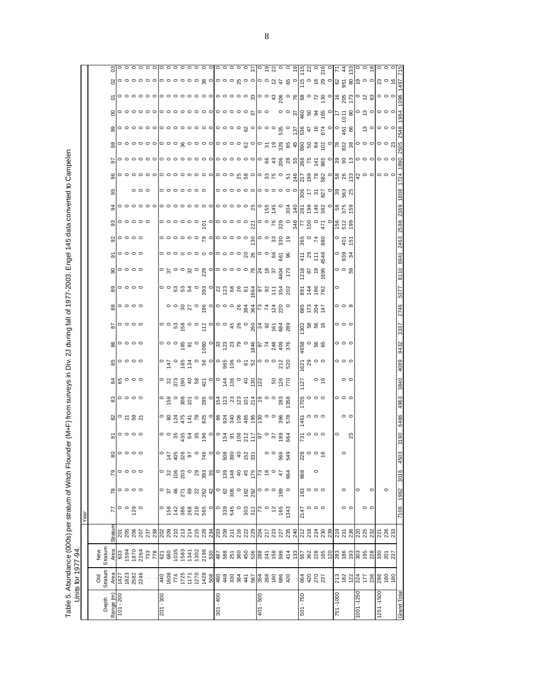Table 5. Abundance (000s) per stratum of Witch Flounder (M+F) from surveys in Div. 2J during fall of 1977-2003. Engel 145 data converted to Campelen<br>Units for 1977-94. Table 5. Abundance (000s) per stratum of Witch Flounder (M+F) from surveys in Div. 2J during fall of 1977-2003. Engel 145 data converted to Campelen Units for 1977-94.

|      |            | ප                  |             |                                         |     |                     |             |  |  |                                                                                                                                                                                                                                                                                                                                                                                                                                                                                                                          |             |  |  |          |         |            |        |             |                                                                                                                 |                     |                                    |          |                               |           |                 |           |                                                                                                                                                                                                                                                                                                                     |             |
|------|------------|--------------------|-------------|-----------------------------------------|-----|---------------------|-------------|--|--|--------------------------------------------------------------------------------------------------------------------------------------------------------------------------------------------------------------------------------------------------------------------------------------------------------------------------------------------------------------------------------------------------------------------------------------------------------------------------------------------------------------------------|-------------|--|--|----------|---------|------------|--------|-------------|-----------------------------------------------------------------------------------------------------------------|---------------------|------------------------------------|----------|-------------------------------|-----------|-----------------|-----------|---------------------------------------------------------------------------------------------------------------------------------------------------------------------------------------------------------------------------------------------------------------------------------------------------------------------|-------------|
|      |            |                    |             |                                         |     |                     |             |  |  |                                                                                                                                                                                                                                                                                                                                                                                                                                                                                                                          |             |  |  |          |         |            |        |             |                                                                                                                 |                     |                                    |          |                               |           |                 |           |                                                                                                                                                                                                                                                                                                                     |             |
|      |            |                    |             |                                         |     |                     |             |  |  |                                                                                                                                                                                                                                                                                                                                                                                                                                                                                                                          |             |  |  |          |         |            |        |             |                                                                                                                 |                     |                                    |          |                               |           |                 |           |                                                                                                                                                                                                                                                                                                                     |             |
|      |            |                    |             |                                         |     |                     |             |  |  |                                                                                                                                                                                                                                                                                                                                                                                                                                                                                                                          |             |  |  |          |         |            |        |             |                                                                                                                 |                     |                                    |          |                               |           |                 |           |                                                                                                                                                                                                                                                                                                                     |             |
|      |            |                    |             |                                         |     |                     |             |  |  |                                                                                                                                                                                                                                                                                                                                                                                                                                                                                                                          |             |  |  |          |         |            |        |             |                                                                                                                 |                     |                                    |          |                               |           |                 |           | ္ ျ <b>၀၀၀</b>                                                                                                                                                                                                                                                                                                      |             |
|      |            |                    |             |                                         |     |                     |             |  |  |                                                                                                                                                                                                                                                                                                                                                                                                                                                                                                                          |             |  |  |          |         |            |        |             |                                                                                                                 |                     |                                    |          |                               |           |                 |           |                                                                                                                                                                                                                                                                                                                     |             |
|      |            |                    |             |                                         |     |                     |             |  |  |                                                                                                                                                                                                                                                                                                                                                                                                                                                                                                                          |             |  |  |          |         |            |        |             |                                                                                                                 |                     |                                    |          |                               |           |                 |           |                                                                                                                                                                                                                                                                                                                     |             |
|      |            |                    |             |                                         |     |                     |             |  |  |                                                                                                                                                                                                                                                                                                                                                                                                                                                                                                                          |             |  |  |          |         |            |        |             |                                                                                                                 |                     |                                    |          |                               |           |                 |           |                                                                                                                                                                                                                                                                                                                     |             |
|      |            |                    |             |                                         |     | $\circ \circ \circ$ |             |  |  |                                                                                                                                                                                                                                                                                                                                                                                                                                                                                                                          |             |  |  |          |         |            | $\sim$ |             |                                                                                                                 |                     |                                    |          |                               |           |                 |           |                                                                                                                                                                                                                                                                                                                     |             |
|      |            |                    |             |                                         |     |                     |             |  |  |                                                                                                                                                                                                                                                                                                                                                                                                                                                                                                                          |             |  |  |          |         |            |        |             |                                                                                                                 |                     |                                    |          |                               |           |                 |           |                                                                                                                                                                                                                                                                                                                     |             |
|      |            |                    |             | $\degree$                               |     |                     |             |  |  |                                                                                                                                                                                                                                                                                                                                                                                                                                                                                                                          |             |  |  |          |         |            |        |             |                                                                                                                 |                     |                                    |          |                               |           |                 |           |                                                                                                                                                                                                                                                                                                                     |             |
|      |            |                    |             | $\frac{1}{2}$ $\circ$ $\circ$ $\circ$   |     |                     |             |  |  |                                                                                                                                                                                                                                                                                                                                                                                                                                                                                                                          |             |  |  |          |         |            |        |             |                                                                                                                 |                     | 820<br>840<br>88                   |          | $\circ$ $\frac{5}{9}$         |           |                 |           |                                                                                                                                                                                                                                                                                                                     |             |
|      |            |                    |             | 50000                                   |     |                     |             |  |  | 00000000  000000  000000<br>                                                                                                                                                                                                                                                                                                                                                                                                                                                                                             |             |  |  |          |         |            |        |             | $\frac{1}{4}$ $\frac{1}{2}$ $\frac{1}{2}$ $\frac{1}{2}$ $\frac{1}{2}$ $\frac{1}{2}$ $\frac{1}{2}$               |                     |                                    |          | $\degree$ 334                 |           |                 |           |                                                                                                                                                                                                                                                                                                                     |             |
|      |            | 90                 |             | $\circ \circ \circ \circ$               |     |                     |             |  |  | $\bigg  \circ \stackrel{\sim}{\circ} \circ \circ \stackrel{\sim}{\circ} \circ \stackrel{\sim}{\circ} \circ \stackrel{\sim}{\circ} \circ \circ \circ \circ \circ \circ \stackrel{\sim}{\circ} \bigg _{4}^{\alpha} \circ \stackrel{\sim}{\circ} \circ \stackrel{\sim}{4} \stackrel{\sim}{c}$                                                                                                                                                                                                                               |             |  |  |          |         |            |        |             |                                                                                                                 |                     | $\frac{1218}{200}$ $\frac{85}{20}$ |          | $\circ$ $\circ$ $\frac{5}{2}$ |           |                 |           |                                                                                                                                                                                                                                                                                                                     |             |
|      |            |                    |             | $\frac{3}{8}$                           |     |                     |             |  |  |                                                                                                                                                                                                                                                                                                                                                                                                                                                                                                                          |             |  |  |          |         |            |        |             | $8480$<br>$2480$                                                                                                |                     |                                    |          |                               |           |                 |           |                                                                                                                                                                                                                                                                                                                     |             |
|      |            |                    |             | $\frac{1}{20}$ $\circ$ $\circ$ $\circ$  |     |                     |             |  |  |                                                                                                                                                                                                                                                                                                                                                                                                                                                                                                                          |             |  |  |          |         |            |        |             | 85247                                                                                                           |                     |                                    |          | $\circ$ $\circ$ $\circ$       |           |                 |           |                                                                                                                                                                                                                                                                                                                     |             |
|      |            |                    |             | $\frac{1}{8}$ 0 0 0 0                   |     |                     |             |  |  |                                                                                                                                                                                                                                                                                                                                                                                                                                                                                                                          |             |  |  |          |         |            |        |             |                                                                                                                 |                     |                                    |          | $\circ \circ \circ$           |           |                 |           |                                                                                                                                                                                                                                                                                                                     |             |
|      |            |                    |             | $\frac{6}{8}$ oooo                      |     |                     |             |  |  |                                                                                                                                                                                                                                                                                                                                                                                                                                                                                                                          |             |  |  |          |         |            |        |             | $\frac{165}{465}$ $\circ$ $\frac{65}{65}$                                                                       |                     |                                    |          | $\circ \circ \circ$           |           |                 |           |                                                                                                                                                                                                                                                                                                                     |             |
|      |            |                    |             | $\frac{6}{8}$ $\circ$ $\circ$ $\circ$   |     |                     |             |  |  | $\begin{array}{r l l} \multicolumn{3}{r}{\bullet} & \multicolumn{3}{r}{\bullet} & \multicolumn{3}{r}{\bullet} & \multicolumn{3}{r}{\bullet} & \multicolumn{3}{r}{\bullet} & \multicolumn{3}{r}{\bullet} & \multicolumn{3}{r}{\bullet} & \multicolumn{3}{r}{\bullet} & \multicolumn{3}{r}{\bullet} & \multicolumn{3}{r}{\bullet} & \multicolumn{3}{r}{\bullet} & \multicolumn{3}{r}{\bullet} & \multicolumn{3}{r}{\bullet} & \multicolumn{3}{r}{\bullet} & \multicolumn{3}{r}{\bullet} & \multicolumn{3}{r}{\bullet} & \$ |             |  |  |          |         |            |        |             | ក្ខ ឌុ ១ <b>០</b><br>ខ្មែរ                                                                                      |                     |                                    |          | $\circ \circ \circ$           |           |                 |           |                                                                                                                                                                                                                                                                                                                     |             |
|      |            |                    |             | 48000                                   |     |                     |             |  |  |                                                                                                                                                                                                                                                                                                                                                                                                                                                                                                                          |             |  |  |          |         |            |        | 127         |                                                                                                                 |                     | $\circ$ $\frac{6}{5}$              |          | $\circ$ $\circ$               |           |                 |           |                                                                                                                                                                                                                                                                                                                     |             |
|      |            | 83                 |             | $\circ \circ \circ \circ$               |     |                     |             |  |  |                                                                                                                                                                                                                                                                                                                                                                                                                                                                                                                          |             |  |  |          |         |            |        |             | $\frac{18}{20}$ $\frac{0}{20}$                                                                                  |                     |                                    |          | $\circ \circ \circ$           |           |                 |           |                                                                                                                                                                                                                                                                                                                     |             |
|      |            |                    |             | $\frac{8}{3}$ $\circ$ ភ $\frac{8}{3}$ ភ |     |                     |             |  |  | $\sim$ $\frac{1}{8}$ $\frac{1}{2}$ $\frac{1}{8}$ $\frac{1}{8}$ $\frac{1}{8}$ $\frac{1}{8}$ $\frac{1}{8}$ $\frac{1}{8}$ $\frac{1}{8}$ $\frac{1}{8}$ $\frac{1}{8}$ $\frac{1}{8}$ $\frac{1}{8}$ $\frac{1}{8}$ $\frac{1}{8}$ $\frac{1}{8}$ $\frac{1}{8}$ $\frac{1}{8}$ $\frac{1}{8}$ $\frac{1}{8}$ $\frac{1}{8}$ $\frac{1}{$                                                                                                                                                                                                 |             |  |  |          |         |            |        |             | $\frac{1}{4}$ $\frac{1}{4}$ $\frac{1}{4}$ $\frac{1}{4}$ $\frac{1}{4}$ $\frac{1}{4}$ $\frac{1}{4}$ $\frac{1}{4}$ |                     |                                    |          | $\circ$ $\circ$               |           |                 |           |                                                                                                                                                                                                                                                                                                                     |             |
|      |            | ౚ                  |             | $\circ \circ \circ \circ$               |     |                     |             |  |  |                                                                                                                                                                                                                                                                                                                                                                                                                                                                                                                          |             |  |  |          |         |            |        |             | $\frac{1}{6}$ $\circ$ $\circ$                                                                                   |                     |                                    |          | 25                            |           |                 |           |                                                                                                                                                                                                                                                                                                                     |             |
|      |            | ಹ                  |             |                                         |     |                     |             |  |  |                                                                                                                                                                                                                                                                                                                                                                                                                                                                                                                          |             |  |  |          | $\circ$ | 568<br>549 |        |             |                                                                                                                 |                     |                                    |          |                               |           |                 |           |                                                                                                                                                                                                                                                                                                                     |             |
|      |            | 79                 |             | $\circ\circ\circ\circ$                  |     |                     |             |  |  | $\circ$ % $\frac{2}{5}$ $\frac{6}{5}$ $\frac{6}{5}$ $\frac{6}{5}$ $\frac{6}{5}$ $\frac{6}{5}$ $\frac{6}{5}$ $\frac{6}{5}$ $\frac{6}{5}$ $\frac{6}{5}$ $\frac{6}{5}$ $\frac{6}{5}$ $\frac{6}{5}$ $\frac{6}{5}$ $\frac{6}{5}$ $\frac{6}{5}$ $\frac{6}{5}$ $\frac{6}{5}$ $\frac{6}{5}$ $\frac{6}{5}$ $\frac{6}{5}$ $\frac{$                                                                                                                                                                                                 |             |  |  |          |         |            |        | 228         |                                                                                                                 |                     |                                    |          |                               |           |                 |           |                                                                                                                                                                                                                                                                                                                     | 450         |
|      |            |                    |             |                                         |     |                     |             |  |  |                                                                                                                                                                                                                                                                                                                                                                                                                                                                                                                          |             |  |  |          |         |            |        | 868         |                                                                                                                 |                     |                                    |          | $\circ$                       | 0         | $\circ$         |           |                                                                                                                                                                                                                                                                                                                     | 3016        |
|      |            | 78                 |             |                                         |     |                     |             |  |  | $\circ$ $\frac{1}{2}$ $\frac{1}{2}$ $\frac{1}{2}$ $\frac{1}{2}$ $\frac{1}{2}$ $\frac{1}{2}$ $\frac{1}{2}$ $\frac{1}{2}$ $\frac{1}{2}$ $\frac{1}{2}$ $\frac{1}{2}$ $\frac{1}{2}$ $\frac{1}{2}$ $\frac{1}{2}$ $\frac{1}{2}$ $\frac{1}{2}$ $\frac{1}{2}$ $\frac{1}{2}$ $\frac{1}{2}$ $\frac{1}{2}$ $\frac{1}{2}$ $\frac{1}{$                                                                                                                                                                                                |             |  |  |          |         |            |        |             | $\frac{30}{10}$ 0 0 0                                                                                           |                     |                                    |          |                               |           |                 |           |                                                                                                                                                                                                                                                                                                                     | 1962        |
| Year |            |                    |             | $\circ$ $\circ$                         | 129 |                     |             |  |  | $\circ$                                                                                                                                                                                                                                                                                                                                                                                                                                                                                                                  |             |  |  |          |         |            |        | 7147        |                                                                                                                 | $\circ \circ \circ$ |                                    |          |                               |           | $\circ$ $\circ$ |           |                                                                                                                                                                                                                                                                                                                     | 7106        |
|      |            | Stratum            |             |                                         |     |                     |             |  |  |                                                                                                                                                                                                                                                                                                                                                                                                                                                                                                                          |             |  |  |          |         |            |        |             |                                                                                                                 |                     |                                    |          |                               |           |                 |           |                                                                                                                                                                                                                                                                                                                     |             |
|      | New        | Stratum<br>Area    |             |                                         |     |                     |             |  |  |                                                                                                                                                                                                                                                                                                                                                                                                                                                                                                                          |             |  |  |          |         |            |        |             |                                                                                                                 |                     |                                    |          |                               |           |                 |           |                                                                                                                                                                                                                                                                                                                     |             |
|      |            |                    |             |                                         |     |                     |             |  |  |                                                                                                                                                                                                                                                                                                                                                                                                                                                                                                                          |             |  |  |          |         |            |        |             |                                                                                                                 |                     |                                    |          |                               |           |                 |           |                                                                                                                                                                                                                                                                                                                     |             |
|      | <b>DIO</b> | Stratum<br>Area    |             | $7427$<br>$7823$<br>$2582$<br>$2246$    |     |                     |             |  |  | $\frac{1}{3}$ $\frac{1}{3}$ $\frac{1}{3}$ $\frac{1}{3}$ $\frac{1}{3}$ $\frac{1}{2}$ $\frac{1}{2}$ $\frac{1}{2}$ $\frac{1}{2}$ $\frac{1}{3}$ $\frac{1}{3}$ $\frac{1}{3}$ $\frac{1}{3}$ $\frac{1}{3}$ $\frac{1}{3}$ $\frac{1}{3}$ $\frac{1}{3}$ $\frac{1}{3}$ $\frac{1}{3}$ $\frac{1}{3}$ $\frac{1}{3}$ $\frac{1}{3}$                                                                                                                                                                                                      |             |  |  |          |         |            |        |             | 8483                                                                                                            |                     |                                    |          |                               |           |                 |           | $\frac{1}{6}$ $\frac{3}{8}$ $\frac{1}{8}$ $\frac{1}{8}$ $\frac{1}{8}$ $\frac{1}{8}$ $\frac{1}{8}$ $\frac{1}{8}$ $\frac{1}{8}$ $\frac{1}{8}$ $\frac{1}{8}$ $\frac{1}{8}$ $\frac{1}{8}$ $\frac{1}{8}$ $\frac{1}{8}$ $\frac{1}{8}$ $\frac{1}{8}$ $\frac{1}{8}$ $\frac{1}{8}$ $\frac{1}{8}$ $\frac{1}{8}$ $\frac{1}{8}$ |             |
|      |            | Range (m)<br>Depth | $101 - 200$ |                                         |     |                     | $201 - 300$ |  |  |                                                                                                                                                                                                                                                                                                                                                                                                                                                                                                                          | $301 - 400$ |  |  | 009 - 10 |         |            |        | $501 - 750$ |                                                                                                                 |                     |                                    | 251-1000 |                               | 1001-1250 |                 | 1251-1500 |                                                                                                                                                                                                                                                                                                                     | Grand Total |
|      |            |                    |             |                                         |     |                     |             |  |  |                                                                                                                                                                                                                                                                                                                                                                                                                                                                                                                          |             |  |  |          |         |            |        |             |                                                                                                                 |                     |                                    |          |                               |           |                 |           |                                                                                                                                                                                                                                                                                                                     |             |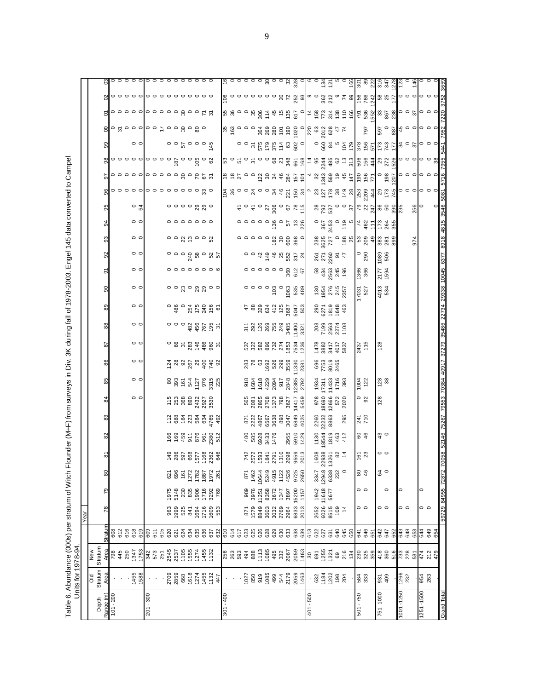Table 6. Abundance (000s) per stratum of Witch Flounder (M+F) from surveys in Div. 3K during fall of 1978-2003. Engel 145 data converted to Campel<br>Units for 1978-94. Table 6. Abundance (000s) per stratum of Witch Flounder (M+F) from surveys in Div. 3K during fall of 1978-2003. Engel 145 data converted to Campel

|             |                                                                                                    | Units for 1978-94                                                                                                                                                                                                                                                                                                   |                   |                     |                     |                                                                   |                                                                                                                                                                                                                                |                                 |                                                                                |                                                                                                                |                                              |                                                                                                              |                                                                                                                                                                                                                                                                                                                             |                                                                                                                                                                                                                                                                                                                   |                                            |                                                         |                                                   |                                                                       |                                                                                                                                                                                                                                        |                                                                                                                                                                                                                                |                                                                                                                                                                                                                                                                |                                                                           |               |                                                                                                                  |                                                                                                                                                                                                                                                                                                                                                                                                                |               |                                                                           |                                                                                                                                                                                                                                          |
|-------------|----------------------------------------------------------------------------------------------------|---------------------------------------------------------------------------------------------------------------------------------------------------------------------------------------------------------------------------------------------------------------------------------------------------------------------|-------------------|---------------------|---------------------|-------------------------------------------------------------------|--------------------------------------------------------------------------------------------------------------------------------------------------------------------------------------------------------------------------------|---------------------------------|--------------------------------------------------------------------------------|----------------------------------------------------------------------------------------------------------------|----------------------------------------------|--------------------------------------------------------------------------------------------------------------|-----------------------------------------------------------------------------------------------------------------------------------------------------------------------------------------------------------------------------------------------------------------------------------------------------------------------------|-------------------------------------------------------------------------------------------------------------------------------------------------------------------------------------------------------------------------------------------------------------------------------------------------------------------|--------------------------------------------|---------------------------------------------------------|---------------------------------------------------|-----------------------------------------------------------------------|----------------------------------------------------------------------------------------------------------------------------------------------------------------------------------------------------------------------------------------|--------------------------------------------------------------------------------------------------------------------------------------------------------------------------------------------------------------------------------|----------------------------------------------------------------------------------------------------------------------------------------------------------------------------------------------------------------------------------------------------------------|---------------------------------------------------------------------------|---------------|------------------------------------------------------------------------------------------------------------------|----------------------------------------------------------------------------------------------------------------------------------------------------------------------------------------------------------------------------------------------------------------------------------------------------------------------------------------------------------------------------------------------------------------|---------------|---------------------------------------------------------------------------|------------------------------------------------------------------------------------------------------------------------------------------------------------------------------------------------------------------------------------------|
|             |                                                                                                    |                                                                                                                                                                                                                                                                                                                     |                   | Year                |                     |                                                                   |                                                                                                                                                                                                                                |                                 |                                                                                |                                                                                                                |                                              |                                                                                                              |                                                                                                                                                                                                                                                                                                                             |                                                                                                                                                                                                                                                                                                                   |                                            |                                                         |                                                   |                                                                       |                                                                                                                                                                                                                                        |                                                                                                                                                                                                                                |                                                                                                                                                                                                                                                                |                                                                           |               |                                                                                                                  |                                                                                                                                                                                                                                                                                                                                                                                                                |               |                                                                           |                                                                                                                                                                                                                                          |
| Depth       | Stratum<br>ŏ                                                                                       | Stratum<br>New                                                                                                                                                                                                                                                                                                      |                   |                     |                     |                                                                   |                                                                                                                                                                                                                                |                                 |                                                                                |                                                                                                                |                                              |                                                                                                              |                                                                                                                                                                                                                                                                                                                             |                                                                                                                                                                                                                                                                                                                   |                                            |                                                         |                                                   |                                                                       |                                                                                                                                                                                                                                        |                                                                                                                                                                                                                                |                                                                                                                                                                                                                                                                |                                                                           |               |                                                                                                                  |                                                                                                                                                                                                                                                                                                                                                                                                                |               |                                                                           |                                                                                                                                                                                                                                          |
| Range (m)   |                                                                                                    |                                                                                                                                                                                                                                                                                                                     | Stratum           | $\overline{78}$     | 79                  | 읭                                                                 | စဲ                                                                                                                                                                                                                             | ଅ                               | 83                                                                             | $\frac{84}{3}$                                                                                                 | 85                                           | 86                                                                                                           | 5                                                                                                                                                                                                                                                                                                                           | $\frac{88}{3}$                                                                                                                                                                                                                                                                                                    | $\frac{89}{2}$                             | 90                                                      | ō                                                 | 3                                                                     | 93                                                                                                                                                                                                                                     | 34                                                                                                                                                                                                                             | 85                                                                                                                                                                                                                                                             | $\frac{8}{2}$                                                             | $\frac{8}{2}$ | 8                                                                                                                |                                                                                                                                                                                                                                                                                                                                                                                                                | 의             |                                                                           | ၛ                                                                                                                                                                                                                                        |
| $101 - 200$ |                                                                                                    |                                                                                                                                                                                                                                                                                                                     | 608               |                     |                     |                                                                   |                                                                                                                                                                                                                                |                                 |                                                                                |                                                                                                                |                                              |                                                                                                              |                                                                                                                                                                                                                                                                                                                             |                                                                                                                                                                                                                                                                                                                   |                                            |                                                         |                                                   |                                                                       |                                                                                                                                                                                                                                        |                                                                                                                                                                                                                                |                                                                                                                                                                                                                                                                |                                                                           |               |                                                                                                                  |                                                                                                                                                                                                                                                                                                                                                                                                                |               |                                                                           |                                                                                                                                                                                                                                          |
|             |                                                                                                    | $\frac{4}{100}$ 8 \$ 50                                                                                                                                                                                                                                                                                             | $676$<br>$678$    |                     |                     |                                                                   |                                                                                                                                                                                                                                |                                 |                                                                                |                                                                                                                |                                              |                                                                                                              |                                                                                                                                                                                                                                                                                                                             |                                                                                                                                                                                                                                                                                                                   |                                            |                                                         |                                                   |                                                                       |                                                                                                                                                                                                                                        |                                                                                                                                                                                                                                |                                                                                                                                                                                                                                                                |                                                                           |               |                                                                                                                  |                                                                                                                                                                                                                                                                                                                                                                                                                |               |                                                                           |                                                                                                                                                                                                                                          |
|             |                                                                                                    |                                                                                                                                                                                                                                                                                                                     |                   |                     |                     |                                                                   |                                                                                                                                                                                                                                |                                 |                                                                                |                                                                                                                |                                              |                                                                                                              |                                                                                                                                                                                                                                                                                                                             |                                                                                                                                                                                                                                                                                                                   |                                            |                                                         |                                                   |                                                                       |                                                                                                                                                                                                                                        |                                                                                                                                                                                                                                |                                                                                                                                                                                                                                                                |                                                                           |               |                                                                                                                  |                                                                                                                                                                                                                                                                                                                                                                                                                |               |                                                                           |                                                                                                                                                                                                                                          |
|             | 1455<br>1588                                                                                       | 1347<br>1753                                                                                                                                                                                                                                                                                                        | 619               |                     |                     |                                                                   |                                                                                                                                                                                                                                |                                 |                                                                                | $\circ$ $\circ$                                                                                                | $\circ$ $\circ$                              | $\circ$ $\circ$                                                                                              | $\circ$ $\circ$                                                                                                                                                                                                                                                                                                             | $\circ$ $\circ$                                                                                                                                                                                                                                                                                                   | $\circ$ $\circ$                            | $\circ$ $\circ$                                         | $\circ$ $\circ$                                   | $\circ$ $\circ$                                                       | $\circ$ $\circ$                                                                                                                                                                                                                        | $\circ$ $\circ$                                                                                                                                                                                                                | $\circ$ $\frac{6}{4}$                                                                                                                                                                                                                                          | $\circ \circ \circ \circ \circ \circ \circ \circ \circ \circ \circ \circ$ | $\frac{8}{3}$ | $\circ$ $\circ$                                                                                                  | $\circ \, \text{g} \circ \text{g} \circ \text{g} \circ \text{h} \circ \text{h} \circ \text{g} \circ \text{g} \circ$                                                                                                                                                                                                                                                                                            |               | $\circ \circ \circ \circ \circ \circ \circ \circ \circ \circ \circ \circ$ | $\circ \circ \circ \circ \circ$                                                                                                                                                                                                          |
| 008 - 102   |                                                                                                    |                                                                                                                                                                                                                                                                                                                     |                   |                     |                     |                                                                   |                                                                                                                                                                                                                                |                                 |                                                                                |                                                                                                                |                                              |                                                                                                              |                                                                                                                                                                                                                                                                                                                             |                                                                                                                                                                                                                                                                                                                   |                                            |                                                         |                                                   |                                                                       |                                                                                                                                                                                                                                        |                                                                                                                                                                                                                                |                                                                                                                                                                                                                                                                |                                                                           |               |                                                                                                                  |                                                                                                                                                                                                                                                                                                                                                                                                                |               |                                                                           |                                                                                                                                                                                                                                          |
|             |                                                                                                    |                                                                                                                                                                                                                                                                                                                     |                   |                     |                     |                                                                   |                                                                                                                                                                                                                                |                                 |                                                                                |                                                                                                                |                                              |                                                                                                              |                                                                                                                                                                                                                                                                                                                             |                                                                                                                                                                                                                                                                                                                   |                                            |                                                         |                                                   |                                                                       |                                                                                                                                                                                                                                        |                                                                                                                                                                                                                                |                                                                                                                                                                                                                                                                |                                                                           |               |                                                                                                                  |                                                                                                                                                                                                                                                                                                                                                                                                                |               |                                                                           |                                                                                                                                                                                                                                          |
|             |                                                                                                    | 342<br>573<br>251                                                                                                                                                                                                                                                                                                   |                   |                     |                     |                                                                   |                                                                                                                                                                                                                                |                                 |                                                                                |                                                                                                                |                                              |                                                                                                              |                                                                                                                                                                                                                                                                                                                             |                                                                                                                                                                                                                                                                                                                   |                                            |                                                         |                                                   |                                                                       |                                                                                                                                                                                                                                        |                                                                                                                                                                                                                                |                                                                                                                                                                                                                                                                |                                                                           |               |                                                                                                                  |                                                                                                                                                                                                                                                                                                                                                                                                                |               |                                                                           | 0000000000                                                                                                                                                                                                                               |
|             |                                                                                                    |                                                                                                                                                                                                                                                                                                                     |                   |                     |                     |                                                                   |                                                                                                                                                                                                                                |                                 |                                                                                |                                                                                                                |                                              |                                                                                                              |                                                                                                                                                                                                                                                                                                                             |                                                                                                                                                                                                                                                                                                                   |                                            |                                                         |                                                   |                                                                       |                                                                                                                                                                                                                                        |                                                                                                                                                                                                                                |                                                                                                                                                                                                                                                                |                                                                           |               |                                                                                                                  |                                                                                                                                                                                                                                                                                                                                                                                                                |               |                                                                           |                                                                                                                                                                                                                                          |
|             | 2709<br>2859                                                                                       |                                                                                                                                                                                                                                                                                                                     |                   |                     | 1975<br>5148        | 621<br>696                                                        |                                                                                                                                                                                                                                |                                 |                                                                                |                                                                                                                |                                              |                                                                                                              |                                                                                                                                                                                                                                                                                                                             |                                                                                                                                                                                                                                                                                                                   |                                            |                                                         |                                                   |                                                                       |                                                                                                                                                                                                                                        |                                                                                                                                                                                                                                |                                                                                                                                                                                                                                                                |                                                                           |               |                                                                                                                  |                                                                                                                                                                                                                                                                                                                                                                                                                |               |                                                                           |                                                                                                                                                                                                                                          |
|             | 668                                                                                                | 2545<br>2537<br>1105                                                                                                                                                                                                                                                                                                |                   |                     |                     | 161                                                               |                                                                                                                                                                                                                                |                                 |                                                                                |                                                                                                                |                                              |                                                                                                              |                                                                                                                                                                                                                                                                                                                             |                                                                                                                                                                                                                                                                                                                   |                                            |                                                         |                                                   |                                                                       |                                                                                                                                                                                                                                        |                                                                                                                                                                                                                                |                                                                                                                                                                                                                                                                |                                                                           |               |                                                                                                                  |                                                                                                                                                                                                                                                                                                                                                                                                                |               |                                                                           |                                                                                                                                                                                                                                          |
|             |                                                                                                    | 1555<br>1274<br>132                                                                                                                                                                                                                                                                                                 |                   | 888558<br>888558    | 230<br>835<br>1906  |                                                                   |                                                                                                                                                                                                                                |                                 |                                                                                | $\begin{array}{l} 15 \\ 253 \\ 253 \\ 368 \\ 89 \\ 237 \\ 253 \\ 353 \\ 364 \\ 373 \\ 39 \\ 39 \\ \end{array}$ |                                              |                                                                                                              |                                                                                                                                                                                                                                                                                                                             |                                                                                                                                                                                                                                                                                                                   |                                            |                                                         |                                                   |                                                                       | $\circ$ $\circ$ $\alpha$ $\in$ $\circ$ $\circ$ $\alpha$                                                                                                                                                                                | $\circ \circ \circ \circ \circ \circ \circ$                                                                                                                                                                                    | $\circ \circ \circ \circ \underset{N}{\circ} \underset{N}{\circ} \circ$                                                                                                                                                                                        |                                                                           |               | $\begin{array}{c}\n\alpha & \beta & \alpha & \alpha \\ \frac{\alpha}{2} & \alpha & \alpha & \alpha\n\end{array}$ |                                                                                                                                                                                                                                                                                                                                                                                                                |               |                                                                           |                                                                                                                                                                                                                                          |
|             |                                                                                                    |                                                                                                                                                                                                                                                                                                                     |                   |                     |                     |                                                                   |                                                                                                                                                                                                                                |                                 |                                                                                |                                                                                                                |                                              |                                                                                                              |                                                                                                                                                                                                                                                                                                                             |                                                                                                                                                                                                                                                                                                                   |                                            |                                                         |                                                   |                                                                       |                                                                                                                                                                                                                                        |                                                                                                                                                                                                                                |                                                                                                                                                                                                                                                                |                                                                           |               |                                                                                                                  |                                                                                                                                                                                                                                                                                                                                                                                                                |               |                                                                           |                                                                                                                                                                                                                                          |
|             |                                                                                                    |                                                                                                                                                                                                                                                                                                                     |                   |                     |                     |                                                                   |                                                                                                                                                                                                                                |                                 |                                                                                |                                                                                                                |                                              |                                                                                                              |                                                                                                                                                                                                                                                                                                                             |                                                                                                                                                                                                                                                                                                                   |                                            |                                                         |                                                   |                                                                       |                                                                                                                                                                                                                                        |                                                                                                                                                                                                                                |                                                                                                                                                                                                                                                                |                                                                           |               |                                                                                                                  |                                                                                                                                                                                                                                                                                                                                                                                                                |               |                                                                           |                                                                                                                                                                                                                                          |
|             | 1618<br>1274<br>1455<br>147                                                                        |                                                                                                                                                                                                                                                                                                                     |                   | 1716<br>1609<br>553 | 1716<br>3292<br>769 | $\begin{array}{r} 1272 \\ 1782 \\ 1987 \\ 972 \\ 261 \end{array}$ | $7.88$ $7.89$ $8.89$ $8.89$ $8.89$ $8.89$ $8.89$ $8.89$ $8.89$ $8.89$ $8.89$ $8.89$ $8.89$ $8.89$ $8.89$ $8.89$ $8.89$ $8.89$ $8.89$ $8.89$ $8.89$ $8.89$ $8.89$ $8.89$ $8.89$ $8.89$ $8.89$ $8.89$ $8.89$ $8.89$ $8.89$ $8.8$ |                                 | 288283729                                                                      |                                                                                                                | $8880$ $6472$ $65$ $68$<br>$680$ $680$ $680$ | $\begin{array}{ccc}\n 7 & 8 & 8 & 8 & 8 & 8 & 8 & 8 & 8 \\  9 & 1 & 8 & 8 & 8 & 8 & 8 & 8 & 8\n \end{array}$ | $\circ$ $\circ$ $\circ$ $\frac{1}{2}$ $\frac{1}{2}$ $\frac{1}{2}$ $\frac{1}{2}$ $\frac{1}{2}$ $\frac{1}{2}$ $\frac{1}{2}$ $\frac{1}{2}$ $\frac{1}{2}$ $\frac{1}{2}$ $\frac{1}{2}$ $\frac{1}{2}$ $\frac{1}{2}$ $\frac{1}{2}$ $\frac{1}{2}$ $\frac{1}{2}$ $\frac{1}{2}$ $\frac{1}{2}$ $\frac{1}{2}$ $\frac{1}{2}$ $\frac{1}{$ | 00034600557                                                                                                                                                                                                                                                                                                       |                                            | $\circ$ $\circ$ $\circ$ $\circ$ $\circ$ $\circ$ $\circ$ | $\circ \circ \circ \circ \circ \circ \circ \circ$ | $\begin{array}{c}\n0 \\ 0 \\ 0 \\ 0 \\ 0 \\ 0 \\ 0 \\ 0\n\end{array}$ |                                                                                                                                                                                                                                        |                                                                                                                                                                                                                                |                                                                                                                                                                                                                                                                |                                                                           |               |                                                                                                                  |                                                                                                                                                                                                                                                                                                                                                                                                                |               |                                                                           |                                                                                                                                                                                                                                          |
| 00+ - 100   |                                                                                                    |                                                                                                                                                                                                                                                                                                                     | 610               |                     |                     |                                                                   |                                                                                                                                                                                                                                |                                 |                                                                                |                                                                                                                |                                              |                                                                                                              |                                                                                                                                                                                                                                                                                                                             |                                                                                                                                                                                                                                                                                                                   |                                            |                                                         |                                                   |                                                                       |                                                                                                                                                                                                                                        |                                                                                                                                                                                                                                |                                                                                                                                                                                                                                                                |                                                                           |               |                                                                                                                  |                                                                                                                                                                                                                                                                                                                                                                                                                |               |                                                                           |                                                                                                                                                                                                                                          |
|             |                                                                                                    | 8833282285                                                                                                                                                                                                                                                                                                          |                   |                     |                     |                                                                   |                                                                                                                                                                                                                                |                                 |                                                                                |                                                                                                                |                                              |                                                                                                              |                                                                                                                                                                                                                                                                                                                             |                                                                                                                                                                                                                                                                                                                   |                                            |                                                         |                                                   |                                                                       |                                                                                                                                                                                                                                        |                                                                                                                                                                                                                                |                                                                                                                                                                                                                                                                |                                                                           |               |                                                                                                                  |                                                                                                                                                                                                                                                                                                                                                                                                                |               |                                                                           |                                                                                                                                                                                                                                          |
|             |                                                                                                    |                                                                                                                                                                                                                                                                                                                     |                   |                     |                     |                                                                   |                                                                                                                                                                                                                                |                                 |                                                                                |                                                                                                                |                                              |                                                                                                              |                                                                                                                                                                                                                                                                                                                             |                                                                                                                                                                                                                                                                                                                   |                                            |                                                         |                                                   |                                                                       |                                                                                                                                                                                                                                        |                                                                                                                                                                                                                                |                                                                                                                                                                                                                                                                |                                                                           |               |                                                                                                                  |                                                                                                                                                                                                                                                                                                                                                                                                                |               |                                                                           |                                                                                                                                                                                                                                          |
|             |                                                                                                    |                                                                                                                                                                                                                                                                                                                     |                   |                     | 989                 | 871                                                               |                                                                                                                                                                                                                                |                                 |                                                                                |                                                                                                                |                                              |                                                                                                              |                                                                                                                                                                                                                                                                                                                             |                                                                                                                                                                                                                                                                                                                   |                                            |                                                         |                                                   |                                                                       |                                                                                                                                                                                                                                        |                                                                                                                                                                                                                                |                                                                                                                                                                                                                                                                |                                                                           |               |                                                                                                                  |                                                                                                                                                                                                                                                                                                                                                                                                                |               |                                                                           |                                                                                                                                                                                                                                          |
|             |                                                                                                    |                                                                                                                                                                                                                                                                                                                     |                   | 871<br>1579         | 3976                | 1462                                                              |                                                                                                                                                                                                                                |                                 |                                                                                |                                                                                                                |                                              |                                                                                                              |                                                                                                                                                                                                                                                                                                                             |                                                                                                                                                                                                                                                                                                                   |                                            |                                                         |                                                   |                                                                       |                                                                                                                                                                                                                                        |                                                                                                                                                                                                                                |                                                                                                                                                                                                                                                                |                                                                           |               |                                                                                                                  |                                                                                                                                                                                                                                                                                                                                                                                                                |               |                                                                           |                                                                                                                                                                                                                                          |
|             |                                                                                                    |                                                                                                                                                                                                                                                                                                                     |                   | 8849                | 11251               | 10644                                                             | 742<br>2572<br>1593                                                                                                                                                                                                            | 480<br>588<br>583<br>476<br>476 |                                                                                |                                                                                                                |                                              |                                                                                                              |                                                                                                                                                                                                                                                                                                                             |                                                                                                                                                                                                                                                                                                                   |                                            |                                                         |                                                   |                                                                       |                                                                                                                                                                                                                                        |                                                                                                                                                                                                                                |                                                                                                                                                                                                                                                                |                                                                           |               |                                                                                                                  |                                                                                                                                                                                                                                                                                                                                                                                                                |               |                                                                           |                                                                                                                                                                                                                                          |
|             |                                                                                                    |                                                                                                                                                                                                                                                                                                                     |                   | 3603                | 8358                | 5249                                                              | 1841                                                                                                                                                                                                                           |                                 |                                                                                |                                                                                                                |                                              |                                                                                                              |                                                                                                                                                                                                                                                                                                                             |                                                                                                                                                                                                                                                                                                                   |                                            |                                                         |                                                   |                                                                       |                                                                                                                                                                                                                                        |                                                                                                                                                                                                                                |                                                                                                                                                                                                                                                                |                                                                           |               |                                                                                                                  |                                                                                                                                                                                                                                                                                                                                                                                                                |               |                                                                           |                                                                                                                                                                                                                                          |
|             |                                                                                                    |                                                                                                                                                                                                                                                                                                                     |                   | 3032<br>2769        | 3672                | 4915<br>1122                                                      | 2791<br>1310                                                                                                                                                                                                                   |                                 | $\begin{array}{l} 871 \\ 222 \\ 246 \\ 465 \\ 658 \\ 698 \\ 89 \\ \end{array}$ | 565<br>2008<br>2008<br>2008<br>2008<br>3008                                                                    | <b>222222222</b><br>2222222                  |                                                                                                              | <u>និងន្ទនិង ខ្លួ</u>                                                                                                                                                                                                                                                                                                       |                                                                                                                                                                                                                                                                                                                   | $48994788$<br>$4894786$<br>$4258$          |                                                         |                                                   |                                                                       |                                                                                                                                                                                                                                        |                                                                                                                                                                                                                                |                                                                                                                                                                                                                                                                |                                                                           |               |                                                                                                                  |                                                                                                                                                                                                                                                                                                                                                                                                                |               |                                                                           |                                                                                                                                                                                                                                          |
|             |                                                                                                    |                                                                                                                                                                                                                                                                                                                     |                   |                     | 1347                |                                                                   |                                                                                                                                                                                                                                |                                 |                                                                                |                                                                                                                |                                              |                                                                                                              |                                                                                                                                                                                                                                                                                                                             |                                                                                                                                                                                                                                                                                                                   |                                            |                                                         |                                                   |                                                                       |                                                                                                                                                                                                                                        |                                                                                                                                                                                                                                |                                                                                                                                                                                                                                                                |                                                                           |               |                                                                                                                  |                                                                                                                                                                                                                                                                                                                                                                                                                |               |                                                                           |                                                                                                                                                                                                                                          |
|             |                                                                                                    |                                                                                                                                                                                                                                                                                                                     | 633               | 2964                | 3897                | 4526                                                              |                                                                                                                                                                                                                                |                                 | 3047                                                                           |                                                                                                                | 2848                                         |                                                                                                              |                                                                                                                                                                                                                                                                                                                             |                                                                                                                                                                                                                                                                                                                   |                                            |                                                         |                                                   |                                                                       |                                                                                                                                                                                                                                        |                                                                                                                                                                                                                                |                                                                                                                                                                                                                                                                |                                                                           |               |                                                                                                                  | $\begin{array}{@{}c@{\hspace{1em}}c@{\hspace{1em}}c@{\hspace{1em}}c@{\hspace{1em}}c@{\hspace{1em}}c@{\hspace{1em}}c@{\hspace{1em}}c@{\hspace{1em}}c@{\hspace{1em}}c@{\hspace{1em}}c@{\hspace{1em}}c@{\hspace{1em}}c@{\hspace{1em}}c@{\hspace{1em}}c@{\hspace{1em}}c@{\hspace{1em}}c@{\hspace{1em}}c@{\hspace{1em}}c@{\hspace{1em}}c@{\hspace{1em}}c@{\hspace{1em}}c@{\hspace{1em}}c@{\hspace{1em}}c@{\hspace{$ | $88008878582$ |                                                                           |                                                                                                                                                                                                                                          |
|             | $\begin{array}{r} 1027 \\ 850 \\ 919 \\ 1085 \\ 499 \\ 544 \\ 2179 \\ 2059 \\ 1463 \\ \end{array}$ | 2067<br>2059<br>1463                                                                                                                                                                                                                                                                                                | 638<br>639        | 6833                | 15200<br>1157       | 9725                                                              | 2098<br>9559<br>2013                                                                                                                                                                                                           | 2955<br>5910<br>1429            | 6849<br>4025                                                                   | 4417<br>5459                                                                                                   | 2385<br>2792                                 | $\begin{array}{r} 283 \\ 786 \\ 692 \\ 1692 \\ 5280 \\ 735 \\ 730 \\ 1230 \\ 2381 \\ 2381 \\ \end{array}$    | 7534<br>1236                                                                                                                                                                                                                                                                                                                | $\begin{array}{c} 311 \\ 230 \\ 240 \\ 250 \\ 260 \\ 271 \\ 280 \\ 291 \\ 292 \\ 211 \\ 2321 \\ 2321 \\ 2321 \\ 2321 \\ 2321 \\ 2322 \\ 2332 \\ 2332 \\ 2332 \\ 2332 \\ 2332 \\ 2332 \\ 2332 \\ 2332 \\ 2332 \\ 2332 \\ 2332 \\ 2332 \\ 2332 \\ 2332 \\ 2332 \\ 2332 \\ 2332 \\ 2332 \\ 2332 \\ 2332 \\ 2332 \\ $ | 5047<br>503                                |                                                         |                                                   |                                                                       | $\circ$ $\circ$ $\circ$ $\circ$ $\frac{6}{5}$ $\circ$ $\frac{6}{5}$ $\circ$ $\circ$                                                                                                                                                    | 00000000000000000000                                                                                                                                                                                                           | $t_{0}$ $t_{0}$ $t_{0}$ $t_{0}$ $t_{0}$ $t_{0}$ $t_{0}$ $t_{0}$ $t_{0}$ $t_{0}$ $t_{0}$ $t_{0}$ $t_{0}$ $t_{0}$ $t_{0}$ $t_{0}$ $t_{0}$ $t_{0}$ $t_{0}$ $t_{0}$ $t_{0}$ $t_{0}$ $t_{0}$ $t_{0}$ $t_{0}$ $t_{0}$ $t_{0}$ $t_{0}$ $t_{0}$ $t_{0}$ $t_{0}$ $t_{0$ | e s p o o b s y a a g b b l                                               |               |                                                                                                                  |                                                                                                                                                                                                                                                                                                                                                                                                                |               |                                                                           |                                                                                                                                                                                                                                          |
| 401 - 500   |                                                                                                    |                                                                                                                                                                                                                                                                                                                     |                   |                     |                     |                                                                   |                                                                                                                                                                                                                                |                                 |                                                                                |                                                                                                                |                                              |                                                                                                              |                                                                                                                                                                                                                                                                                                                             |                                                                                                                                                                                                                                                                                                                   |                                            |                                                         |                                                   |                                                                       |                                                                                                                                                                                                                                        |                                                                                                                                                                                                                                |                                                                                                                                                                                                                                                                |                                                                           |               |                                                                                                                  | $\frac{8}{3}$                                                                                                                                                                                                                                                                                                                                                                                                  |               |                                                                           |                                                                                                                                                                                                                                          |
|             |                                                                                                    |                                                                                                                                                                                                                                                                                                                     | 613<br>627<br>631 | 2652<br>6026        |                     | 3347                                                              | 1608<br>22938                                                                                                                                                                                                                  | 1130                            | 2260                                                                           |                                                                                                                | 1934<br>17311                                |                                                                                                              |                                                                                                                                                                                                                                                                                                                             |                                                                                                                                                                                                                                                                                                                   |                                            |                                                         |                                                   |                                                                       |                                                                                                                                                                                                                                        |                                                                                                                                                                                                                                |                                                                                                                                                                                                                                                                |                                                                           |               |                                                                                                                  |                                                                                                                                                                                                                                                                                                                                                                                                                |               |                                                                           |                                                                                                                                                                                                                                          |
|             | 632<br>1184<br>1202                                                                                |                                                                                                                                                                                                                                                                                                                     |                   |                     | 1942<br>11618       | 12948                                                             |                                                                                                                                                                                                                                | 18544                           | 22232                                                                          | 978<br>8690                                                                                                    |                                              | 696<br>7753<br>2465<br>2465                                                                                  | 1478<br>3882<br>3417                                                                                                                                                                                                                                                                                                        |                                                                                                                                                                                                                                                                                                                   |                                            |                                                         |                                                   |                                                                       |                                                                                                                                                                                                                                        |                                                                                                                                                                                                                                |                                                                                                                                                                                                                                                                |                                                                           |               |                                                                                                                  | 2012<br>628                                                                                                                                                                                                                                                                                                                                                                                                    |               |                                                                           |                                                                                                                                                                                                                                          |
|             |                                                                                                    |                                                                                                                                                                                                                                                                                                                     |                   |                     | 5677                |                                                                   |                                                                                                                                                                                                                                | 1819                            | 8863                                                                           | 12666                                                                                                          | 11433                                        |                                                                                                              |                                                                                                                                                                                                                                                                                                                             |                                                                                                                                                                                                                                                                                                                   |                                            |                                                         |                                                   |                                                                       |                                                                                                                                                                                                                                        |                                                                                                                                                                                                                                |                                                                                                                                                                                                                                                                |                                                                           |               |                                                                                                                  |                                                                                                                                                                                                                                                                                                                                                                                                                |               |                                                                           |                                                                                                                                                                                                                                          |
|             | $198$<br>$204$                                                                                     |                                                                                                                                                                                                                                                                                                                     | 645<br>645        | 8515<br>109<br>14   |                     | 6338<br>232<br>0                                                  | $13261$<br>$82$<br>$14$                                                                                                                                                                                                        | 463<br>412                      |                                                                                | 572<br>2020                                                                                                    | 1716                                         |                                                                                                              | 4017<br>5837                                                                                                                                                                                                                                                                                                                | $\begin{array}{c} 203 \\ 7199 \\ 2563 \\ 2774 \\ 1108 \\ \end{array}$                                                                                                                                                                                                                                             | $290$<br>$6271$<br>$619$<br>$648$<br>$463$ | $130$ $1954$ $276$ $2357$                               | 83<br>4363<br>8463<br>89                          | $8780$<br>$220$<br>$47$                                               |                                                                                                                                                                                                                                        |                                                                                                                                                                                                                                |                                                                                                                                                                                                                                                                |                                                                           |               |                                                                                                                  | 47                                                                                                                                                                                                                                                                                                                                                                                                             |               |                                                                           |                                                                                                                                                                                                                                          |
|             |                                                                                                    |                                                                                                                                                                                                                                                                                                                     | 650               |                     |                     |                                                                   |                                                                                                                                                                                                                                |                                 | 295                                                                            |                                                                                                                | 393                                          |                                                                                                              |                                                                                                                                                                                                                                                                                                                             |                                                                                                                                                                                                                                                                                                                   |                                            |                                                         |                                                   |                                                                       |                                                                                                                                                                                                                                        |                                                                                                                                                                                                                                |                                                                                                                                                                                                                                                                |                                                                           |               |                                                                                                                  |                                                                                                                                                                                                                                                                                                                                                                                                                |               |                                                                           |                                                                                                                                                                                                                                          |
| $501 - 750$ |                                                                                                    |                                                                                                                                                                                                                                                                                                                     |                   |                     |                     |                                                                   |                                                                                                                                                                                                                                |                                 |                                                                                |                                                                                                                |                                              |                                                                                                              |                                                                                                                                                                                                                                                                                                                             |                                                                                                                                                                                                                                                                                                                   |                                            |                                                         |                                                   |                                                                       |                                                                                                                                                                                                                                        |                                                                                                                                                                                                                                |                                                                                                                                                                                                                                                                |                                                                           |               |                                                                                                                  |                                                                                                                                                                                                                                                                                                                                                                                                                |               |                                                                           |                                                                                                                                                                                                                                          |
|             | 584<br>333                                                                                         | $\frac{1}{8}$ $\frac{1}{8}$ $\frac{1}{8}$ $\frac{1}{8}$ $\frac{1}{8}$ $\frac{1}{8}$ $\frac{1}{8}$ $\frac{1}{8}$ $\frac{1}{8}$ $\frac{1}{8}$ $\frac{1}{8}$ $\frac{1}{8}$ $\frac{1}{8}$ $\frac{1}{8}$ $\frac{1}{8}$ $\frac{1}{8}$ $\frac{1}{8}$ $\frac{1}{8}$ $\frac{1}{8}$ $\frac{1}{8}$ $\frac{1}{8}$ $\frac{1}{8}$ | 641<br>646<br>651 | $\circ$ $\circ$     | $\circ$ $\circ$     | 88                                                                | 167                                                                                                                                                                                                                            | 8 \$                            | 241<br>710                                                                     | $\circ$ $\frac{8}{2}$                                                                                          | 1004<br>122                                  |                                                                                                              | 2437<br>115                                                                                                                                                                                                                                                                                                                 |                                                                                                                                                                                                                                                                                                                   |                                            | 17031<br>527                                            | 1366<br>366                                       | $\frac{0}{290}$                                                       | $\begin{array}{c} 238 \\ 236 \\ 362 \\ 72 \\ 0 \end{array} \quad \begin{array}{c} 0 \\ 2 \\ 2 \\ 0 \\ 0 \end{array} \quad \begin{array}{c} 0 \\ 2 \\ 2 \\ 0 \\ 0 \end{array} \quad \begin{array}{c} 0 \\ 2 \\ 2 \\ 0 \\ 0 \end{array}$ | $0.587$ $0.67$ $0.67$ $0.67$ $0.67$ $0.67$ $0.67$ $0.67$ $0.67$ $0.67$ $0.67$ $0.67$ $0.67$ $0.67$ $0.67$ $0.67$ $0.67$ $0.67$ $0.67$ $0.67$ $0.67$ $0.67$ $0.67$ $0.67$ $0.67$ $0.67$ $0.67$ $0.67$ $0.67$ $0.67$ $0.67$ $0.$ | <u>និង ខេត្ត នៃ អ្នក និង និង</u>                                                                                                                                                                                                                               | $\begin{array}{c}\n 3.55534 \\  2.5534 \\  3.5534 \\  4.55\n \end{array}$ |               |                                                                                                                  | 797                                                                                                                                                                                                                                                                                                                                                                                                            | $\frac{1}{4}$ | ၜၟၜၜၜၜၜၜၜၛၟၛၛၟၜၜၛၙၛၟၜႜ႞ၛႜၜႜၛႜၛၛၛၟၣႍၜၜၜၜၜၜ<br>ႜ                            |                                                                                                                                                                                                                                          |
|             |                                                                                                    |                                                                                                                                                                                                                                                                                                                     |                   |                     |                     |                                                                   |                                                                                                                                                                                                                                |                                 |                                                                                |                                                                                                                |                                              |                                                                                                              |                                                                                                                                                                                                                                                                                                                             |                                                                                                                                                                                                                                                                                                                   |                                            |                                                         |                                                   |                                                                       |                                                                                                                                                                                                                                        |                                                                                                                                                                                                                                |                                                                                                                                                                                                                                                                |                                                                           |               |                                                                                                                  |                                                                                                                                                                                                                                                                                                                                                                                                                |               |                                                                           |                                                                                                                                                                                                                                          |
| 751-1000    | 931<br>409                                                                                         |                                                                                                                                                                                                                                                                                                                     | 647<br>647        | $\circ$ $\circ$     |                     | $\frac{6}{4}$                                                     | $\circ$ $\circ$                                                                                                                                                                                                                | $3^{\circ}$                     |                                                                                | 128                                                                                                            | 128                                          |                                                                                                              | 128                                                                                                                                                                                                                                                                                                                         |                                                                                                                                                                                                                                                                                                                   |                                            | 4013<br>534                                             | 2177                                              | 1089<br>506                                                           |                                                                                                                                                                                                                                        |                                                                                                                                                                                                                                |                                                                                                                                                                                                                                                                |                                                                           |               |                                                                                                                  |                                                                                                                                                                                                                                                                                                                                                                                                                |               |                                                                           |                                                                                                                                                                                                                                          |
|             |                                                                                                    |                                                                                                                                                                                                                                                                                                                     |                   |                     | $\circ$             |                                                                   |                                                                                                                                                                                                                                |                                 |                                                                                |                                                                                                                |                                              |                                                                                                              |                                                                                                                                                                                                                                                                                                                             |                                                                                                                                                                                                                                                                                                                   |                                            |                                                         | 1594                                              |                                                                       | 38780                                                                                                                                                                                                                                  |                                                                                                                                                                                                                                |                                                                                                                                                                                                                                                                |                                                                           |               |                                                                                                                  |                                                                                                                                                                                                                                                                                                                                                                                                                |               |                                                                           |                                                                                                                                                                                                                                          |
| 1001-1250   |                                                                                                    |                                                                                                                                                                                                                                                                                                                     |                   |                     |                     |                                                                   |                                                                                                                                                                                                                                |                                 |                                                                                |                                                                                                                |                                              |                                                                                                              |                                                                                                                                                                                                                                                                                                                             |                                                                                                                                                                                                                                                                                                                   |                                            |                                                         |                                                   |                                                                       |                                                                                                                                                                                                                                        |                                                                                                                                                                                                                                |                                                                                                                                                                                                                                                                |                                                                           |               |                                                                                                                  |                                                                                                                                                                                                                                                                                                                                                                                                                |               |                                                                           |                                                                                                                                                                                                                                          |
|             | 1266<br>232                                                                                        | 7868885                                                                                                                                                                                                                                                                                                             | 652<br>643<br>648 | $\circ$ $\circ$     | $\circ$             |                                                                   |                                                                                                                                                                                                                                |                                 |                                                                                |                                                                                                                |                                              |                                                                                                              |                                                                                                                                                                                                                                                                                                                             |                                                                                                                                                                                                                                                                                                                   |                                            |                                                         |                                                   |                                                                       |                                                                                                                                                                                                                                        |                                                                                                                                                                                                                                |                                                                                                                                                                                                                                                                |                                                                           |               |                                                                                                                  |                                                                                                                                                                                                                                                                                                                                                                                                                |               |                                                                           |                                                                                                                                                                                                                                          |
|             |                                                                                                    |                                                                                                                                                                                                                                                                                                                     | 653               |                     |                     |                                                                   |                                                                                                                                                                                                                                |                                 |                                                                                |                                                                                                                |                                              |                                                                                                              |                                                                                                                                                                                                                                                                                                                             |                                                                                                                                                                                                                                                                                                                   |                                            |                                                         |                                                   |                                                                       | 974                                                                                                                                                                                                                                    |                                                                                                                                                                                                                                |                                                                                                                                                                                                                                                                | $\circ \circ \circ \circ \circ$                                           |               |                                                                                                                  |                                                                                                                                                                                                                                                                                                                                                                                                                |               |                                                                           |                                                                                                                                                                                                                                          |
| 1251-1500   | 954<br>263                                                                                         |                                                                                                                                                                                                                                                                                                                     | 644               | $\circ$ $\circ$     | $\circ$             |                                                                   |                                                                                                                                                                                                                                |                                 |                                                                                |                                                                                                                |                                              |                                                                                                              |                                                                                                                                                                                                                                                                                                                             |                                                                                                                                                                                                                                                                                                                   |                                            |                                                         |                                                   |                                                                       |                                                                                                                                                                                                                                        |                                                                                                                                                                                                                                | 256                                                                                                                                                                                                                                                            |                                                                           |               |                                                                                                                  |                                                                                                                                                                                                                                                                                                                                                                                                                |               |                                                                           |                                                                                                                                                                                                                                          |
|             |                                                                                                    | 474<br>212<br>479                                                                                                                                                                                                                                                                                                   | 649<br>654        |                     |                     |                                                                   |                                                                                                                                                                                                                                |                                 |                                                                                |                                                                                                                |                                              |                                                                                                              |                                                                                                                                                                                                                                                                                                                             |                                                                                                                                                                                                                                                                                                                   |                                            |                                                         |                                                   |                                                                       |                                                                                                                                                                                                                                        |                                                                                                                                                                                                                                |                                                                                                                                                                                                                                                                |                                                                           |               |                                                                                                                  |                                                                                                                                                                                                                                                                                                                                                                                                                |               |                                                                           | <u>ie o o o o o o o o a dio o a zino a o o a dio a conde</u><br>in o o o o o o o a dio o a zino a dio segundo del conde del conde de la conde de la conde de la conde de la co<br>in o o o o o o dio de la conde de la conde de la conde |
|             |                                                                                                    |                                                                                                                                                                                                                                                                                                                     |                   |                     |                     |                                                                   |                                                                                                                                                                                                                                |                                 |                                                                                |                                                                                                                |                                              |                                                                                                              |                                                                                                                                                                                                                                                                                                                             |                                                                                                                                                                                                                                                                                                                   |                                            |                                                         |                                                   |                                                                       |                                                                                                                                                                                                                                        |                                                                                                                                                                                                                                |                                                                                                                                                                                                                                                                |                                                                           |               |                                                                                                                  |                                                                                                                                                                                                                                                                                                                                                                                                                |               |                                                                           |                                                                                                                                                                                                                                          |
| Grand Total |                                                                                                    |                                                                                                                                                                                                                                                                                                                     |                   | 59729 84955 72872   |                     |                                                                   |                                                                                                                                                                                                                                | 70058 52146 75267               |                                                                                |                                                                                                                | 79553 70384 40917                            |                                                                                                              | 37279 35486                                                                                                                                                                                                                                                                                                                 |                                                                                                                                                                                                                                                                                                                   | 22734 29338 10045 6377                     |                                                         |                                                   |                                                                       | 8918                                                                                                                                                                                                                                   | 4815                                                                                                                                                                                                                           | 5081<br>3546                                                                                                                                                                                                                                                   |                                                                           |               |                                                                                                                  |                                                                                                                                                                                                                                                                                                                                                                                                                |               | 3752                                                                      |                                                                                                                                                                                                                                          |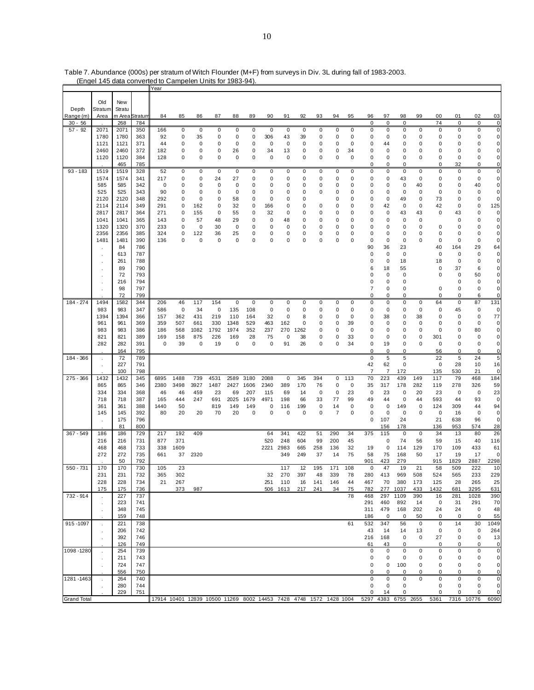|                    | Liga ito dala convenca lo |              |                        | Year                                                                                  | <b>Dampolon Onlie Tor Toop-34</b> |             |             |                  |             |             |          |                  |             |                |             |                |                |              |             |             |             |              |                          |
|--------------------|---------------------------|--------------|------------------------|---------------------------------------------------------------------------------------|-----------------------------------|-------------|-------------|------------------|-------------|-------------|----------|------------------|-------------|----------------|-------------|----------------|----------------|--------------|-------------|-------------|-------------|--------------|--------------------------|
|                    |                           |              |                        |                                                                                       |                                   |             |             |                  |             |             |          |                  |             |                |             |                |                |              |             |             |             |              |                          |
|                    | Old                       | New          |                        |                                                                                       |                                   |             |             |                  |             |             |          |                  |             |                |             |                |                |              |             |             |             |              |                          |
| Depth              | Stratum                   | Stratu       |                        |                                                                                       |                                   |             |             |                  |             |             |          |                  |             |                |             |                |                |              |             |             |             |              |                          |
| Range (m)          | Area                      |              | m Area <b>S</b> tratum | 84                                                                                    | 85                                | 86          | 87          | 88               | 89          | 90          | 91       | 92               | 93          | 94             | 95          | 96             | 97             | 98           | 99          | 00          | 01          | 02           | 03                       |
| $30 - 56$          |                           | 268          | 784                    |                                                                                       |                                   |             |             |                  |             |             |          |                  |             |                |             | $\mathbf 0$    | $\Omega$       | $\mathbf 0$  |             | 74          | $\mathbf 0$ | $\mathbf 0$  | $\overline{0}$           |
| $57 - 92$          | 2071                      | 2071<br>1780 | 350                    | 166                                                                                   | 0<br>0                            | 0           | 0<br>0      | 0<br>$\mathbf 0$ | 0<br>0      | 0<br>306    | 0        | 0<br>39          | 0           | 0              | 0           | 0              | 0              | 0            | 0           | 0           | 0           | 0            | $\mathbf 0$<br>$\pmb{0}$ |
|                    | 1780<br>1121              | 1121         | 363<br>371             | 92<br>44                                                                              | 0                                 | 35<br>0     | 0           | 0                | 0           | 0           | 43<br>0  | 0                | 0<br>0      | 0<br>0         | 0<br>0      | 0<br>0         | 0<br>44        | 0<br>0       | 0<br>0      | 0<br>0      | 0<br>0      | 0<br>0       | 0                        |
|                    | 2460                      | 2460         | 372                    | 182                                                                                   | 0                                 | 0           | 0           | 26               | 0           | 34          |          | 0                | 0           | 0              | 34          | 0              | 0              | 0            | 0           | 0           | 0           | 0            | 0                        |
|                    | 1120                      | 1120         | 384                    | 128                                                                                   | 0                                 | 0           | 0           | $\mathbf 0$      | 0           | 0           | 13<br>0  | 0                | 0           | 0              | 0           | 0              | 0              | 0            | 0           | 0           | 0           | 0            | $\pmb{0}$                |
|                    |                           | 465          | 785                    |                                                                                       |                                   |             |             |                  |             |             |          |                  |             |                |             | 0              | 0              | 0            |             | $\mathbf 0$ | 32          | 0            | 0                        |
| $93 - 183$         | 1519                      | 1519         | 328                    | 52                                                                                    | $\mathbf 0$                       | $\mathsf 0$ | $\mathbf 0$ | $\mathbf 0$      | $\mathbf 0$ | $\mathsf 0$ | 0        | $\pmb{0}$        | 0           | $\mathbf 0$    | 0           | 0              | 0              | $\mathbf 0$  | $\pmb{0}$   | $\mathbf 0$ | 0           | 0            | $\overline{0}$           |
|                    | 1574                      | 1574         | 341                    | 217                                                                                   | 0                                 | 0           | 24          | 27               | 0           | 0           | 0        | 0                | 0           | 0              | 0           | 0              | 0              | 43           | 0           | 0           | 0           | 0            | $\pmb{0}$                |
|                    | 585                       | 585          | 342                    | 0                                                                                     | 0                                 | 0           | 0           | 0                | 0           | 0           | 0        | 0                | 0           | 0              | 0           | 0              | 0              | $\mathbf 0$  | 40          | 0           | 0           | 40           | $\pmb{0}$                |
|                    | 525                       | 525          | 343                    | 90                                                                                    | 0                                 | 0           | 0           | $\mathbf 0$      | 0           | 0           | 0        | $\Omega$         | $\mathbf 0$ | 0              | 0           | 0              | 0              | $\mathbf 0$  | $\mathbf 0$ | 0           | 0           | 0            | $\pmb{0}$                |
|                    | 2120                      | 2120         | 348                    | 292                                                                                   | 0                                 | 0           | 0           | 58               | 0           | 0           | 0        | $\mathbf 0$      |             | 0              | 0           | 0              | 0              | 49           | 0           | 73          | 0           | 0            | 0                        |
|                    | 2114                      | 2114         | 349                    | 291                                                                                   | 0                                 | 162         | 0           | 32               | 0           | 166         | 0        | 0                | 0           | 0              | 0           | 0              | 42             | $\mathbf 0$  | 0           | 42          | 0           | 0            | 125                      |
|                    | 2817                      | 2817         | 364                    | 271                                                                                   | 0                                 | 155         | 0           | 55               | 0           | 32          | 0        | $\Omega$         | $\mathbf 0$ | 0              | 0           | 0              | 0              | 43           | 43          | $\mathbf 0$ | 43          | 0            | 0                        |
|                    | 1041                      | 1041         | 365                    | 143                                                                                   | 0                                 | 57          | 48          | 29               | 0           | 0           | 48       | 0                | 0           | 0              | 0           | 0              | 0              | $\mathbf 0$  | 0           |             | 0           | 0            | 0                        |
|                    | 1320                      | 1320         | 370                    | 233                                                                                   | 0                                 | 0           | 30          | 0                | 0           | 0           | 0        | 0                | 0           | 0              | 0           | 0              | 0              | $\mathbf 0$  | 0           | 0           | 0           | 0            | 0                        |
|                    | 2356                      | 2356         | 385                    | 324                                                                                   | 0                                 | 122         | 36          | 25               | 0           | 0           | 0        | 0                | 0           | 0              | 0           | 0              | 0              | 0            | 0           | 0           | 0           | 0            | $\pmb{0}$                |
|                    | 1481                      | 1481         | 390                    | 136                                                                                   | 0                                 | 0           | 0           | 0                | 0           | 0           | 0        | $\Omega$         | $\mathbf 0$ | 0              | $\Omega$    | 0              | 0              | $\mathbf 0$  | 0           | 0           | 0           | 0            | 0                        |
|                    |                           | 84           | 786                    |                                                                                       |                                   |             |             |                  |             |             |          |                  |             |                |             | 90             | 36             | 23           |             | 40          | 164         | 29           | 64                       |
|                    |                           | 613          | 787                    |                                                                                       |                                   |             |             |                  |             |             |          |                  |             |                |             | 0              | 0              | $\mathbf 0$  |             | 0           | 0           | 0            | 0                        |
|                    |                           | 261          | 788                    |                                                                                       |                                   |             |             |                  |             |             |          |                  |             |                |             | 0              | 0              | 18           |             | 18          | 0           | 0            | 0                        |
|                    |                           | 89           | 790                    |                                                                                       |                                   |             |             |                  |             |             |          |                  |             |                |             | 6              | 18             | 55           |             | 0           | 37          | 6            | 0                        |
|                    |                           | 72           | 793                    |                                                                                       |                                   |             |             |                  |             |             |          |                  |             |                |             | 0              | 0              | 0            |             | 0           | 0           | 50           | 0                        |
|                    |                           | 216          | 794                    |                                                                                       |                                   |             |             |                  |             |             |          |                  |             |                |             | 0              | 0              | 0            |             |             | 0           | 0            | 0                        |
|                    |                           | 98           | 797                    |                                                                                       |                                   |             |             |                  |             |             |          |                  |             |                |             | 7              | 0              | $\mathbf 0$  |             | 0           | 0           | 0            | $\pmb{0}$                |
|                    |                           | 72           | 799                    |                                                                                       |                                   |             |             |                  |             |             |          |                  |             |                |             | $\mathbf 0$    | $\Omega$       | 0            |             | $\mathbf 0$ | $\Omega$    | 6            | 0                        |
| 184 - 274          | 1494                      | 1582         | 344                    | 206                                                                                   | 46                                | 117         | 154         | 0                | $\mathbf 0$ | 0           | 0        | 0                | 0           | 0              | 0           | 0              | 0              | 0            | 0           | 64          | 0           | 87           | 131                      |
|                    | 983                       | 983          | 347                    | 586                                                                                   | 0                                 | 34          | 0           | 135              | 108         | 0           | 0        | 0                | 0           | 0              | 0           | 0              | 0              | 0            | $\mathbf 0$ | 0           | 45          | 0            | 0                        |
|                    | 1394<br>961               | 1394         | 366<br>369             | 157<br>359                                                                            | 362<br>507                        | 431<br>661  | 219<br>330  | 110<br>1348      | 164<br>529  | 32          | 0<br>162 | 8<br>$\mathbf 0$ | 0           | 0<br>0         | 0<br>39     | 0<br>0         | 38             | 0<br>0       | 38<br>0     | 0<br>0      | 0<br>0      | 0<br>0       | 77<br>0                  |
|                    | 983                       | 961<br>983   | 386                    | 186                                                                                   | 568                               | 1082        | 1792        | 1974             | 352         | 463<br>237  | 270      | 1262             | 0<br>0      | 0              | 0           | 0              | 0<br>0         | 0            | 0           | 0           | 0           | 80           | $\pmb{0}$                |
|                    | 821                       | 821          | 389                    | 169                                                                                   | 158                               | 875         | 226         | 169              | 28          | 75          | 0        | 38               | 0           | 0              | 33          | 0              | 0              | 0            | 0           | 301         | 0           | 0            | 0                        |
|                    | 282                       | 282          | 391                    | 0                                                                                     | 39                                | 0           | 19          | $\mathbf 0$      | $\mathbf 0$ | 0           | 91       | 26               | 0           | 0              | 34          | 0              | 19             | $\mathbf 0$  | 0           | 0           | 0           | 0            | 0                        |
|                    |                           | 164          | 795                    |                                                                                       |                                   |             |             |                  |             |             |          |                  |             |                |             | 0              | 0              | 0            |             | 56          | 0           | 0            | $\pmb{0}$                |
| 184 - 366          |                           | 72           | 789                    |                                                                                       |                                   |             |             |                  |             |             |          |                  |             |                |             | 0              | 5              | 5            |             | 22          | 5           | 24           | $\overline{5}$           |
|                    |                           | 227          | 791                    |                                                                                       |                                   |             |             |                  |             |             |          |                  |             |                |             | 42             | 62             | 0            |             | 0           | 28          | 10           | 16                       |
|                    |                           | 100          | 798                    |                                                                                       |                                   |             |             |                  |             |             |          |                  |             |                |             | $\overline{7}$ | $\overline{7}$ | 172          |             | 135         | 530         | 21           | 0                        |
| 275 - 366          | 1432                      | 1432         | 345                    | 6895                                                                                  | 1488                              | 739         | 4531        | 2589             | 3180        | 2088        | 0        | 345              | 394         | 0              | 113         | 70             | 223            | 439          | 149         | 117         | 79          | 468          | 184                      |
|                    | 865                       | 865          | 346                    | 2380                                                                                  | 3498                              | 3927        | 1487        | 2427             | 1606        | 2340        | 389      | 170              | 76          | 0              | 0           | 35             | 317            | 178          | 282         | 119         | 278         | 326          | 59                       |
|                    | 334                       | 334          | 368                    | 46                                                                                    | 46                                | 459         | 23          | 69               | 207         | 115         | 69       | 14               | $\mathbf 0$ | 0              | 23          | 0              | 23             | $\mathbf 0$  | 20          | 23          | 0           | 0            | 23                       |
|                    | 718                       | 718          | 387                    | 165                                                                                   | 444                               | 247         | 691         | 2025             | 1679        | 4971        | 198      | 66               | 33          | 77             | 99          | 49             | 44             | $\mathbf 0$  | 44          | 593         | 44          | 93           | $\mathbf 0$              |
|                    | 361                       | 361          | 388                    | 1440                                                                                  | 50                                |             | 819         | 149              | 149         | 0           | 116      | 199              | 0           | 14             | 0           | 0              | 0              | 149          | $\mathbf 0$ | 124         | 309         | 44           | 94                       |
|                    | 145                       | 145          | 392                    | 80                                                                                    | 20                                | 20          | 70          | 20               | 0           | 0           | 0        | 0                | 0           | $\overline{7}$ | $\mathbf 0$ | 0              | 0              | $\mathbf 0$  | 0           | 0           | 16          | 0            | 0                        |
|                    |                           | 175          | 796                    |                                                                                       |                                   |             |             |                  |             |             |          |                  |             |                |             | 0              | 107            | 24           |             | 21          | 638         | 96           | 0                        |
|                    |                           | 81           | 800                    |                                                                                       |                                   |             |             |                  |             |             |          |                  |             |                |             |                | 156            | 178          |             | 136         | 953         | 574          | 28                       |
| $367 - 549$        | 186                       | 186          | 729                    | 217                                                                                   | 192                               | 409         |             |                  |             | 64          | 341      | 422              | 51          | 290            | 34          | 375            | 115            | 0            | 0           | 34          | 13          | 80           | 26                       |
|                    | 216                       | 216          | 731                    | 877                                                                                   | 371                               |             |             |                  |             | 520         | 248      | 604              | 99          | 200            | 45          |                | 0              | 74           | 56          | 59          | 15          | 40           | 116                      |
|                    | 468                       | 468          | 733                    | 338                                                                                   | 1609                              |             |             |                  |             | 2221        | 2983     | 665              | 258         | 136            | 32          | 19             | 0              | 114          | 129         | 170         | 109         | 433          | 61                       |
|                    | 272                       | 272          | 735                    | 661                                                                                   | 37                                | 2320        |             |                  |             |             | 349      | 249              | 37          | 14             | 75          | 58             | 75             | 168          | 50          | 17          | 19          | 17           | 0                        |
|                    |                           | 50           | 792                    |                                                                                       |                                   |             |             |                  |             |             |          |                  |             |                |             | 901            | 423            | 279          |             | 915         | 1829        | 2887         | 2298                     |
| 550 - 731          | 170                       | 170          | 730                    | 105                                                                                   | 23                                |             |             |                  |             |             | 117      | 12               | 195         | 171            | 108         | 0              | 47             | 19           | 21          | 58          | 509         | 222          | 10                       |
|                    | 231                       | 231          | 732                    | 365                                                                                   | 302                               |             |             |                  |             | 32          | 270      | 397              | 48          | 339            | 78          | 280            | 413            | 969          | 508         | 524         | 565         | 233          | 229                      |
|                    | 228                       | 228          | 734                    | 21                                                                                    | 267                               |             |             |                  |             | 251         | 110      | 16               | 141         | 146            | 44          | 467            | 70             | 380          | 173         | 125         | 28          | 265          | 25                       |
| 732 - 914          | 175                       | 175          | 736                    |                                                                                       | 373                               | 987         |             |                  |             | 506         | 1613     | 217              | 241         | 34             | 75<br>78    | 782            | 277            | 1037<br>1109 | 433<br>390  | 1432        | 681         | 3295<br>1028 | 631                      |
|                    |                           | 227<br>223   | 737<br>741             |                                                                                       |                                   |             |             |                  |             |             |          |                  |             |                |             | 468<br>291     | 297<br>460     | 892          | 14          | 16<br>0     | 281<br>31   | 291          | 390<br>70                |
|                    |                           | 348          | 745                    |                                                                                       |                                   |             |             |                  |             |             |          |                  |             |                |             | 311            | 479            | 168          | 202         | 24          | 24          | 0            | 48                       |
|                    |                           | 159          | 748                    |                                                                                       |                                   |             |             |                  |             |             |          |                  |             |                |             | 186            | 0              | 0            | 50          | 0           | 0           | 0            | 55                       |
| 915-1097           | $\epsilon$                | 221          | 738                    |                                                                                       |                                   |             |             |                  |             |             |          |                  |             |                | 61          | 532            | 347            | 56           | 0           | 0           | 14          | 30           | 1049                     |
|                    |                           | 206          | 742                    |                                                                                       |                                   |             |             |                  |             |             |          |                  |             |                |             | 43             | 14             | 14           | 13          | 0           | 0           | 0            | 264                      |
|                    | $\blacksquare$            | 392          | 746                    |                                                                                       |                                   |             |             |                  |             |             |          |                  |             |                |             | 216            | 168            | 0            | 0           | 27          | 0           | 0            | 13                       |
|                    |                           | 126          | 749                    |                                                                                       |                                   |             |             |                  |             |             |          |                  |             |                |             | 61             | 43             | 0            |             | 0           | 0           | 0            | 0                        |
| 1098 - 1280        |                           | 254          | 739                    |                                                                                       |                                   |             |             |                  |             |             |          |                  |             |                |             | 0              | 0              | 0            | 0           | 0           | 0           | 0            | $\pmb{0}$                |
|                    |                           | 211          | 743                    |                                                                                       |                                   |             |             |                  |             |             |          |                  |             |                |             | 0              | 0              | 0            | 0           | 0           | 0           | 0            | 0                        |
|                    |                           | 724          | 747                    |                                                                                       |                                   |             |             |                  |             |             |          |                  |             |                |             | 0              | 0              | 100          | 0           | 0           | 0           | 0            | 0                        |
|                    |                           | 556          | 750                    |                                                                                       |                                   |             |             |                  |             |             |          |                  |             |                |             | 0              | 0              | 0            | 0           | 0           | 0           | 0            | 0                        |
| 1281-1463          |                           | 264          | 740                    |                                                                                       |                                   |             |             |                  |             |             |          |                  |             |                |             | 0              | 0              | 0            | 0           | 0           | 0           | 0            | 0                        |
|                    |                           | 280          | 744                    |                                                                                       |                                   |             |             |                  |             |             |          |                  |             |                |             | 0              | 0              | 0            |             | 0           | 0           | 0            | 0                        |
|                    |                           | 229          | 751                    |                                                                                       |                                   |             |             |                  |             |             |          |                  |             |                |             | 0              | 14             | 0            |             | 0           | 0           | 0            | 0                        |
| <b>Grand Total</b> |                           |              |                        | 17914 10401 12839 10500 11269 8002 14453 7428 4748 1572 1428 1004 5297 4383 6755 2655 |                                   |             |             |                  |             |             |          |                  |             |                |             |                |                |              |             | 5361        |             | 7316 10776   | 6090                     |

Table 7. Abundance (000s) per stratum of Witch Flounder (M+F) from surveys in Div. 3L during fall of 1983-2003. (Engel 145 data converted to Campelen Units for 1983-94).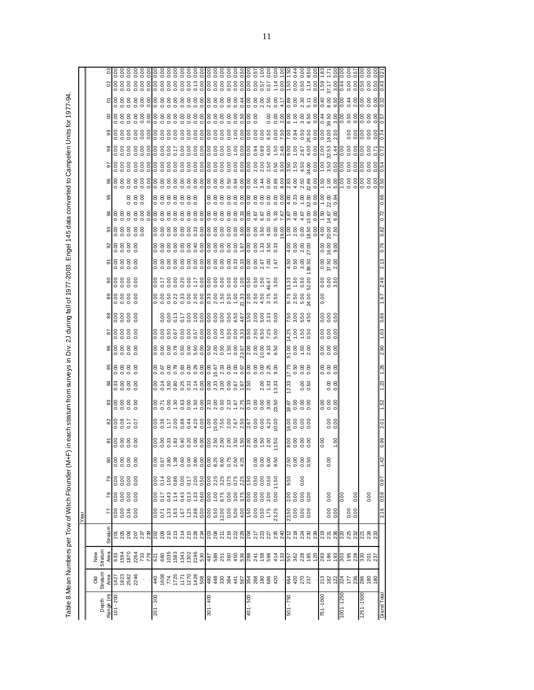Table 8.Mean Numbers per Tow of Witch Flounder (M+F) in each stratum from surveys in Div. 2J during fall of 1977-2003. Engel 145 data converted to Campelen Units for 1977-94. Table 8.Mean Numbers per Tow of Witch Flounder (M+F) in each stratum from surveys in Div. 2J during fall of 1977-2003. Engel 145 data converted to Campelen Units for 1977-94.

|             |                                                                                                                                                                                                                                                                                                                                                                                                                                                                         |                                |                                     | Year                                                           |                      |              |                                                     |                            |                    |                                                                       |                       |                                                                                                                                                                                                                   |                                                                                |                                                                                                                                                                            |                                                                     |                                                                                                                                                                                                                                                                                                                       |           |                    |                   |  |  |  |  |
|-------------|-------------------------------------------------------------------------------------------------------------------------------------------------------------------------------------------------------------------------------------------------------------------------------------------------------------------------------------------------------------------------------------------------------------------------------------------------------------------------|--------------------------------|-------------------------------------|----------------------------------------------------------------|----------------------|--------------|-----------------------------------------------------|----------------------------|--------------------|-----------------------------------------------------------------------|-----------------------|-------------------------------------------------------------------------------------------------------------------------------------------------------------------------------------------------------------------|--------------------------------------------------------------------------------|----------------------------------------------------------------------------------------------------------------------------------------------------------------------------|---------------------------------------------------------------------|-----------------------------------------------------------------------------------------------------------------------------------------------------------------------------------------------------------------------------------------------------------------------------------------------------------------------|-----------|--------------------|-------------------|--|--|--|--|
|             |                                                                                                                                                                                                                                                                                                                                                                                                                                                                         |                                |                                     |                                                                |                      |              |                                                     |                            |                    |                                                                       |                       |                                                                                                                                                                                                                   |                                                                                |                                                                                                                                                                            |                                                                     |                                                                                                                                                                                                                                                                                                                       |           |                    |                   |  |  |  |  |
|             |                                                                                                                                                                                                                                                                                                                                                                                                                                                                         |                                |                                     |                                                                |                      |              |                                                     |                            |                    |                                                                       |                       |                                                                                                                                                                                                                   |                                                                                |                                                                                                                                                                            |                                                                     |                                                                                                                                                                                                                                                                                                                       |           |                    |                   |  |  |  |  |
| Depth       | Old<br>Stratum                                                                                                                                                                                                                                                                                                                                                                                                                                                          | Stratum<br>New                 |                                     |                                                                |                      |              |                                                     |                            |                    |                                                                       |                       |                                                                                                                                                                                                                   |                                                                                |                                                                                                                                                                            |                                                                     |                                                                                                                                                                                                                                                                                                                       |           |                    |                   |  |  |  |  |
| Range (m)   | Area                                                                                                                                                                                                                                                                                                                                                                                                                                                                    |                                | Straturr                            | $\overline{7}$                                                 | $78$                 | 79           | 80                                                  |                            |                    |                                                                       |                       |                                                                                                                                                                                                                   |                                                                                |                                                                                                                                                                            |                                                                     |                                                                                                                                                                                                                                                                                                                       |           |                    | ඝ                 |  |  |  |  |
| $101 - 200$ |                                                                                                                                                                                                                                                                                                                                                                                                                                                                         |                                |                                     |                                                                |                      |              |                                                     | <u>။</u><br>မြို့ဒိုဒိုဒို | ္မွုဒ္တိုဒ္တိုဒ္တိ | $\frac{1}{3}$ $\frac{1}{3}$ $\frac{3}{5}$ $\frac{5}{5}$ $\frac{5}{5}$ |                       | $\frac{88}{36555}$                                                                                                                                                                                                |                                                                                | $\frac{8}{6}$ $\frac{8}{6}$ $\frac{8}{6}$ $\frac{8}{6}$ $\frac{8}{6}$ $\frac{8}{6}$<br>$\frac{8}{3}$ $\frac{8}{3}$ $\frac{8}{3}$ $\frac{8}{3}$ $\frac{8}{3}$ $\frac{8}{3}$ | န္တုဒ္တိုဒ္တိုဒ္တိ                                                  | န္ကုဒ္က်ီး ဒီ ဒီ                                                                                                                                                                                                                                                                                                      | ale e e e | ် မြို့ ၁၉ ခု ချွံ |                   |  |  |  |  |
|             |                                                                                                                                                                                                                                                                                                                                                                                                                                                                         |                                |                                     |                                                                |                      |              |                                                     |                            |                    |                                                                       |                       |                                                                                                                                                                                                                   |                                                                                |                                                                                                                                                                            |                                                                     |                                                                                                                                                                                                                                                                                                                       |           |                    |                   |  |  |  |  |
|             | $7427$<br>$7828$<br>$282$<br>$282$                                                                                                                                                                                                                                                                                                                                                                                                                                      |                                | 5 5 8 5 5 7 8 8 9 9 9 9 9           | 0.00<br>0.00<br>0.00<br>0.00                                   | 8888                 | e e e e<br>S | 8888                                                |                            |                    |                                                                       |                       |                                                                                                                                                                                                                   |                                                                                |                                                                                                                                                                            |                                                                     |                                                                                                                                                                                                                                                                                                                       |           |                    | $\frac{888}{200}$ |  |  |  |  |
|             |                                                                                                                                                                                                                                                                                                                                                                                                                                                                         |                                |                                     |                                                                |                      |              |                                                     |                            |                    |                                                                       |                       |                                                                                                                                                                                                                   |                                                                                |                                                                                                                                                                            |                                                                     |                                                                                                                                                                                                                                                                                                                       |           |                    |                   |  |  |  |  |
|             | $\epsilon$                                                                                                                                                                                                                                                                                                                                                                                                                                                              |                                |                                     |                                                                |                      |              |                                                     |                            |                    |                                                                       |                       |                                                                                                                                                                                                                   |                                                                                |                                                                                                                                                                            |                                                                     |                                                                                                                                                                                                                                                                                                                       |           |                    |                   |  |  |  |  |
|             |                                                                                                                                                                                                                                                                                                                                                                                                                                                                         |                                |                                     |                                                                |                      |              |                                                     |                            |                    |                                                                       |                       |                                                                                                                                                                                                                   |                                                                                |                                                                                                                                                                            |                                                                     |                                                                                                                                                                                                                                                                                                                       |           |                    |                   |  |  |  |  |
| 008-102     |                                                                                                                                                                                                                                                                                                                                                                                                                                                                         |                                |                                     |                                                                |                      |              |                                                     |                            |                    |                                                                       |                       |                                                                                                                                                                                                                   |                                                                                |                                                                                                                                                                            |                                                                     |                                                                                                                                                                                                                                                                                                                       |           |                    |                   |  |  |  |  |
|             |                                                                                                                                                                                                                                                                                                                                                                                                                                                                         |                                |                                     |                                                                | 0.07<br>0.43<br>0.43 |              |                                                     |                            |                    |                                                                       |                       |                                                                                                                                                                                                                   |                                                                                |                                                                                                                                                                            |                                                                     |                                                                                                                                                                                                                                                                                                                       |           |                    |                   |  |  |  |  |
|             |                                                                                                                                                                                                                                                                                                                                                                                                                                                                         |                                |                                     |                                                                |                      |              |                                                     |                            |                    |                                                                       |                       |                                                                                                                                                                                                                   |                                                                                |                                                                                                                                                                            |                                                                     |                                                                                                                                                                                                                                                                                                                       |           |                    |                   |  |  |  |  |
|             |                                                                                                                                                                                                                                                                                                                                                                                                                                                                         |                                |                                     |                                                                |                      |              |                                                     |                            |                    |                                                                       |                       |                                                                                                                                                                                                                   |                                                                                |                                                                                                                                                                            |                                                                     |                                                                                                                                                                                                                                                                                                                       |           |                    |                   |  |  |  |  |
|             |                                                                                                                                                                                                                                                                                                                                                                                                                                                                         |                                |                                     |                                                                |                      |              |                                                     |                            |                    |                                                                       |                       |                                                                                                                                                                                                                   |                                                                                |                                                                                                                                                                            |                                                                     |                                                                                                                                                                                                                                                                                                                       |           |                    |                   |  |  |  |  |
|             |                                                                                                                                                                                                                                                                                                                                                                                                                                                                         |                                |                                     |                                                                |                      |              |                                                     |                            |                    |                                                                       |                       |                                                                                                                                                                                                                   |                                                                                |                                                                                                                                                                            |                                                                     |                                                                                                                                                                                                                                                                                                                       |           |                    |                   |  |  |  |  |
|             |                                                                                                                                                                                                                                                                                                                                                                                                                                                                         |                                |                                     |                                                                |                      |              |                                                     |                            |                    |                                                                       |                       |                                                                                                                                                                                                                   |                                                                                |                                                                                                                                                                            |                                                                     |                                                                                                                                                                                                                                                                                                                       |           |                    |                   |  |  |  |  |
|             |                                                                                                                                                                                                                                                                                                                                                                                                                                                                         |                                |                                     |                                                                |                      |              |                                                     |                            |                    |                                                                       |                       |                                                                                                                                                                                                                   |                                                                                |                                                                                                                                                                            |                                                                     |                                                                                                                                                                                                                                                                                                                       |           |                    |                   |  |  |  |  |
| 00 + - 100  | $\begin{array}{r} \left[ \begin{array}{c} 4 & 6 \\ 6 & 6 \end{array} \right] \left[ \begin{array}{c} 2 & 6 \\ 2 & 6 \end{array} \right] \left[ \begin{array}{c} 2 & 6 \\ 2 & 6 \end{array} \right] \left[ \begin{array}{c} 2 & 6 \\ 2 & 6 \end{array} \right] \left[ \begin{array}{c} 2 & 6 \\ 2 & 6 \end{array} \right] \left[ \begin{array}{c} 2 & 6 \\ 2 & 6 \end{array} \right] \left[ \begin{array}{c} 2 & 6 \\ 2 & 6 \end{array} \right] \left[ \begin{array}{c}$ |                                | 2233532223422232342                 |                                                                |                      |              |                                                     |                            |                    |                                                                       |                       |                                                                                                                                                                                                                   |                                                                                |                                                                                                                                                                            |                                                                     | $\begin{bmatrix} 0 & 0 & 0 & 0 & 0 & 0 & 0 & 0 & 0 \\ 0 & 0 & 0 & 0 & 0 & 0 & 0 & 0 & 0 & 0 \\ 0 & 0 & 0 & 0 & 0 & 0 & 0 & 0 & 0 & 0 \\ 0 & 0 & 0 & 0 & 0 & 0 & 0 & 0 & 0 & 0 \\ 0 & 0 & 0 & 0 & 0 & 0 & 0 & 0 & 0 & 0 \\ 0 & 0 & 0 & 0 & 0 & 0 & 0 & 0 & 0 & 0 \\ 0 & 0 & 0 & 0 & 0 & 0 & 0 & 0 & 0 & 0 \\ 0 & 0 & $ |           |                    |                   |  |  |  |  |
|             |                                                                                                                                                                                                                                                                                                                                                                                                                                                                         |                                |                                     |                                                                |                      |              |                                                     |                            |                    |                                                                       |                       |                                                                                                                                                                                                                   |                                                                                |                                                                                                                                                                            |                                                                     |                                                                                                                                                                                                                                                                                                                       |           |                    |                   |  |  |  |  |
|             |                                                                                                                                                                                                                                                                                                                                                                                                                                                                         |                                |                                     |                                                                |                      |              |                                                     |                            |                    |                                                                       |                       |                                                                                                                                                                                                                   |                                                                                |                                                                                                                                                                            |                                                                     |                                                                                                                                                                                                                                                                                                                       |           |                    |                   |  |  |  |  |
|             |                                                                                                                                                                                                                                                                                                                                                                                                                                                                         |                                |                                     |                                                                |                      |              |                                                     |                            |                    |                                                                       |                       |                                                                                                                                                                                                                   |                                                                                |                                                                                                                                                                            |                                                                     |                                                                                                                                                                                                                                                                                                                       |           |                    |                   |  |  |  |  |
|             |                                                                                                                                                                                                                                                                                                                                                                                                                                                                         |                                |                                     |                                                                |                      |              |                                                     |                            |                    |                                                                       |                       |                                                                                                                                                                                                                   |                                                                                |                                                                                                                                                                            |                                                                     |                                                                                                                                                                                                                                                                                                                       |           |                    |                   |  |  |  |  |
|             |                                                                                                                                                                                                                                                                                                                                                                                                                                                                         |                                |                                     |                                                                |                      |              |                                                     |                            |                    |                                                                       |                       |                                                                                                                                                                                                                   |                                                                                |                                                                                                                                                                            |                                                                     |                                                                                                                                                                                                                                                                                                                       |           |                    |                   |  |  |  |  |
| 009 - 10    |                                                                                                                                                                                                                                                                                                                                                                                                                                                                         |                                |                                     |                                                                |                      |              |                                                     |                            |                    |                                                                       |                       |                                                                                                                                                                                                                   |                                                                                |                                                                                                                                                                            |                                                                     |                                                                                                                                                                                                                                                                                                                       |           |                    |                   |  |  |  |  |
|             |                                                                                                                                                                                                                                                                                                                                                                                                                                                                         |                                |                                     |                                                                |                      |              |                                                     |                            |                    |                                                                       |                       |                                                                                                                                                                                                                   |                                                                                |                                                                                                                                                                            |                                                                     |                                                                                                                                                                                                                                                                                                                       |           |                    |                   |  |  |  |  |
|             |                                                                                                                                                                                                                                                                                                                                                                                                                                                                         |                                |                                     |                                                                |                      |              |                                                     |                            |                    |                                                                       |                       |                                                                                                                                                                                                                   |                                                                                |                                                                                                                                                                            |                                                                     |                                                                                                                                                                                                                                                                                                                       |           |                    |                   |  |  |  |  |
|             |                                                                                                                                                                                                                                                                                                                                                                                                                                                                         |                                |                                     |                                                                |                      |              | 8888<br>888                                         |                            |                    |                                                                       |                       |                                                                                                                                                                                                                   |                                                                                |                                                                                                                                                                            |                                                                     |                                                                                                                                                                                                                                                                                                                       |           |                    |                   |  |  |  |  |
|             |                                                                                                                                                                                                                                                                                                                                                                                                                                                                         |                                |                                     |                                                                |                      |              |                                                     |                            |                    |                                                                       |                       |                                                                                                                                                                                                                   |                                                                                |                                                                                                                                                                            |                                                                     |                                                                                                                                                                                                                                                                                                                       |           |                    |                   |  |  |  |  |
|             |                                                                                                                                                                                                                                                                                                                                                                                                                                                                         |                                |                                     |                                                                |                      |              |                                                     |                            |                    |                                                                       |                       |                                                                                                                                                                                                                   |                                                                                |                                                                                                                                                                            |                                                                     |                                                                                                                                                                                                                                                                                                                       |           |                    |                   |  |  |  |  |
| 092 - 109   |                                                                                                                                                                                                                                                                                                                                                                                                                                                                         |                                |                                     |                                                                |                      | 9.50         |                                                     |                            |                    | 12.33                                                                 |                       |                                                                                                                                                                                                                   |                                                                                |                                                                                                                                                                            |                                                                     |                                                                                                                                                                                                                                                                                                                       |           |                    |                   |  |  |  |  |
|             | 8888                                                                                                                                                                                                                                                                                                                                                                                                                                                                    |                                |                                     | $\frac{50}{23.50}$<br>0.000<br>0.00                            |                      |              | $\begin{array}{c} 2.50 \\ 0.00 \\ 0.05 \end{array}$ |                            | 0000<br>0000<br>29 |                                                                       | $\frac{17.58}{20.50}$ | $\frac{8}{5}$ $\frac{8}{5}$ $\frac{8}{5}$ $\frac{8}{5}$ $\frac{8}{5}$ $\frac{8}{5}$ $\frac{8}{5}$ $\frac{8}{5}$ $\frac{8}{5}$ $\frac{8}{5}$ $\frac{8}{5}$ $\frac{8}{5}$ $\frac{8}{5}$ $\frac{8}{5}$ $\frac{8}{5}$ | $\frac{14}{4}$ = $\frac{5}{4}$ = $\frac{5}{4}$ = $\frac{5}{4}$ = $\frac{5}{4}$ | $\frac{8}{9}$ $\frac{8}{9}$ $\frac{8}{9}$ $\frac{8}{9}$ $\frac{8}{9}$ $\frac{8}{9}$ $\frac{8}{9}$                                                                          | $\begin{bmatrix} 33 \\ 13.3 \\ -1.50 \\ 0.50 \\ 0.20 \end{bmatrix}$ |                                                                                                                                                                                                                                                                                                                       |           |                    |                   |  |  |  |  |
|             |                                                                                                                                                                                                                                                                                                                                                                                                                                                                         |                                |                                     |                                                                |                      | 0.00         |                                                     |                            |                    | 8.50<br>0.50                                                          |                       |                                                                                                                                                                                                                   |                                                                                |                                                                                                                                                                            |                                                                     |                                                                                                                                                                                                                                                                                                                       |           |                    |                   |  |  |  |  |
|             |                                                                                                                                                                                                                                                                                                                                                                                                                                                                         |                                | 2 2 3 3 3<br>2 3 3 3 3<br>2 4 2 3 3 |                                                                |                      |              |                                                     |                            |                    |                                                                       |                       |                                                                                                                                                                                                                   |                                                                                |                                                                                                                                                                            |                                                                     |                                                                                                                                                                                                                                                                                                                       |           |                    |                   |  |  |  |  |
| 751-1000    |                                                                                                                                                                                                                                                                                                                                                                                                                                                                         |                                |                                     |                                                                |                      |              |                                                     | 0.00                       |                    |                                                                       |                       |                                                                                                                                                                                                                   |                                                                                | 0.00                                                                                                                                                                       |                                                                     |                                                                                                                                                                                                                                                                                                                       |           |                    |                   |  |  |  |  |
|             |                                                                                                                                                                                                                                                                                                                                                                                                                                                                         |                                |                                     |                                                                |                      |              | 0.00                                                |                            |                    |                                                                       |                       |                                                                                                                                                                                                                   |                                                                                |                                                                                                                                                                            |                                                                     |                                                                                                                                                                                                                                                                                                                       |           |                    |                   |  |  |  |  |
|             | $\frac{288}{282}$ $\frac{22}{25}$ $\frac{22}{25}$ $\frac{22}{25}$ $\frac{22}{25}$ $\frac{22}{25}$ $\frac{22}{25}$ $\frac{22}{25}$ $\frac{22}{25}$ $\frac{22}{25}$ $\frac{22}{25}$ $\frac{22}{25}$ $\frac{22}{25}$ $\frac{22}{25}$ $\frac{22}{25}$ $\frac{22}{25}$ $\frac{22}{25}$ $\frac{22}{25}$ $\frac$                                                                                                                                                               | 283<br>289<br>289<br>289<br>28 | $\frac{88}{25}$                     | $\begin{smallmatrix} 0 & 0 & 0 \\ 0 & 0 & 0 \end{smallmatrix}$ | 0.00                 |              |                                                     | 50                         |                    | 0.00000                                                               | 888                   | $\frac{88}{60}$                                                                                                                                                                                                   | 0.00<br>0.00<br>0.00<br>00<br>000<br>000                                       |                                                                                                                                                                            |                                                                     |                                                                                                                                                                                                                                                                                                                       |           |                    |                   |  |  |  |  |
| 1001-1250   |                                                                                                                                                                                                                                                                                                                                                                                                                                                                         |                                |                                     |                                                                | 0.00                 |              |                                                     |                            |                    |                                                                       |                       |                                                                                                                                                                                                                   |                                                                                |                                                                                                                                                                            |                                                                     |                                                                                                                                                                                                                                                                                                                       |           |                    |                   |  |  |  |  |
|             |                                                                                                                                                                                                                                                                                                                                                                                                                                                                         |                                |                                     |                                                                |                      |              |                                                     |                            |                    |                                                                       |                       |                                                                                                                                                                                                                   |                                                                                |                                                                                                                                                                            |                                                                     |                                                                                                                                                                                                                                                                                                                       |           |                    |                   |  |  |  |  |
|             |                                                                                                                                                                                                                                                                                                                                                                                                                                                                         |                                | 225<br>232                          | 0.00                                                           | 0.00                 |              |                                                     |                            |                    |                                                                       |                       |                                                                                                                                                                                                                   |                                                                                |                                                                                                                                                                            |                                                                     |                                                                                                                                                                                                                                                                                                                       |           |                    |                   |  |  |  |  |
| 1251-1500   |                                                                                                                                                                                                                                                                                                                                                                                                                                                                         | 1922<br>102<br>102             | 22<br>223                           |                                                                |                      |              |                                                     |                            |                    |                                                                       |                       |                                                                                                                                                                                                                   |                                                                                |                                                                                                                                                                            |                                                                     |                                                                                                                                                                                                                                                                                                                       |           |                    |                   |  |  |  |  |
|             |                                                                                                                                                                                                                                                                                                                                                                                                                                                                         |                                |                                     |                                                                | 0.00                 |              |                                                     |                            |                    |                                                                       |                       |                                                                                                                                                                                                                   |                                                                                |                                                                                                                                                                            |                                                                     |                                                                                                                                                                                                                                                                                                                       |           |                    |                   |  |  |  |  |
|             |                                                                                                                                                                                                                                                                                                                                                                                                                                                                         |                                |                                     |                                                                |                      |              |                                                     |                            |                    |                                                                       |                       |                                                                                                                                                                                                                   |                                                                                |                                                                                                                                                                            |                                                                     |                                                                                                                                                                                                                                                                                                                       |           |                    |                   |  |  |  |  |
| Grand Tota  |                                                                                                                                                                                                                                                                                                                                                                                                                                                                         |                                |                                     | 2.16                                                           | 0.59                 | 0.97         | 1.42                                                |                            |                    |                                                                       |                       |                                                                                                                                                                                                                   |                                                                                |                                                                                                                                                                            |                                                                     |                                                                                                                                                                                                                                                                                                                       |           |                    |                   |  |  |  |  |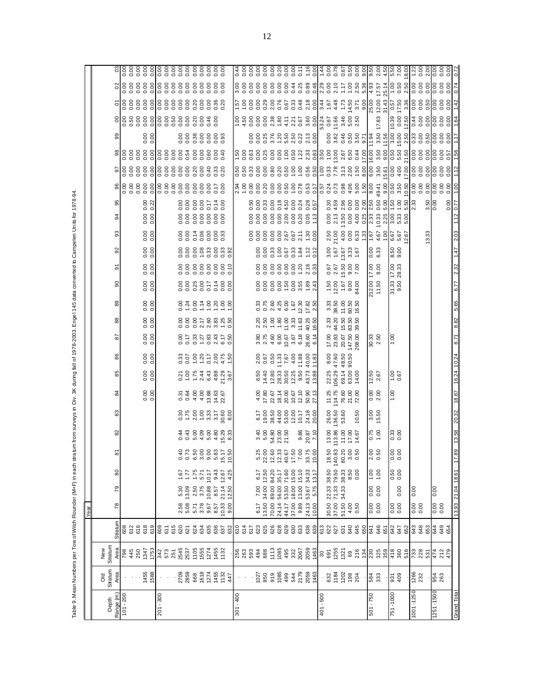Table 9. Mean Numbers per Tow of Witch Flounder (M+F) in each stratum from surveys in Div. 3K during fall of 1978-2003. Engel 145 data converted to Campelen Units for 1978-94. Table 9. Mean Numbers per Tow of Witch Flounder (M+F) in each stratum from surveys in Div. 3K during fall of 1978-2003. Engel 145 data converted to Campelen Units for 1978-94.

|             |                                                                                                           |                                                                                        |                      | Year          |                                              |               |                                                                                                                                                                                                                                                                                                     |                                                                              |                          |                                                       |                                              |                                                                                                                                                                                                                                                                                                     |                           |                                                                                                                                                                                                                                                                                                                                              |                                   |                                                                            |                                                                                                                |                                                                                                                                                                                                                                                                                                     |                                                                                                                                                                                                                                |                                                                  |                                                                         |                                                                                                                                                                                                                                                                                                                                                                                                                  |                                                                                                                                                                                                                                               |                                                                                                                                                                                                                                                                                                                                                                     |                                                                                                                                                                                                                                                                                                                                |                               |                  |  |
|-------------|-----------------------------------------------------------------------------------------------------------|----------------------------------------------------------------------------------------|----------------------|---------------|----------------------------------------------|---------------|-----------------------------------------------------------------------------------------------------------------------------------------------------------------------------------------------------------------------------------------------------------------------------------------------------|------------------------------------------------------------------------------|--------------------------|-------------------------------------------------------|----------------------------------------------|-----------------------------------------------------------------------------------------------------------------------------------------------------------------------------------------------------------------------------------------------------------------------------------------------------|---------------------------|----------------------------------------------------------------------------------------------------------------------------------------------------------------------------------------------------------------------------------------------------------------------------------------------------------------------------------------------|-----------------------------------|----------------------------------------------------------------------------|----------------------------------------------------------------------------------------------------------------|-----------------------------------------------------------------------------------------------------------------------------------------------------------------------------------------------------------------------------------------------------------------------------------------------------|--------------------------------------------------------------------------------------------------------------------------------------------------------------------------------------------------------------------------------|------------------------------------------------------------------|-------------------------------------------------------------------------|------------------------------------------------------------------------------------------------------------------------------------------------------------------------------------------------------------------------------------------------------------------------------------------------------------------------------------------------------------------------------------------------------------------|-----------------------------------------------------------------------------------------------------------------------------------------------------------------------------------------------------------------------------------------------|---------------------------------------------------------------------------------------------------------------------------------------------------------------------------------------------------------------------------------------------------------------------------------------------------------------------------------------------------------------------|--------------------------------------------------------------------------------------------------------------------------------------------------------------------------------------------------------------------------------------------------------------------------------------------------------------------------------|-------------------------------|------------------|--|
|             | <b>DIO</b>                                                                                                | New                                                                                    |                      |               |                                              |               |                                                                                                                                                                                                                                                                                                     |                                                                              |                          |                                                       |                                              |                                                                                                                                                                                                                                                                                                     |                           |                                                                                                                                                                                                                                                                                                                                              |                                   |                                                                            |                                                                                                                |                                                                                                                                                                                                                                                                                                     |                                                                                                                                                                                                                                |                                                                  |                                                                         |                                                                                                                                                                                                                                                                                                                                                                                                                  |                                                                                                                                                                                                                                               |                                                                                                                                                                                                                                                                                                                                                                     |                                                                                                                                                                                                                                                                                                                                |                               |                  |  |
| Depth       | Stratum                                                                                                   | Stratum                                                                                |                      |               |                                              |               |                                                                                                                                                                                                                                                                                                     |                                                                              |                          |                                                       |                                              |                                                                                                                                                                                                                                                                                                     |                           |                                                                                                                                                                                                                                                                                                                                              |                                   |                                                                            |                                                                                                                |                                                                                                                                                                                                                                                                                                     |                                                                                                                                                                                                                                |                                                                  |                                                                         |                                                                                                                                                                                                                                                                                                                                                                                                                  |                                                                                                                                                                                                                                               |                                                                                                                                                                                                                                                                                                                                                                     |                                                                                                                                                                                                                                                                                                                                |                               |                  |  |
| Range (m)   | Area                                                                                                      | Area                                                                                   | Stratum              | 78            | 79                                           | 80            |                                                                                                                                                                                                                                                                                                     |                                                                              |                          | ಹ                                                     |                                              | 86                                                                                                                                                                                                                                                                                                  | 5                         | 88                                                                                                                                                                                                                                                                                                                                           | ಙ                                 | ဓ                                                                          | వ్                                                                                                             | ္တ<br>္တ                                                                                                                                                                                                                                                                                            | ठ                                                                                                                                                                                                                              | 95                                                               |                                                                         |                                                                                                                                                                                                                                                                                                                                                                                                                  |                                                                                                                                                                                                                                               |                                                                                                                                                                                                                                                                                                                                                                     |                                                                                                                                                                                                                                                                                                                                |                               |                  |  |
| $101 - 200$ |                                                                                                           | <b>8845</b><br>445                                                                     | 802<br>819<br>819    |               |                                              |               |                                                                                                                                                                                                                                                                                                     |                                                                              |                          |                                                       |                                              |                                                                                                                                                                                                                                                                                                     |                           |                                                                                                                                                                                                                                                                                                                                              |                                   |                                                                            |                                                                                                                |                                                                                                                                                                                                                                                                                                     |                                                                                                                                                                                                                                |                                                                  |                                                                         |                                                                                                                                                                                                                                                                                                                                                                                                                  |                                                                                                                                                                                                                                               |                                                                                                                                                                                                                                                                                                                                                                     |                                                                                                                                                                                                                                                                                                                                |                               |                  |  |
|             |                                                                                                           |                                                                                        |                      |               |                                              |               |                                                                                                                                                                                                                                                                                                     |                                                                              |                          |                                                       |                                              |                                                                                                                                                                                                                                                                                                     |                           |                                                                                                                                                                                                                                                                                                                                              |                                   |                                                                            |                                                                                                                |                                                                                                                                                                                                                                                                                                     |                                                                                                                                                                                                                                |                                                                  |                                                                         |                                                                                                                                                                                                                                                                                                                                                                                                                  |                                                                                                                                                                                                                                               |                                                                                                                                                                                                                                                                                                                                                                     |                                                                                                                                                                                                                                                                                                                                |                               |                  |  |
|             |                                                                                                           | 1347                                                                                   | 618                  |               |                                              |               |                                                                                                                                                                                                                                                                                                     |                                                                              |                          |                                                       |                                              |                                                                                                                                                                                                                                                                                                     |                           |                                                                                                                                                                                                                                                                                                                                              |                                   |                                                                            |                                                                                                                |                                                                                                                                                                                                                                                                                                     |                                                                                                                                                                                                                                |                                                                  |                                                                         |                                                                                                                                                                                                                                                                                                                                                                                                                  |                                                                                                                                                                                                                                               |                                                                                                                                                                                                                                                                                                                                                                     |                                                                                                                                                                                                                                                                                                                                |                               |                  |  |
|             | 1455<br>1588                                                                                              | 1753                                                                                   | 619                  |               |                                              |               |                                                                                                                                                                                                                                                                                                     |                                                                              |                          | $\frac{8}{0.00}$                                      | $\frac{8}{0}$                                | $\frac{8}{0}$                                                                                                                                                                                                                                                                                       | $\frac{8}{0.00}$          | 0.00                                                                                                                                                                                                                                                                                                                                         | 0.00                              | 0.00000                                                                    | 0.00<br>0.00                                                                                                   | 0.00000                                                                                                                                                                                                                                                                                             | 0.0000                                                                                                                                                                                                                         |                                                                  |                                                                         | 88888888888886                                                                                                                                                                                                                                                                                                                                                                                                   | $\frac{8}{8}$ $\frac{8}{8}$ $\frac{8}{8}$ $\frac{8}{8}$ $\frac{8}{8}$ $\frac{8}{8}$ $\frac{8}{8}$ $\frac{8}{8}$ $\frac{8}{8}$ $\frac{8}{8}$ $\frac{8}{8}$ $\frac{8}{8}$ $\frac{8}{8}$ $\frac{8}{8}$ $\frac{8}{8}$ $\frac{8}{8}$ $\frac{8}{8}$ | 0.00                                                                                                                                                                                                                                                                                                                                                                |                                                                                                                                                                                                                                                                                                                                |                               |                  |  |
| $201 - 300$ |                                                                                                           |                                                                                        | 609                  |               |                                              |               |                                                                                                                                                                                                                                                                                                     |                                                                              |                          |                                                       |                                              |                                                                                                                                                                                                                                                                                                     |                           |                                                                                                                                                                                                                                                                                                                                              |                                   |                                                                            |                                                                                                                |                                                                                                                                                                                                                                                                                                     |                                                                                                                                                                                                                                |                                                                  |                                                                         |                                                                                                                                                                                                                                                                                                                                                                                                                  |                                                                                                                                                                                                                                               |                                                                                                                                                                                                                                                                                                                                                                     |                                                                                                                                                                                                                                                                                                                                |                               |                  |  |
|             |                                                                                                           | 342<br>573                                                                             | 611                  |               |                                              |               |                                                                                                                                                                                                                                                                                                     |                                                                              |                          |                                                       |                                              |                                                                                                                                                                                                                                                                                                     |                           |                                                                                                                                                                                                                                                                                                                                              |                                   |                                                                            |                                                                                                                |                                                                                                                                                                                                                                                                                                     |                                                                                                                                                                                                                                |                                                                  |                                                                         |                                                                                                                                                                                                                                                                                                                                                                                                                  |                                                                                                                                                                                                                                               |                                                                                                                                                                                                                                                                                                                                                                     |                                                                                                                                                                                                                                                                                                                                |                               |                  |  |
|             |                                                                                                           | 251                                                                                    | 615                  |               |                                              |               |                                                                                                                                                                                                                                                                                                     |                                                                              |                          |                                                       |                                              |                                                                                                                                                                                                                                                                                                     |                           |                                                                                                                                                                                                                                                                                                                                              |                                   |                                                                            |                                                                                                                |                                                                                                                                                                                                                                                                                                     |                                                                                                                                                                                                                                |                                                                  |                                                                         |                                                                                                                                                                                                                                                                                                                                                                                                                  |                                                                                                                                                                                                                                               |                                                                                                                                                                                                                                                                                                                                                                     |                                                                                                                                                                                                                                                                                                                                |                               |                  |  |
|             |                                                                                                           |                                                                                        | 620                  | 2.58          | 5.30                                         | 1.67          |                                                                                                                                                                                                                                                                                                     |                                                                              |                          |                                                       |                                              |                                                                                                                                                                                                                                                                                                     |                           |                                                                                                                                                                                                                                                                                                                                              |                                   |                                                                            |                                                                                                                |                                                                                                                                                                                                                                                                                                     |                                                                                                                                                                                                                                |                                                                  |                                                                         |                                                                                                                                                                                                                                                                                                                                                                                                                  |                                                                                                                                                                                                                                               |                                                                                                                                                                                                                                                                                                                                                                     |                                                                                                                                                                                                                                                                                                                                |                               |                  |  |
|             | 2709<br>2859                                                                                              | 2545<br>2537                                                                           | 621                  | 5.08          | 13.09                                        | 1.77          | o o                                                                                                                                                                                                                                                                                                 |                                                                              |                          |                                                       |                                              |                                                                                                                                                                                                                                                                                                     |                           |                                                                                                                                                                                                                                                                                                                                              |                                   |                                                                            |                                                                                                                |                                                                                                                                                                                                                                                                                                     |                                                                                                                                                                                                                                |                                                                  |                                                                         |                                                                                                                                                                                                                                                                                                                                                                                                                  |                                                                                                                                                                                                                                               |                                                                                                                                                                                                                                                                                                                                                                     |                                                                                                                                                                                                                                                                                                                                |                               |                  |  |
|             | 668                                                                                                       | 1105                                                                                   | 624                  | 5.71          | 2.50                                         | 1.75          |                                                                                                                                                                                                                                                                                                     |                                                                              |                          |                                                       |                                              |                                                                                                                                                                                                                                                                                                     |                           |                                                                                                                                                                                                                                                                                                                                              |                                   |                                                                            |                                                                                                                |                                                                                                                                                                                                                                                                                                     |                                                                                                                                                                                                                                |                                                                  |                                                                         |                                                                                                                                                                                                                                                                                                                                                                                                                  |                                                                                                                                                                                                                                               |                                                                                                                                                                                                                                                                                                                                                                     |                                                                                                                                                                                                                                                                                                                                |                               |                  |  |
|             |                                                                                                           |                                                                                        | 634                  | 3.78          | 3.75                                         | 5.71          |                                                                                                                                                                                                                                                                                                     |                                                                              |                          |                                                       |                                              |                                                                                                                                                                                                                                                                                                     |                           |                                                                                                                                                                                                                                                                                                                                              |                                   |                                                                            |                                                                                                                | 88488883                                                                                                                                                                                                                                                                                            | 8888888                                                                                                                                                                                                                        |                                                                  |                                                                         |                                                                                                                                                                                                                                                                                                                                                                                                                  |                                                                                                                                                                                                                                               | 88888888                                                                                                                                                                                                                                                                                                                                                            |                                                                                                                                                                                                                                                                                                                                |                               |                  |  |
|             | 1618<br>1274                                                                                              | 1555<br>1274                                                                           | 635                  | 9.67          |                                              | 10.17         |                                                                                                                                                                                                                                                                                                     |                                                                              |                          |                                                       |                                              |                                                                                                                                                                                                                                                                                                     |                           |                                                                                                                                                                                                                                                                                                                                              |                                   |                                                                            |                                                                                                                |                                                                                                                                                                                                                                                                                                     |                                                                                                                                                                                                                                |                                                                  |                                                                         |                                                                                                                                                                                                                                                                                                                                                                                                                  |                                                                                                                                                                                                                                               |                                                                                                                                                                                                                                                                                                                                                                     |                                                                                                                                                                                                                                                                                                                                |                               |                  |  |
|             |                                                                                                           | 1455<br>1132                                                                           | 637                  | 8.57<br>10.33 | $\begin{array}{c} 10.88 \\ 8.57 \end{array}$ | 9.43<br>12.67 |                                                                                                                                                                                                                                                                                                     |                                                                              |                          |                                                       |                                              |                                                                                                                                                                                                                                                                                                     |                           |                                                                                                                                                                                                                                                                                                                                              |                                   |                                                                            |                                                                                                                |                                                                                                                                                                                                                                                                                                     |                                                                                                                                                                                                                                |                                                                  |                                                                         | 33<br>0.20                                                                                                                                                                                                                                                                                                                                                                                                       |                                                                                                                                                                                                                                               |                                                                                                                                                                                                                                                                                                                                                                     |                                                                                                                                                                                                                                                                                                                                |                               |                  |  |
|             | 1455<br>1132<br>447                                                                                       |                                                                                        | 632                  | 9.00          | 21.14<br>12.50                               | 4.25          | 97888878<br>စ်ကိစ်မိမို့ မိ                                                                                                                                                                                                                                                                         | 0 0 10 4 10 10 10<br>0 10 10 10 10 10 10<br>0 10 10 10 10 10 10              |                          | 00445455<br>200886                                    | $0.5664438886$ $0.6764438886$ $0.6764438886$ | 33507707470                                                                                                                                                                                                                                                                                         | 0.58788758                |                                                                                                                                                                                                                                                                                                                                              |                                   |                                                                            | 0.88888888                                                                                                     |                                                                                                                                                                                                                                                                                                     |                                                                                                                                                                                                                                |                                                                  |                                                                         |                                                                                                                                                                                                                                                                                                                                                                                                                  |                                                                                                                                                                                                                                               |                                                                                                                                                                                                                                                                                                                                                                     |                                                                                                                                                                                                                                                                                                                                |                               |                  |  |
| $301 - 400$ |                                                                                                           |                                                                                        |                      |               |                                              |               |                                                                                                                                                                                                                                                                                                     |                                                                              |                          |                                                       |                                              |                                                                                                                                                                                                                                                                                                     |                           |                                                                                                                                                                                                                                                                                                                                              |                                   |                                                                            |                                                                                                                |                                                                                                                                                                                                                                                                                                     |                                                                                                                                                                                                                                |                                                                  |                                                                         |                                                                                                                                                                                                                                                                                                                                                                                                                  |                                                                                                                                                                                                                                               |                                                                                                                                                                                                                                                                                                                                                                     |                                                                                                                                                                                                                                                                                                                                |                               |                  |  |
|             |                                                                                                           |                                                                                        | 614<br>614           |               |                                              |               |                                                                                                                                                                                                                                                                                                     |                                                                              |                          |                                                       |                                              |                                                                                                                                                                                                                                                                                                     |                           |                                                                                                                                                                                                                                                                                                                                              |                                   |                                                                            |                                                                                                                |                                                                                                                                                                                                                                                                                                     |                                                                                                                                                                                                                                |                                                                  |                                                                         |                                                                                                                                                                                                                                                                                                                                                                                                                  |                                                                                                                                                                                                                                               |                                                                                                                                                                                                                                                                                                                                                                     |                                                                                                                                                                                                                                                                                                                                |                               |                  |  |
|             |                                                                                                           |                                                                                        | 617                  |               |                                              |               |                                                                                                                                                                                                                                                                                                     |                                                                              |                          |                                                       |                                              |                                                                                                                                                                                                                                                                                                     |                           |                                                                                                                                                                                                                                                                                                                                              |                                   |                                                                            |                                                                                                                |                                                                                                                                                                                                                                                                                                     |                                                                                                                                                                                                                                |                                                                  |                                                                         |                                                                                                                                                                                                                                                                                                                                                                                                                  |                                                                                                                                                                                                                                               |                                                                                                                                                                                                                                                                                                                                                                     |                                                                                                                                                                                                                                                                                                                                |                               |                  |  |
|             |                                                                                                           |                                                                                        | 623                  | 6.17          | 7.00                                         | 6.17          |                                                                                                                                                                                                                                                                                                     |                                                                              |                          |                                                       |                                              |                                                                                                                                                                                                                                                                                                     |                           |                                                                                                                                                                                                                                                                                                                                              |                                   |                                                                            |                                                                                                                |                                                                                                                                                                                                                                                                                                     |                                                                                                                                                                                                                                |                                                                  |                                                                         |                                                                                                                                                                                                                                                                                                                                                                                                                  |                                                                                                                                                                                                                                               |                                                                                                                                                                                                                                                                                                                                                                     |                                                                                                                                                                                                                                                                                                                                |                               |                  |  |
|             |                                                                                                           | <b>883388</b><br>88838                                                                 | 625                  | 13.50         | 34.00 12.50                                  |               |                                                                                                                                                                                                                                                                                                     | 3.40<br>5.60<br>5.80<br>5.71.50                                              |                          |                                                       |                                              |                                                                                                                                                                                                                                                                                                     |                           |                                                                                                                                                                                                                                                                                                                                              |                                   |                                                                            |                                                                                                                |                                                                                                                                                                                                                                                                                                     |                                                                                                                                                                                                                                |                                                                  |                                                                         |                                                                                                                                                                                                                                                                                                                                                                                                                  |                                                                                                                                                                                                                                               |                                                                                                                                                                                                                                                                                                                                                                     |                                                                                                                                                                                                                                                                                                                                |                               |                  |  |
|             |                                                                                                           |                                                                                        | 626                  | 70.00         | 89.00 84.20                                  |               |                                                                                                                                                                                                                                                                                                     |                                                                              |                          |                                                       |                                              |                                                                                                                                                                                                                                                                                                     |                           |                                                                                                                                                                                                                                                                                                                                              |                                   |                                                                            |                                                                                                                |                                                                                                                                                                                                                                                                                                     |                                                                                                                                                                                                                                |                                                                  |                                                                         |                                                                                                                                                                                                                                                                                                                                                                                                                  |                                                                                                                                                                                                                                               |                                                                                                                                                                                                                                                                                                                                                                     |                                                                                                                                                                                                                                                                                                                                |                               |                  |  |
|             |                                                                                                           |                                                                                        | 628                  | 24.14         |                                              |               |                                                                                                                                                                                                                                                                                                     |                                                                              |                          |                                                       |                                              |                                                                                                                                                                                                                                                                                                     |                           |                                                                                                                                                                                                                                                                                                                                              |                                   |                                                                            |                                                                                                                |                                                                                                                                                                                                                                                                                                     |                                                                                                                                                                                                                                |                                                                  |                                                                         |                                                                                                                                                                                                                                                                                                                                                                                                                  |                                                                                                                                                                                                                                               |                                                                                                                                                                                                                                                                                                                                                                     |                                                                                                                                                                                                                                                                                                                                |                               |                  |  |
|             |                                                                                                           | $113$<br>$195$<br>$495$                                                                | 629                  | 44.17         | 56.00 35.17<br>53.50 71.60                   |               |                                                                                                                                                                                                                                                                                                     |                                                                              |                          |                                                       |                                              |                                                                                                                                                                                                                                                                                                     |                           |                                                                                                                                                                                                                                                                                                                                              |                                   |                                                                            |                                                                                                                |                                                                                                                                                                                                                                                                                                     |                                                                                                                                                                                                                                |                                                                  |                                                                         |                                                                                                                                                                                                                                                                                                                                                                                                                  |                                                                                                                                                                                                                                               |                                                                                                                                                                                                                                                                                                                                                                     |                                                                                                                                                                                                                                                                                                                                |                               |                  |  |
|             |                                                                                                           |                                                                                        | 630                  | 37.00         | 18.00 15.00<br>13.00 15.10                   |               |                                                                                                                                                                                                                                                                                                     |                                                                              |                          |                                                       |                                              |                                                                                                                                                                                                                                                                                                     |                           |                                                                                                                                                                                                                                                                                                                                              |                                   |                                                                            |                                                                                                                |                                                                                                                                                                                                                                                                                                     |                                                                                                                                                                                                                                |                                                                  |                                                                         |                                                                                                                                                                                                                                                                                                                                                                                                                  |                                                                                                                                                                                                                                               |                                                                                                                                                                                                                                                                                                                                                                     |                                                                                                                                                                                                                                                                                                                                |                               |                  |  |
|             |                                                                                                           | 332<br>2067                                                                            | 633                  | 9.89          |                                              |               |                                                                                                                                                                                                                                                                                                     |                                                                              |                          |                                                       |                                              |                                                                                                                                                                                                                                                                                                     |                           |                                                                                                                                                                                                                                                                                                                                              |                                   |                                                                            |                                                                                                                |                                                                                                                                                                                                                                                                                                     |                                                                                                                                                                                                                                |                                                                  |                                                                         |                                                                                                                                                                                                                                                                                                                                                                                                                  |                                                                                                                                                                                                                                               |                                                                                                                                                                                                                                                                                                                                                                     |                                                                                                                                                                                                                                                                                                                                |                               |                  |  |
|             | $\begin{array}{r} 1027 \\ 850 \\ 919 \\ 1085 \\ 493 \\ 544 \\ 2179 \\ 2059 \\ 1463 \\ \hline \end{array}$ | 2059                                                                                   | 638                  | 24.13         | 53.67                                        | 34.33         | $\begin{array}{r} 5.25 \\ 2.300 \\ 2.421 \\ 2.533 \\ 2.550 \\ 2.550 \\ 2.550 \\ 2.550 \\ 2.550 \\ 2.550 \\ 2.550 \\ 2.550 \\ 2.550 \\ 2.550 \\ 2.550 \\ 2.550 \\ 2.550 \\ 2.550 \\ 2.550 \\ 2.550 \\ 2.550 \\ 2.550 \\ 2.550 \\ 2.550 \\ 2.550 \\ 2.550 \\ 2.550 \\ 2.550 \\ 2.550 \\ 2.550 \\ 2.5$ | $\frac{0.87}{20.87}$                                                         |                          | $4587488758874$<br>$2587488758873$<br>$2587488758873$ |                                              | $\begin{array}{c} 0.676 \\ 0.676 \\ 0.676 \\ 0.676 \\ 0.676 \\ 0.676 \\ 0.676 \\ 0.676 \\ 0.676 \\ 0.676 \\ 0.676 \\ 0.676 \\ 0.676 \\ 0.676 \\ 0.676 \\ 0.676 \\ 0.676 \\ 0.676 \\ 0.676 \\ 0.676 \\ 0.676 \\ 0.676 \\ 0.676 \\ 0.676 \\ 0.676 \\ 0.676 \\ 0.676 \\ 0.676 \\ 0.676 \\ 0.676 \\ 0.$ |                           | $\begin{array}{c} 2.80 \\ 2.50 \\ 0.90 \\ 0.90 \\ -1.50 \\ 0.90 \\ -1.50 \\ -1.50 \\ -1.50 \\ -1.50 \\ -1.50 \\ -1.50 \\ -1.50 \\ -1.50 \\ -1.50 \\ -1.50 \\ -1.50 \\ -1.50 \\ -1.50 \\ -1.50 \\ -1.50 \\ -1.50 \\ -1.50 \\ -1.50 \\ -1.50 \\ -1.50 \\ -1.50 \\ -1.50 \\ -1.50 \\ -1.50 \\ -1.50 \\ -1.50 \\ -1.50 \\ -1.50 \\ -1.50 \\ -1.$ |                                   |                                                                            |                                                                                                                |                                                                                                                                                                                                                                                                                                     |                                                                                                                                                                                                                                | $0.003$<br>$0.003$<br>$0.003$<br>$0.004$ $0.003$ $0.005$ $0.005$ |                                                                         |                                                                                                                                                                                                                                                                                                                                                                                                                  |                                                                                                                                                                                                                                               |                                                                                                                                                                                                                                                                                                                                                                     |                                                                                                                                                                                                                                                                                                                                |                               |                  |  |
|             |                                                                                                           | 1463                                                                                   | 639                  | 10.00         | 5.75                                         | 13.17         |                                                                                                                                                                                                                                                                                                     |                                                                              |                          |                                                       |                                              |                                                                                                                                                                                                                                                                                                     |                           |                                                                                                                                                                                                                                                                                                                                              |                                   |                                                                            |                                                                                                                |                                                                                                                                                                                                                                                                                                     |                                                                                                                                                                                                                                |                                                                  |                                                                         |                                                                                                                                                                                                                                                                                                                                                                                                                  |                                                                                                                                                                                                                                               |                                                                                                                                                                                                                                                                                                                                                                     |                                                                                                                                                                                                                                                                                                                                |                               |                  |  |
| 401 - 500   |                                                                                                           | 30<br>691<br>1255                                                                      | 613<br>627<br>627    |               |                                              |               |                                                                                                                                                                                                                                                                                                     |                                                                              |                          |                                                       |                                              |                                                                                                                                                                                                                                                                                                     |                           |                                                                                                                                                                                                                                                                                                                                              |                                   |                                                                            |                                                                                                                |                                                                                                                                                                                                                                                                                                     |                                                                                                                                                                                                                                |                                                                  |                                                                         | 82.2<br>02.5<br>02.1                                                                                                                                                                                                                                                                                                                                                                                             |                                                                                                                                                                                                                                               |                                                                                                                                                                                                                                                                                                                                                                     |                                                                                                                                                                                                                                                                                                                                |                               |                  |  |
|             | 632<br>1184                                                                                               |                                                                                        |                      | 30.50         |                                              |               |                                                                                                                                                                                                                                                                                                     |                                                                              |                          | 11.25<br>114.75                                       | 22.25                                        |                                                                                                                                                                                                                                                                                                     | 17.00<br>23.83            | 2.33<br>44.20                                                                                                                                                                                                                                                                                                                                |                                   |                                                                            |                                                                                                                |                                                                                                                                                                                                                                                                                                     | $0.00$<br>$2.13$                                                                                                                                                                                                               |                                                                  |                                                                         |                                                                                                                                                                                                                                                                                                                                                                                                                  |                                                                                                                                                                                                                                               |                                                                                                                                                                                                                                                                                                                                                                     |                                                                                                                                                                                                                                                                                                                                |                               |                  |  |
|             | 1202                                                                                                      |                                                                                        | 631                  | 37.00         |                                              |               | 22.33 38.50 18.50<br>71.33 79.50 140.83<br>34.33 38.33 80.20<br>8.50 3.00<br>0.50 0.50                                                                                                                                                                                                              | $\begin{array}{c} 13.00 \\ 113.86 \\ 11.00 \\ 11.00 \\ 14.57 \\ \end{array}$ | 26.00<br>136.50<br>53.60 |                                                       |                                              |                                                                                                                                                                                                                                                                                                     |                           |                                                                                                                                                                                                                                                                                                                                              | $333\n38.50\n70.50\n80.50\n16.50$ | $\begin{array}{c} 1.50 \\ 1.2.00 \\ 1.67 \\ 9.00 \\ 9.4.00 \\ \end{array}$ | 167<br>167<br>167<br>167<br>167<br>167<br>$\begin{array}{c} 0.67 \\ 2.67 \\ 15.50 \\ 9.00 \\ 7.00 \end{array}$ |                                                                                                                                                                                                                                                                                                     |                                                                                                                                                                                                                                |                                                                  |                                                                         |                                                                                                                                                                                                                                                                                                                                                                                                                  |                                                                                                                                                                                                                                               |                                                                                                                                                                                                                                                                                                                                                                     | 53.24<br>0.66<br>53.46<br>53.25<br>53.24<br>2.67                                                                                                                                                                                                                                                                               |                               |                  |  |
|             |                                                                                                           |                                                                                        | 640                  | 51.50<br>4.00 |                                              |               |                                                                                                                                                                                                                                                                                                     |                                                                              |                          |                                                       |                                              |                                                                                                                                                                                                                                                                                                     |                           |                                                                                                                                                                                                                                                                                                                                              |                                   |                                                                            |                                                                                                                |                                                                                                                                                                                                                                                                                                     |                                                                                                                                                                                                                                |                                                                  |                                                                         |                                                                                                                                                                                                                                                                                                                                                                                                                  |                                                                                                                                                                                                                                               |                                                                                                                                                                                                                                                                                                                                                                     |                                                                                                                                                                                                                                                                                                                                |                               |                  |  |
|             | $198$<br>204                                                                                              | $\frac{5}{2}$ $\frac{8}{2}$ $\frac{8}{2}$ $\frac{3}{2}$ $\frac{3}{2}$                  | 645                  | 0.50          |                                              |               |                                                                                                                                                                                                                                                                                                     |                                                                              | 10.50                    | 76.60<br>21.00<br>72.00                               | 69.14<br>63.00<br>14.00                      |                                                                                                                                                                                                                                                                                                     | 20.67<br>147.50<br>208.00 | $15.50$<br>$83.50$<br>$39.50$                                                                                                                                                                                                                                                                                                                |                                   |                                                                            |                                                                                                                | $\begin{array}{l} 23.63 \\ 24.61 \\ 25.62 \\ 26.63 \\ 27.64 \\ 28.65 \\ 29.67 \\ 20.67 \\ 21.67 \\ 22.67 \\ 23.67 \\ 24.67 \\ 25.67 \\ 26.67 \\ 27.67 \\ 28.67 \\ 29.67 \\ 21.67 \\ 22.67 \\ 23.67 \\ 24.67 \\ 25.67 \\ 26.67 \\ 27.67 \\ 28.67 \\ 29.67 \\ 21.67 \\ 22.67 \\ 23.67 \\ 24.67 \\ 25$ | $13.89$ $3.89$ $3.89$ $3.89$ $3.89$ $3.89$ $3.89$ $3.89$ $3.89$ $3.89$ $3.89$ $3.89$ $3.89$ $3.89$ $3.89$ $3.89$ $3.89$ $3.89$ $3.89$ $3.89$ $3.89$ $3.89$ $3.89$ $3.89$ $3.89$ $3.89$ $3.89$ $3.89$ $3.89$ $3.89$ $3.89$ $3.$ |                                                                  |                                                                         | $\begin{array}{c}\n 3.30 \\  \hline\n 7.40 \\  \hline\n 8.00 \\  \hline\n 9.00 \\  \hline\n 1.00 \\  \hline\n 0.00 \\  \hline\n 0.00 \\  \hline\n 0.00 \\  \hline\n 0.00 \\  \hline\n 0.00 \\  \hline\n 0.00 \\  \hline\n 0.00 \\  \hline\n 0.00 \\  \hline\n 0.00 \\  \hline\n 0.00 \\  \hline\n 0.00 \\  \hline\n 0.00 \\  \hline\n 0.00 \\  \hline\n 0.00 \\  \hline\n 0.00 \\  \hline\n 0.00 \\  \hline\n 0$ |                                                                                                                                                                                                                                               | $\begin{array}{c}\n 88466777 \\  6846677 \\  \hline\n 0.00000 \\  \hline\n 0.00000 \\  \hline\n 0.00000 \\  \hline\n 0.00000 \\  \hline\n 0.00000 \\  \hline\n 0.00000 \\  \hline\n 0.00000 \\  \hline\n 0.00000 \\  \hline\n 0.00000 \\  \hline\n 0.00000 \\  \hline\n 0.00000 \\  \hline\n 0.00000 \\  \hline\n 0.00000 \\  \hline\n 0.00000 \\  \hline\n 0.0000$ | u - 4 - 4 u o <mark>6 d 4 e 6 d 4 e 6 d</mark><br>4 e 4 e 6 d 2 e 6 d 6 d 4 e 6 d<br>4 e 4 e 6 d 2 d 6 d 4 e 6 e 9 d                                                                                                                                                                                                           |                               |                  |  |
| $501 - 750$ |                                                                                                           |                                                                                        | 650<br>641           |               | 0.00                                         | 00'L          |                                                                                                                                                                                                                                                                                                     |                                                                              |                          |                                                       |                                              |                                                                                                                                                                                                                                                                                                     |                           |                                                                                                                                                                                                                                                                                                                                              |                                   |                                                                            |                                                                                                                |                                                                                                                                                                                                                                                                                                     |                                                                                                                                                                                                                                |                                                                  |                                                                         |                                                                                                                                                                                                                                                                                                                                                                                                                  |                                                                                                                                                                                                                                               |                                                                                                                                                                                                                                                                                                                                                                     |                                                                                                                                                                                                                                                                                                                                |                               |                  |  |
|             | 584<br>333                                                                                                |                                                                                        | 646                  | 0.00000       | 0.00                                         | 1.00          | $rac{6}{5}$<br>N O                                                                                                                                                                                                                                                                                  | 0.75                                                                         | 3.00<br>15.50            |                                                       | $\frac{12.50}{2.67}$                         |                                                                                                                                                                                                                                                                                                     | $30.33$<br>$2.50$         |                                                                                                                                                                                                                                                                                                                                              |                                   | 17.00<br>8.00<br>212.00<br>11.50                                           | $\frac{8}{6}$                                                                                                  |                                                                                                                                                                                                                                                                                                     |                                                                                                                                                                                                                                |                                                                  |                                                                         |                                                                                                                                                                                                                                                                                                                                                                                                                  |                                                                                                                                                                                                                                               |                                                                                                                                                                                                                                                                                                                                                                     | 17.83                                                                                                                                                                                                                                                                                                                          |                               |                  |  |
|             |                                                                                                           |                                                                                        | 651                  |               |                                              |               |                                                                                                                                                                                                                                                                                                     |                                                                              |                          |                                                       |                                              |                                                                                                                                                                                                                                                                                                     |                           |                                                                                                                                                                                                                                                                                                                                              |                                   |                                                                            |                                                                                                                |                                                                                                                                                                                                                                                                                                     |                                                                                                                                                                                                                                |                                                                  |                                                                         |                                                                                                                                                                                                                                                                                                                                                                                                                  |                                                                                                                                                                                                                                               |                                                                                                                                                                                                                                                                                                                                                                     |                                                                                                                                                                                                                                                                                                                                |                               |                  |  |
| 751-1000    |                                                                                                           | $\frac{88}{360}$ $\frac{1}{2}$ $\frac{1}{2}$ $\frac{1}{2}$ $\frac{1}{2}$ $\frac{1}{2}$ | 647<br>647           |               |                                              |               | 88<br>၀ ၀                                                                                                                                                                                                                                                                                           |                                                                              |                          | 8<br>-                                                |                                              |                                                                                                                                                                                                                                                                                                     | $\frac{8}{1}$             |                                                                                                                                                                                                                                                                                                                                              |                                   |                                                                            |                                                                                                                |                                                                                                                                                                                                                                                                                                     |                                                                                                                                                                                                                                |                                                                  |                                                                         |                                                                                                                                                                                                                                                                                                                                                                                                                  |                                                                                                                                                                                                                                               |                                                                                                                                                                                                                                                                                                                                                                     |                                                                                                                                                                                                                                                                                                                                |                               |                  |  |
|             | 931<br>409                                                                                                |                                                                                        |                      | 8<br>0.00     | 0.00                                         | 0.50<br>0.00  |                                                                                                                                                                                                                                                                                                     | 33<br>0.00                                                                   |                          |                                                       | 1.67<br>0.67                                 |                                                                                                                                                                                                                                                                                                     |                           |                                                                                                                                                                                                                                                                                                                                              |                                   | 17.00<br>28.33<br>31.33<br>9.50                                            | င္တ ၁<br>၁ ၁ ၁                                                                                                 |                                                                                                                                                                                                                                                                                                     |                                                                                                                                                                                                                                |                                                                  |                                                                         |                                                                                                                                                                                                                                                                                                                                                                                                                  |                                                                                                                                                                                                                                               |                                                                                                                                                                                                                                                                                                                                                                     |                                                                                                                                                                                                                                                                                                                                |                               |                  |  |
|             |                                                                                                           | 516                                                                                    | 652                  |               |                                              |               |                                                                                                                                                                                                                                                                                                     |                                                                              |                          |                                                       |                                              |                                                                                                                                                                                                                                                                                                     |                           |                                                                                                                                                                                                                                                                                                                                              |                                   |                                                                            |                                                                                                                |                                                                                                                                                                                                                                                                                                     |                                                                                                                                                                                                                                |                                                                  |                                                                         |                                                                                                                                                                                                                                                                                                                                                                                                                  |                                                                                                                                                                                                                                               |                                                                                                                                                                                                                                                                                                                                                                     |                                                                                                                                                                                                                                                                                                                                |                               |                  |  |
| 1001-1250   | 1266<br>232                                                                                               | 733<br>228                                                                             | 643<br>648           | 0.00          | 0.00                                         |               |                                                                                                                                                                                                                                                                                                     |                                                                              |                          |                                                       |                                              |                                                                                                                                                                                                                                                                                                     |                           |                                                                                                                                                                                                                                                                                                                                              |                                   |                                                                            |                                                                                                                |                                                                                                                                                                                                                                                                                                     |                                                                                                                                                                                                                                |                                                                  | $49.80$<br>$9.80$<br>$9.80$<br>$10.80$<br>$10.80$<br>$10.80$<br>$10.80$ | 888<br>888                                                                                                                                                                                                                                                                                                                                                                                                       |                                                                                                                                                                                                                                               | $3.56$<br>$1.56$<br>$1.56$<br>$1.50$<br>$0.50$<br>$0.50$<br>$0.50$                                                                                                                                                                                                                                                                                                  |                                                                                                                                                                                                                                                                                                                                | 0.00<br>0.00<br>0.0<br>0.0000 | $\frac{22}{100}$ |  |
|             |                                                                                                           | 531                                                                                    | 653                  |               |                                              |               |                                                                                                                                                                                                                                                                                                     |                                                                              |                          |                                                       |                                              |                                                                                                                                                                                                                                                                                                     |                           |                                                                                                                                                                                                                                                                                                                                              |                                   |                                                                            |                                                                                                                |                                                                                                                                                                                                                                                                                                     |                                                                                                                                                                                                                                |                                                                  |                                                                         |                                                                                                                                                                                                                                                                                                                                                                                                                  |                                                                                                                                                                                                                                               |                                                                                                                                                                                                                                                                                                                                                                     |                                                                                                                                                                                                                                                                                                                                |                               |                  |  |
| 1251-1500   |                                                                                                           |                                                                                        |                      |               | 0.00                                         |               |                                                                                                                                                                                                                                                                                                     |                                                                              |                          |                                                       |                                              |                                                                                                                                                                                                                                                                                                     |                           |                                                                                                                                                                                                                                                                                                                                              |                                   |                                                                            |                                                                                                                |                                                                                                                                                                                                                                                                                                     |                                                                                                                                                                                                                                | $\frac{3.50}{0.00}$                                              |                                                                         |                                                                                                                                                                                                                                                                                                                                                                                                                  |                                                                                                                                                                                                                                               |                                                                                                                                                                                                                                                                                                                                                                     |                                                                                                                                                                                                                                                                                                                                |                               |                  |  |
|             | 954<br>263                                                                                                | 474<br>212<br>479                                                                      | 64<br>64<br>64<br>64 | 0.00          |                                              |               |                                                                                                                                                                                                                                                                                                     |                                                                              |                          |                                                       |                                              |                                                                                                                                                                                                                                                                                                     |                           |                                                                                                                                                                                                                                                                                                                                              |                                   |                                                                            |                                                                                                                |                                                                                                                                                                                                                                                                                                     |                                                                                                                                                                                                                                |                                                                  | 0.0000                                                                  | 0.00<br>0.0                                                                                                                                                                                                                                                                                                                                                                                                      |                                                                                                                                                                                                                                               | 0.00<br>00:0                                                                                                                                                                                                                                                                                                                                                        | $\frac{ 5 \text{ o}}{8 \text{ s}}$ $\frac{1}{4}$ $\frac{1}{4}$ $\frac{1}{6}$ $\frac{1}{6}$ $\frac{1}{6}$ $\frac{1}{6}$ $\frac{1}{6}$ $\frac{1}{6}$ $\frac{1}{6}$ $\frac{1}{6}$ $\frac{1}{6}$ $\frac{1}{6}$ $\frac{1}{6}$ $\frac{1}{6}$ $\frac{1}{6}$ $\frac{1}{6}$ $\frac{1}{6}$ $\frac{1}{6}$ $\frac{1}{6}$ $\frac{1}{6}$ $\$ |                               |                  |  |
|             |                                                                                                           |                                                                                        |                      |               |                                              |               |                                                                                                                                                                                                                                                                                                     |                                                                              |                          |                                                       |                                              |                                                                                                                                                                                                                                                                                                     |                           |                                                                                                                                                                                                                                                                                                                                              |                                   |                                                                            |                                                                                                                |                                                                                                                                                                                                                                                                                                     |                                                                                                                                                                                                                                | 0.00                                                             |                                                                         | $rac{0.00}{1.12}$                                                                                                                                                                                                                                                                                                                                                                                                |                                                                                                                                                                                                                                               |                                                                                                                                                                                                                                                                                                                                                                     |                                                                                                                                                                                                                                                                                                                                |                               |                  |  |
| Grand Total |                                                                                                           |                                                                                        |                      |               | 13.93 21.04 18.61                            |               | $\overline{17}$ .                                                                                                                                                                                                                                                                                   | 13.58                                                                        | 20.32                    | 18.87                                                 | 16.24 10.24                                  |                                                                                                                                                                                                                                                                                                     | 8.71                      | 8.82                                                                                                                                                                                                                                                                                                                                         | 5.65                              | 6.77                                                                       | 1.47<br>2.32                                                                                                   | 2.03                                                                                                                                                                                                                                                                                                |                                                                                                                                                                                                                                |                                                                  |                                                                         |                                                                                                                                                                                                                                                                                                                                                                                                                  |                                                                                                                                                                                                                                               |                                                                                                                                                                                                                                                                                                                                                                     |                                                                                                                                                                                                                                                                                                                                |                               |                  |  |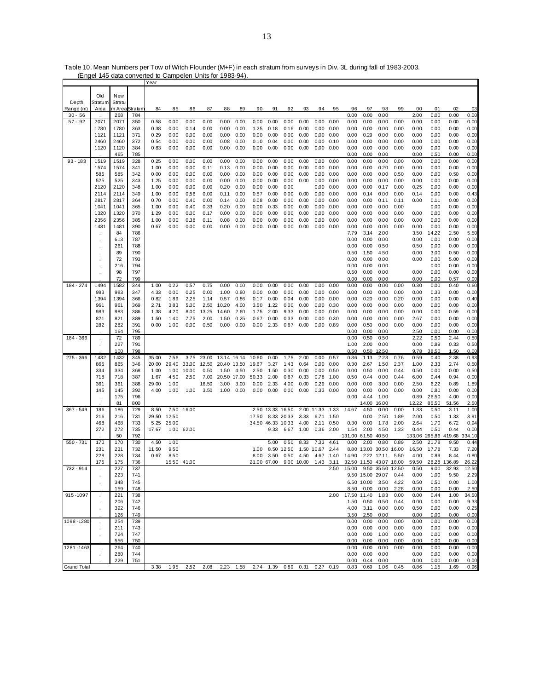|                    |               |        |         | Y ea i |             |            |       |                                                |       |             |       |                   |            |       |      |             |            |             |           |        |        |        |        |
|--------------------|---------------|--------|---------|--------|-------------|------------|-------|------------------------------------------------|-------|-------------|-------|-------------------|------------|-------|------|-------------|------------|-------------|-----------|--------|--------|--------|--------|
|                    |               |        |         |        |             |            |       |                                                |       |             |       |                   |            |       |      |             |            |             |           |        |        |        |        |
|                    | Old           | New    |         |        |             |            |       |                                                |       |             |       |                   |            |       |      |             |            |             |           |        |        |        |        |
| Depth              | Stratum       | Stratu |         |        |             |            |       |                                                |       |             |       |                   |            |       |      |             |            |             |           |        |        |        |        |
| Range (m)          | Area          | m Area | Stratum | 84     | 85          | 86         | 87    | 88                                             | 89    | 90          | 91    | 92                | 93         | 94    | 95   | 96          | 97         | 98          | 99        | 00     | 01     | 02     | 03     |
| $30 - 56$          |               | 268    | 784     |        |             |            |       |                                                |       |             |       |                   |            |       |      | 0.00        | 0.00       | 0.00        |           | 2.00   | 0.00   | 0.00   | 0.00   |
| $57 - 92$          | 2071          | 2071   | 350     | 0.58   | 0.00        | 0.00       | 0.00  | 0.00                                           | 0.00  | 0.00        | 0.00  | 0.00              | 0.00       | 0.00  | 0.00 | 0.00        | 0.00       | 0.00        | 0.00      | 0.00   | 0.00   | 0.00   | 0.00   |
|                    | 1780          | 1780   | 363     | 0.38   | 0.00        | 0.14       | 0.00  | 0.00                                           | 0.00  | 1.25        | 0.18  | 0.16              | 0.00       | 0.00  | 0.00 | 0.00        | 0.00       | 0.00        | 0.00      | 0.00   | 0.00   | 0.00   | 0.00   |
|                    | 1121          | 1121   | 371     | 0.29   | 0.00        | 0.00       | 0.00  | 0.00                                           | 0.00  | 0.00        | 0.00  | 0.00              | 0.00       | 0.00  | 0.00 | 0.00        | 0.29       | 0.00        | 0.00      | 0.00   | 0.00   | 0.00   | 0.00   |
|                    | 2460          | 2460   | 372     | 0.54   | 0.00        | 0.00       | 0.00  | 0.08                                           | 0.00  | 0.10        | 0.04  | 0.00              | 0.00       | 0.00  | 0.10 | 0.00        | 0.00       | 0.00        | 0.00      | 0.00   | 0.00   | 0.00   | 0.00   |
|                    | 1120          | 1120   | 384     | 0.83   | 0.00        | 0.00       | 0.00  | 0.00                                           | 0.00  | 0.00        | 0.00  | 0.00              | 0.00       | 0.00  | 0.00 | 0.00        | 0.00       | 0.00        | 0.00      | 0.00   | 0.00   | 0.00   | 0.00   |
|                    |               | 465    | 785     |        |             |            |       |                                                |       |             |       |                   |            |       |      | 0.00        | 0.00       | 0.00        |           | 0.00   | 0.50   | 0.00   | 0.00   |
| $93 - 183$         | 1519          | 1519   | 328     | 0.25   | 0.00        | 0.00       | 0.00  | 0.00                                           | 0.00  | 0.00        | 0.00  | 0.00              | 0.00       | 0.00  | 0.00 | 0.00        | 0.00       | 0.00        | 0.00      | 0.00   | 0.00   | 0.00   | 0.00   |
|                    | 1574          | 1574   | 341     | 1.00   | 0.00        | 0.00       | 0.11  | 0.13                                           | 0.00  | 0.00        | 0.00  | 0.00              | 0.00       | 0.00  | 0.00 | 0.00        | 0.00       | 0.20        | 0.00      | 0.00   | 0.00   | 0.00   | 0.00   |
|                    | 585           | 585    | 342     | 0.00   | 0.00        | 0.00       | 0.00  | 0.00                                           | 0.00  | 0.00        | 0.00  | 0.00              | 0.00       | 0.00  | 0.00 | 0.00        | 0.00       | 0.00        | 0.50      | 0.00   | 0.00   | 0.50   | 0.00   |
|                    | 525           | 525    |         |        |             |            | 0.00  |                                                |       |             |       |                   |            |       |      | 0.00        | 0.00       | 0.00        | 0.00      | 0.00   |        |        |        |
|                    |               |        | 343     | 1.25   | 0.00        | 0.00       |       | 0.00                                           | 0.00  | 0.00        | 0.00  | 0.00              | 0.00       | 0.00  | 0.00 |             |            |             |           |        | 0.00   | 0.00   | 0.00   |
|                    | 2120          | 2120   | 348     | 1.00   | 0.00        | 0.00       | 0.00  | 0.20                                           | 0.00  | 0.00        | 0.00  | 0.00              |            | 0.00  | 0.00 | 0.00        | 0.00       | 0.17        | 0.00      | 0.25   | 0.00   | 0.00   | 0.00   |
|                    | 2114          | 2114   | 349     | 1.00   | 0.00        | 0.56       | 0.00  | 0.11                                           | 0.00  | 0.57        | 0.00  | 0.00              | 0.00       | 0.00  | 0.00 | 0.00        | 0.14       | 0.00        | 0.00      | 0.14   | 0.00   | 0.00   | 0.43   |
|                    | 2817          | 2817   | 364     | 0.70   | 0.00        | 0.40       | 0.00  | 0.14                                           | 0.00  | 0.08        | 0.00  | 0.00              | 0.00       | 0.00  | 0.00 | 0.00        | 0.00       | 0.11        | 0.11      | 0.00   | 0.11   | 0.00   | 0.00   |
|                    | 1041          | 1041   | 365     | 1.00   | 0.00        | 0.40       | 0.33  | 0.20                                           | 0.00  | 0.00        | 0.33  | 0.00              | 0.00       | 0.00  | 0.00 | 0.00        | 0.00       | 0.00        | 0.00      |        | 0.00   | 0.00   | 0.00   |
|                    | 1320          | 1320   | 370     | 1.29   | 0.00        | 0.00       | 0.17  | 0.00                                           | 0.00  | 0.00        | 0.00  | 0.00              | 0.00       | 0.00  | 0.00 | 0.00        | 0.00       | 0.00        | 0.00      | 0.00   | 0.00   | 0.00   | 0.00   |
|                    | 2356          | 2356   | 385     | 1.00   | 0.00        | 0.38       | 0.11  | 0.08                                           | 0.00  | 0.00        | 0.00  | 0.00              | 0.00       | 0.00  | 0.00 | 0.00        | 0.00       | 0.00        | 0.00      | 0.00   | 0.00   | 0.00   | 0.00   |
|                    | 1481          | 1481   | 390     | 0.67   | 0.00        | 0.00       | 0.00  | 0.00                                           | 0.00  | 0.00        | 0.00  | 0.00              | 0.00       | 0.00  | 0.00 | 0.00        | 0.00       | 0.00        | 0.00      | 0.00   | 0.00   | 0.00   | 0.00   |
|                    |               | 84     | 786     |        |             |            |       |                                                |       |             |       |                   |            |       |      | 7.79        | 3.14       | 2.00        |           | 3.50   | 14.22  | 2.50   | 5.50   |
|                    |               | 613    | 787     |        |             |            |       |                                                |       |             |       |                   |            |       |      | 0.00        | 0.00       | 0.00        |           | 0.00   | 0.00   | 0.00   | 0.00   |
|                    |               | 261    | 788     |        |             |            |       |                                                |       |             |       |                   |            |       |      | 0.00        | 0.00       | 0.50        |           | 0.50   | 0.00   | 0.00   | 0.00   |
|                    |               | 89     | 790     |        |             |            |       |                                                |       |             |       |                   |            |       |      | 0.50        | 1.50       | 4.50        |           | 0.00   | 3.00   | 0.50   | 0.00   |
|                    |               | 72     | 793     |        |             |            |       |                                                |       |             |       |                   |            |       |      | 0.00        | 0.00       | 0.00        |           | 0.00   | 0.00   | 5.00   | 0.00   |
|                    |               | 216    | 794     |        |             |            |       |                                                |       |             |       |                   |            |       |      | 0.00        | 0.00       | 0.00        |           |        | 0.00   | 0.00   | 0.00   |
|                    |               | 98     | 797     |        |             |            |       |                                                |       |             |       |                   |            |       |      |             |            | 0.00        |           | 0.00   | 0.00   |        |        |
|                    |               |        |         |        |             |            |       |                                                |       |             |       |                   |            |       |      | 0.50        | 0.00       |             |           |        |        | 0.00   | 0.00   |
|                    |               | 72     | 799     |        |             |            |       |                                                |       |             |       |                   |            |       |      | 0.00        | 0.00       | 0.00        |           | 0.00   | 0.00   | 0.57   | 0.00   |
| 184 - 274          | 1494          | 1582   | 344     | 1.00   | 0.22        | 0.57       | 0.75  | 0.00                                           | 0.00  | 0.00        | 0.00  | 0.00              | 0.00       | 0.00  | 0.00 | 0.00        | 0.00       | 0.00        | 0.00      | 0.30   | 0.00   | 0.40   | 0.60   |
|                    | 983           | 983    | 347     | 4.33   | 0.00        | 0.25       | 0.00  | 1.00                                           | 0.80  | 0.00        | 0.00  | 0.00              | 0.00       | 0.00  | 0.00 | 0.00        | 0.00       | 0.00        | 0.00      | 0.00   | 0.33   | 0.00   | 0.00   |
|                    | 1394          | 1394   | 366     | 0.82   | 1.89        | 2.25       | 1.14  | 0.57                                           | 0.86  | 0.17        | 0.00  | 0.04              | 0.00       | 0.00  | 0.00 | 0.00        | 0.20       | 0.00        | 0.20      | 0.00   | 0.00   | 0.00   | 0.40   |
|                    | 961           | 961    | 369     | 2.71   | 3.83        | 5.00       | 2.50  | 10.20                                          | 4.00  | 3.50        | 1.22  | 0.00              | 0.00       | 0.00  | 0.30 | 0.00        | 0.00       | 0.00        | 0.00      | 0.00   | 0.00   | 0.00   | 0.00   |
|                    | 983           | 983    | 386     | 1.38   | 4.20        | 8.00       | 13.25 | 14.60                                          | 2.60  | 1.75        | 2.00  | 9.33              | 0.00       | 0.00  | 0.00 | 0.00        | 0.00       | 0.00        | 0.00      | 0.00   | 0.00   | 0.59   | 0.00   |
|                    | 821           | 821    | 389     | 1.50   | 1.40        | 7.75       | 2.00  | 1.50                                           | 0.25  | 0.67        | 0.00  | 0.33              | 0.00       | 0.00  | 0.30 | 0.00        | 0.00       | 0.00        | 0.00      | 2.67   | 0.00   | 0.00   | 0.00   |
|                    | 282           | 282    | 391     | 0.00   | 1.00        | 0.00       | 0.50  | 0.00                                           | 0.00  | 0.00        | 2.33  | 0.67              | 0.00       | 0.00  | 0.89 | 0.00        | 0.50       | 0.00        | 0.00      | 0.00   | 0.00   | 0.00   | 0.00   |
|                    |               | 164    | 795     |        |             |            |       |                                                |       |             |       |                   |            |       |      | 0.00        | 0.00       | 0.00        |           | 2.50   | 0.00   | 0.00   | 0.00   |
| 184 - 366          | $\mathcal{L}$ | 72     | 789     |        |             |            |       |                                                |       |             |       |                   |            |       |      | 0.00        | 0.50       | 0.50        |           | 2.22   | 0.50   | 2.44   | 0.50   |
|                    | $\cdot$       | 227    | 791     |        |             |            |       |                                                |       |             |       |                   |            |       |      | 1.00        | 2.00       | 0.00        |           | 0.00   | 0.89   | 0.33   | 0.50   |
|                    |               | 100    | 798     |        |             |            |       |                                                |       |             |       |                   |            |       |      | 0.50        | 0.50       | 12.50       |           | 9.78   | 38.50  | 1.50   | 0.00   |
| $275 - 366$        | 1432          | 1432   | 345     | 35.00  | 7.56        | 3.75       | 23.00 | 13.14                                          | 16.14 | 10.60       | 0.00  | 1.75              | 2.00       | 0.00  | 0.57 | 0.36        | 1.13       | 2.23        | 0.76      | 0.59   | 0.40   | 2.38   | 0.93   |
|                    | 865           | 865    | 346     | 20.00  | 29.40       | 33.00      | 12.50 | 20.40                                          | 13.50 | 19.67       | 3.27  | 1.43              | 0.64       | 0.00  | 0.00 | 0.30        | 2.67       | 1.50        | 2.37      | 1.00   | 2.33   | 2.74   | 0.50   |
|                    | 334           | 334    | 368     | 1.00   | 1.00        | 10.00      | 0.50  | 1.50                                           | 4.50  | 2.50        | 1.50  | 0.30              | 0.00       | 0.00  | 0.50 | 0.00        | 0.50       | 0.00        | 0.44      | 0.50   | 0.00   | 0.00   | 0.50   |
|                    | 718           | 718    | 387     | 1.67   | 4.50        | 2.50       | 7.00  | 20.50                                          | 17.00 | 50.33       | 2.00  | 0.67              | 0.33       | 0.78  | 1.00 | 0.50        | 0.44       | 0.00        | 0.44      | 6.00   | 0.44   | 0.94   | 0.00   |
|                    | 361           | 361    | 388     | 29.00  | 1.00        |            | 16.50 | 3.00                                           | 3.00  | 0.00        | 2.33  | 4.00              | 0.00       | 0.29  | 0.00 | 0.00        | 0.00       | 3.00        | 0.00      | 2.50   | 6.22   | 0.89   | 1.89   |
|                    | 145           | 145    | 392     | 4.00   | 1.00        | 1.00       | 3.50  | 1.00                                           | 0.00  | 0.00        | 0.00  | 0.00              | 0.00       | 0.33  | 0.00 | 0.00        | 0.00       | 0.00        | 0.00      | 0.00   | 0.80   | 0.00   | 0.00   |
|                    | $\mathbf{r}$  | 175    | 796     |        |             |            |       |                                                |       |             |       |                   |            |       |      | 0.00        | 4.44       | 1.00        |           | 0.89   | 26.50  | 4.00   | 0.00   |
|                    |               | 81     | 800     |        |             |            |       |                                                |       |             |       |                   |            |       |      |             | 14.00      | 16.00       |           | 12.22  | 85.50  | 51.56  | 2.50   |
| $367 - 549$        | 186           | 186    | 729     | 8.50   | 7.50        | 16.00      |       |                                                |       | 2.50        | 13.33 | 16.50             | 2.00       | 11.33 | 1.33 | 14.67       | 4.50       | 0.00        | 0.00      | 1.33   | 0.50   | 3.11   | 1.00   |
|                    | 216           | 216    | 731     | 29.50  | 12.50       |            |       |                                                |       | 17.50       |       | 8.33 20.33        | 3.33       | 6.71  | 1.50 |             | 0.00       | 2.50        | 1.89      | 2.00   | 0.50   | 1.33   | 3.91   |
|                    |               |        |         |        |             |            |       |                                                |       |             |       |                   |            |       |      |             |            |             |           |        |        |        |        |
|                    | 468           | 468    | 733     | 5.25   | 25.00       |            |       |                                                |       |             |       | 34.50 46.33 10.33 | 4.00       | 2.11  | 0.50 | 0.30        | 0.00       | 1.78        | 2.00      | 2.64   | 1.70   | 6.72   | 0.94   |
|                    | 272           | 272    | 735     | 17.67  |             | 1.00 62.00 |       |                                                |       |             | 9.33  | 6.67              | 1.00       | 0.36  | 2.00 | 1.54        | 2.00       | 4.50        | 1.33      | 0.44   | 0.50   | 0.44   | 0.00   |
|                    |               | 50     | 792     |        |             |            |       |                                                |       |             |       |                   |            |       |      | 131.00      | 61.50      | 40.50       |           | 133.06 | 265.86 | 419.68 | 334.10 |
| $550 - 731$        | 170           | 170    | 730     | 4.50   | 1.00        |            |       |                                                |       |             | 5.00  | 0.50              | 8.33       | 7.33  | 4.61 | 0.00        | 2.00       | 0.80        | 0.89      | 2.50   | 21.78  | 9.50   | 0.44   |
|                    | 231           | 231    | 732     | 11.50  | 9.50        |            |       |                                                |       | 1.00        | 8.50  | 12.50             | 1.50       | 10.67 | 2.44 | 8.80        | 13.00      | 30.50       | 16.00     | 16.50  | 17.78  | 7.33   | 7.20   |
|                    | 228           | 228    | 734     | 0.67   | 8.50        |            |       |                                                |       | 8.00        | 3.50  | 0.50              | 4.50       | 4.67  | 1.40 | 14.90       | 2.22       | 12.11       | 5.50      | 4.00   | 0.89   | 8.44   | 0.80   |
|                    | 175           | 175    | 736     |        | 15.50 41.00 |            |       |                                                |       | 21.00 67.00 |       |                   | 9.00 10.00 | 1.43  | 3.11 | 32.50 11.50 |            | 43.07 18.00 |           | 59.50  | 28.28  | 136.89 | 26.22  |
| 732 - 914          | $\mathbf{r}$  | 227    | 737     |        |             |            |       |                                                |       |             |       |                   |            |       | 2.50 | 15.00       | 9.50       | 35.50 12.50 |           | 0.50   | 9.00   | 32.93  | 12.50  |
|                    |               | 223    | 741     |        |             |            |       |                                                |       |             |       |                   |            |       |      |             | 9.50 15.00 | 29.07       | 0.44      | 0.00   | 1.00   | 9.50   | 2.29   |
|                    |               | 348    | 745     |        |             |            |       |                                                |       |             |       |                   |            |       |      |             | 6.50 10.00 | 3.50        | 4.22      | 0.50   | 0.50   | 0.00   | 1.00   |
|                    |               | 159    | 748     |        |             |            |       |                                                |       |             |       |                   |            |       |      | 8.50        | 0.00       | 0.00        | 2.28      | 0.00   | 0.00   | 0.00   | 2.50   |
| 915-1097           |               | 221    | 738     |        |             |            |       |                                                |       |             |       |                   |            |       | 2.00 | 17.50 11.40 |            | 1.83        | 0.00      | 0.00   | 0.44   | 1.00   | 34.50  |
|                    |               | 206    | 742     |        |             |            |       |                                                |       |             |       |                   |            |       |      | 1.50        | 0.50       | 0.50        | 0.44      | 0.00   | 0.00   | 0.00   | 9.33   |
|                    |               | 392    | 746     |        |             |            |       |                                                |       |             |       |                   |            |       |      | 4.00        | 3.11       |             | 0.00 0.00 | 0.50   | 0.00   | 0.00   | 0.25   |
|                    |               | 126    | 749     |        |             |            |       |                                                |       |             |       |                   |            |       |      | 3.50        | 2.50       | 0.00        |           | 0.00   | 0.00   | 0.00   | 0.00   |
| 1098-1280          |               | 254    | 739     |        |             |            |       |                                                |       |             |       |                   |            |       |      | 0.00        | 0.00       | 0.00        | 0.00      | 0.00   | 0.00   | 0.00   | 0.00   |
|                    |               |        |         |        |             |            |       |                                                |       |             |       |                   |            |       |      |             |            | 0.00        | 0.00      |        |        |        |        |
|                    |               | 211    | 743     |        |             |            |       |                                                |       |             |       |                   |            |       |      | 0.00        | 0.00       |             |           | 0.00   | 0.00   | 0.00   | 0.00   |
|                    |               | 724    | 747     |        |             |            |       |                                                |       |             |       |                   |            |       |      | 0.00        | 0.00       | 1.00        | 0.00      | 0.00   | 0.00   | 0.00   | 0.00   |
|                    |               | 556    | 750     |        |             |            |       |                                                |       |             |       |                   |            |       |      | 0.00        | 0.00       | 0.00        | 0.00      | 0.00   | 0.00   | 0.00   | 0.00   |
| 1281-1463          |               | 264    | 740     |        |             |            |       |                                                |       |             |       |                   |            |       |      | 0.00        | 0.00       | 0.00        | 0.00      | 0.00   | 0.00   | 0.00   | 0.00   |
|                    |               | 280    | 744     |        |             |            |       |                                                |       |             |       |                   |            |       |      | 0.00        | 0.00       | 0.00        |           | 0.00   | 0.00   | 0.00   | 0.00   |
|                    |               | 229    | 751     |        |             |            |       |                                                |       |             |       |                   |            |       |      | 0.00        | 0.44       | 0.00        |           | 0.00   | 0.00   | 0.00   | 0.00   |
| <b>Grand Total</b> |               |        |         | 3.38   | 1.95        | 2.52       | 2.08  | 2.23  1.58  2.74  1.39  0.89  0.31  0.27  0.19 |       |             |       |                   |            |       |      | 0.83        | 0.69       | 1.06        | 0.45      | 0.86   | 1.15   | 1.69   | 0.96   |

Table 10. Mean Numbers per Tow of Witch Flounder (M+F) in each stratum from surveys in Div. 3L during fall of 1983-2003. (Engel 145 data converted to Campelen Units for 1983-94).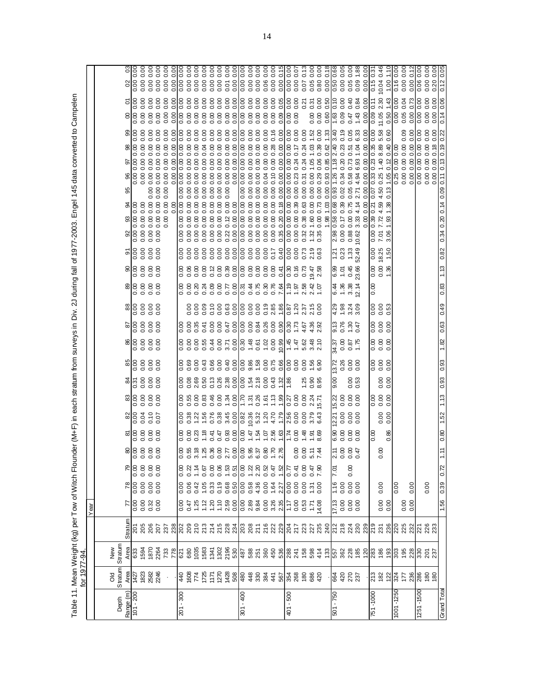Table 11. Mean Weight (kg) per Tow of Witch Flounder (M+F) in each stratum from surveys in Div. 2J during fall of 1977-2003. Engel 145 data converted to Campelen<br>for 1977-94. Table 11. Mean Weight (kg) per Tow of Witch Flounder (M+F) in each stratum from surveys in Div. 2J during fall of 1977-2003. Engel 145 data converted to Campelen for 1977-94.

|                        |                                                                                                                                                                                                                                                                                                            |                                                                                                                      |         | Near                   |                      |                                                                                     |                                             |                                         |                                      |                                                                                                                 |                                                                            |                                                 |                               |                      |                                                                                      |                                                                                                                 |                      |                                                     |                                                                                                                 |                                             |                                           |      |                                                      |                                             |                                            |                                                                                      |                                    |  |
|------------------------|------------------------------------------------------------------------------------------------------------------------------------------------------------------------------------------------------------------------------------------------------------------------------------------------------------|----------------------------------------------------------------------------------------------------------------------|---------|------------------------|----------------------|-------------------------------------------------------------------------------------|---------------------------------------------|-----------------------------------------|--------------------------------------|-----------------------------------------------------------------------------------------------------------------|----------------------------------------------------------------------------|-------------------------------------------------|-------------------------------|----------------------|--------------------------------------------------------------------------------------|-----------------------------------------------------------------------------------------------------------------|----------------------|-----------------------------------------------------|-----------------------------------------------------------------------------------------------------------------|---------------------------------------------|-------------------------------------------|------|------------------------------------------------------|---------------------------------------------|--------------------------------------------|--------------------------------------------------------------------------------------|------------------------------------|--|
|                        |                                                                                                                                                                                                                                                                                                            |                                                                                                                      |         |                        |                      |                                                                                     |                                             |                                         |                                      |                                                                                                                 |                                                                            |                                                 |                               |                      |                                                                                      |                                                                                                                 |                      |                                                     |                                                                                                                 |                                             |                                           |      |                                                      |                                             |                                            |                                                                                      |                                    |  |
|                        | Old<br>Stratum                                                                                                                                                                                                                                                                                             | New                                                                                                                  |         |                        |                      |                                                                                     |                                             |                                         |                                      |                                                                                                                 |                                                                            |                                                 |                               |                      |                                                                                      |                                                                                                                 |                      |                                                     |                                                                                                                 |                                             |                                           |      |                                                      |                                             |                                            |                                                                                      |                                    |  |
| Depth                  |                                                                                                                                                                                                                                                                                                            | Stratum                                                                                                              | Stratum |                        |                      |                                                                                     |                                             |                                         |                                      |                                                                                                                 |                                                                            |                                                 |                               |                      |                                                                                      |                                                                                                                 | ႙ၟႜ                  | 5                                                   |                                                                                                                 |                                             | 95                                        |      |                                                      |                                             |                                            | 8                                                                                    |                                    |  |
| Range (m)<br>101 - 200 | FR 3888                                                                                                                                                                                                                                                                                                    |                                                                                                                      |         |                        |                      | $\frac{8}{6}$ $\frac{8}{6}$ $\frac{8}{6}$ $\frac{8}{6}$ $\frac{8}{6}$ $\frac{8}{6}$ | 88888                                       | 88888                                   |                                      | $\frac{88666}{88666}$                                                                                           | $\frac{25}{3}$ $\frac{10}{2}$ $\frac{30}{2}$ $\frac{30}{2}$ $\frac{30}{2}$ |                                                 | 88888                         | 8888                 | $\frac{88}{6}$ $\frac{8}{6}$ $\frac{8}{6}$ $\frac{8}{6}$ $\frac{8}{6}$ $\frac{8}{6}$ | $\frac{8}{6}$ $\frac{8}{6}$ $\frac{8}{6}$ $\frac{8}{6}$ $\frac{8}{6}$ $\frac{8}{6}$ $\frac{8}{6}$ $\frac{8}{6}$ |                      |                                                     | $\frac{8}{6}$ $\frac{8}{6}$ $\frac{8}{6}$ $\frac{8}{6}$ $\frac{8}{6}$ $\frac{8}{6}$ $\frac{8}{6}$ $\frac{8}{6}$ | $\frac{8}{3}$ 8 8 8                         |                                           |      | ଗାଣ                                                  | 88888                                       |                                            | $\frac{0.00}{2}$                                                                     | Ιŝ                                 |  |
|                        |                                                                                                                                                                                                                                                                                                            |                                                                                                                      |         |                        |                      |                                                                                     |                                             |                                         |                                      |                                                                                                                 |                                                                            |                                                 |                               |                      |                                                                                      |                                                                                                                 |                      |                                                     |                                                                                                                 |                                             |                                           |      | 0.00                                                 |                                             |                                            | 0.00                                                                                 | $\frac{100}{0.00}$<br>0.00         |  |
|                        |                                                                                                                                                                                                                                                                                                            |                                                                                                                      |         |                        |                      |                                                                                     | 0000                                        |                                         | 0.10<br>0.07                         |                                                                                                                 |                                                                            |                                                 |                               |                      |                                                                                      |                                                                                                                 | 6888                 | 8888                                                |                                                                                                                 |                                             | 88<br>0.0                                 |      | $\begin{array}{c} 0.00 \\ 0.00 \end{array}$          |                                             |                                            | 6888<br>0.00                                                                         | 0.00                               |  |
|                        |                                                                                                                                                                                                                                                                                                            |                                                                                                                      |         |                        |                      |                                                                                     |                                             |                                         |                                      |                                                                                                                 |                                                                            |                                                 |                               |                      |                                                                                      |                                                                                                                 |                      |                                                     |                                                                                                                 | 0.00                                        |                                           |      |                                                      |                                             |                                            | 0.00                                                                                 | 0.00                               |  |
|                        | $\epsilon$                                                                                                                                                                                                                                                                                                 | <u>දි සි සි ජි හි සි පි වි සි සි සි සි පි පි පි සි පි සී සී පී පි සි සි සී සී සී සී සී සී සී සී සී පි සී සී සී ස</u> |         |                        |                      |                                                                                     |                                             |                                         |                                      |                                                                                                                 |                                                                            |                                                 |                               |                      |                                                                                      |                                                                                                                 |                      |                                                     |                                                                                                                 | $rac{8}{3}$ $rac{8}{3}$ $rac{8}{3}$         | 0.00                                      |      | 0.00                                                 | 0.000                                       |                                            | $rac{8}{3}$ $rac{8}{9}$ $rac{8}{9}$<br>0.00                                          | $\frac{0.00}{0.00}$<br>0.00        |  |
|                        |                                                                                                                                                                                                                                                                                                            |                                                                                                                      |         |                        |                      |                                                                                     |                                             |                                         |                                      |                                                                                                                 |                                                                            |                                                 |                               |                      |                                                                                      |                                                                                                                 |                      |                                                     |                                                                                                                 |                                             |                                           |      | 0.00                                                 |                                             |                                            | 0.00                                                                                 | 0.00                               |  |
| $201 - 300$            |                                                                                                                                                                                                                                                                                                            |                                                                                                                      |         | 0.00<br>0.47<br>1.25   |                      |                                                                                     |                                             | 88<br>0.00                              | 0.38<br>0.38                         |                                                                                                                 | $\frac{0}{0.08}$                                                           |                                                 |                               | 8.8<br>0.0           |                                                                                      |                                                                                                                 |                      | 888<br>000                                          | 888<br>000                                                                                                      | 0.00                                        | 0.00<br>0.00<br>0.0                       |      | 0.00                                                 | 0.00                                        | 0.00                                       | 0.00<br>0.00                                                                         | 0.00<br>0.00                       |  |
|                        |                                                                                                                                                                                                                                                                                                            |                                                                                                                      |         |                        |                      |                                                                                     |                                             |                                         | 1.22                                 |                                                                                                                 | 2.69                                                                       |                                                 |                               | 0.35                 | 0.0000                                                                               |                                                                                                                 |                      |                                                     |                                                                                                                 | 0.00                                        |                                           |      | $\begin{array}{c} 88 \\ 0.00 \end{array}$            | 0.00<br>0.00                                | $\frac{8}{0}$                              | $\frac{0}{0}$<br>0.00                                                                | $rac{0}{0}$<br>0.00<br>0.00        |  |
|                        | $\frac{1}{36555555888839278888888}$                                                                                                                                                                                                                                                                        |                                                                                                                      |         |                        |                      |                                                                                     | $8.88878878878878878$<br>o o ci ci ci ci ci | $\frac{1}{1}$                           | 1.56                                 |                                                                                                                 | 0.50                                                                       |                                                 | o o o o o<br>8 8 8 8 4        |                      |                                                                                      | 8 8 8 4 8 8 5 8<br>8 8 8 4 8 8 5 6 9                                                                            | 0.00                 |                                                     | 8 8 8 8 8 8 8 8 8 8 8 8 8 %<br>८ ८ ८ ८ ८ ८ ८ ८ ९ ९ ८ ९ ९ ९ ९ %                                                  | 0.00                                        |                                           |      | 0.00                                                 |                                             | 0.00                                       | 0.00                                                                                 |                                    |  |
|                        |                                                                                                                                                                                                                                                                                                            |                                                                                                                      |         |                        |                      |                                                                                     |                                             | 6.41                                    | 0.76                                 | 8, 48                                                                                                           |                                                                            |                                                 |                               |                      |                                                                                      |                                                                                                                 |                      |                                                     |                                                                                                                 | 0.00                                        | $8888$<br>$0000$                          |      | 0.00                                                 |                                             | 0.00                                       | $\begin{array}{c}\n 888 \\  000\n \end{array}$<br>0.00                               |                                    |  |
|                        |                                                                                                                                                                                                                                                                                                            |                                                                                                                      |         |                        |                      |                                                                                     |                                             |                                         | 0.38                                 |                                                                                                                 |                                                                            |                                                 |                               |                      |                                                                                      |                                                                                                                 | $0.12$<br>0.00       |                                                     |                                                                                                                 |                                             |                                           |      | 0.00                                                 |                                             | 0.00                                       | 0.00                                                                                 |                                    |  |
|                        |                                                                                                                                                                                                                                                                                                            |                                                                                                                      |         | $7.888888888887588778$ |                      |                                                                                     |                                             | $0.47$<br>$0.93$<br>$0.00$              | 3.45                                 | $1.34$<br>0.00                                                                                                  | 0.13<br>0.38<br>0.00                                                       |                                                 | 0.7<br>0.7<br>0.0             |                      |                                                                                      |                                                                                                                 | 0.39<br>0.00         | 0.00<br>0.00<br>0.00<br>0.00                        | $\begin{array}{c} 0.00000 \\ 0.00000 \\ 0.00000 \end{array}$                                                    | 888<br>000                                  |                                           |      | $\begin{array}{c} 0.00 \\ 0.00 \end{array}$          | 38888                                       | $\begin{matrix} 0.00 \\ 0.00 \end{matrix}$ | $\begin{array}{c} 0.00 \\ 0.00 \end{array}$<br>0.0000                                | 88888<br>88888<br>$0.01$<br>$0.00$ |  |
|                        |                                                                                                                                                                                                                                                                                                            |                                                                                                                      |         |                        |                      |                                                                                     |                                             |                                         | 0.00                                 |                                                                                                                 |                                                                            |                                                 |                               |                      |                                                                                      |                                                                                                                 |                      |                                                     |                                                                                                                 |                                             |                                           |      |                                                      |                                             |                                            |                                                                                      |                                    |  |
| $301 - 400$            |                                                                                                                                                                                                                                                                                                            |                                                                                                                      |         |                        |                      |                                                                                     |                                             |                                         |                                      |                                                                                                                 |                                                                            |                                                 |                               |                      |                                                                                      |                                                                                                                 |                      |                                                     |                                                                                                                 |                                             | 0.00                                      |      |                                                      |                                             |                                            | 0.0000                                                                               | 0.00                               |  |
|                        |                                                                                                                                                                                                                                                                                                            |                                                                                                                      |         |                        |                      |                                                                                     | 0.00076                                     | $0.47$<br>$-1.58$<br>$-1.58$<br>$-1.58$ | 0.82<br>0.36<br>0.37<br>0.32<br>4.70 | $\frac{15}{12}$ $\frac{25}{12}$ $\frac{26}{12}$ $\frac{26}{12}$ $\frac{26}{12}$ $\frac{26}{12}$ $\frac{26}{12}$ |                                                                            | 0<br>0<br>0 3 3 8 9 0<br>0 3 4 0 0 0<br>0 0 0 0 | 0.30<br>0.48<br>0.61          |                      |                                                                                      | 0.000000                                                                                                        |                      | 11.0<br>00000<br>0000<br>0000                       |                                                                                                                 | 688                                         | $\begin{array}{c} 88 \\ 0.00 \end{array}$ |      | $\begin{array}{c} 880 \\ 0.000 \\ 0.000 \end{array}$ | $888888$                                    | 888<br>000                                 | $\begin{array}{ c c c }\n 8 & 8 & 8 \\  \hline\n 0 & 0 & 0\n \end{array}$            |                                    |  |
|                        |                                                                                                                                                                                                                                                                                                            |                                                                                                                      |         |                        |                      |                                                                                     |                                             |                                         |                                      |                                                                                                                 |                                                                            |                                                 |                               |                      |                                                                                      |                                                                                                                 |                      |                                                     |                                                                                                                 |                                             |                                           |      |                                                      |                                             |                                            | 0.00                                                                                 | 0.00                               |  |
|                        |                                                                                                                                                                                                                                                                                                            |                                                                                                                      |         |                        |                      |                                                                                     |                                             |                                         |                                      |                                                                                                                 |                                                                            |                                                 |                               |                      |                                                                                      |                                                                                                                 |                      |                                                     |                                                                                                                 | $\begin{array}{c} 0.00 \\ 0.00 \end{array}$ |                                           |      |                                                      |                                             | 0.16                                       | 0.0000                                                                               | 0.06                               |  |
|                        |                                                                                                                                                                                                                                                                                                            |                                                                                                                      |         |                        |                      |                                                                                     |                                             |                                         |                                      |                                                                                                                 | $0.43$<br>1.32                                                             |                                                 | $10000$<br>$-0000$            |                      |                                                                                      |                                                                                                                 | 0.84                 |                                                     |                                                                                                                 |                                             | 888<br>000                                |      |                                                      |                                             |                                            | 888<br>000                                                                           |                                    |  |
|                        |                                                                                                                                                                                                                                                                                                            |                                                                                                                      |         |                        |                      |                                                                                     |                                             |                                         | 1.79                                 |                                                                                                                 |                                                                            |                                                 |                               |                      |                                                                                      |                                                                                                                 |                      | 0.40                                                |                                                                                                                 | 0.18                                        |                                           |      |                                                      |                                             | 0.00                                       | 0.09                                                                                 | 0.15<br>0.00                       |  |
| 401 - 500              |                                                                                                                                                                                                                                                                                                            |                                                                                                                      |         |                        |                      |                                                                                     |                                             | 0.00                                    | 2.56                                 |                                                                                                                 | 1.86                                                                       | 0.000                                           | かいのまい<br>おきのまい                |                      |                                                                                      | 1.19                                                                                                            | 0.30                 | 0.00                                                | 888888888                                                                                                       | 0.00                                        | 0.0000                                    |      | 0.24                                                 | 0.00                                        | 0.00                                       | 0.0<br>0.00<br>0.00<br>0.0000                                                        | 0.0C<br>0.00                       |  |
|                        |                                                                                                                                                                                                                                                                                                            |                                                                                                                      |         |                        |                      |                                                                                     | o o                                         |                                         | 0.00                                 | 0.00                                                                                                            |                                                                            |                                                 |                               |                      |                                                                                      | 1.97                                                                                                            | 0.16                 | 0.00                                                |                                                                                                                 | 0.39                                        |                                           |      |                                                      |                                             | 0.00                                       |                                                                                      | 0.07<br>0.00                       |  |
|                        |                                                                                                                                                                                                                                                                                                            |                                                                                                                      |         |                        |                      |                                                                                     |                                             |                                         | 0.00                                 | 0.00                                                                                                            | 1.25                                                                       | $\frac{8}{10}$                                  |                               |                      |                                                                                      | 2.58                                                                                                            | 0.73                 | 0.73                                                |                                                                                                                 | 0.63                                        |                                           |      | 0.24                                                 | 0.24                                        | 0.00                                       |                                                                                      | 0.13<br>$0.07$<br>$0.05$           |  |
|                        |                                                                                                                                                                                                                                                                                                            |                                                                                                                      |         |                        |                      |                                                                                     | $68 \div 4$                                 | 1.56                                    | 3.79                                 | 2.24<br>15.71                                                                                                   | 0.95<br>8.95                                                               |                                                 |                               | $4.36$<br>2.92       |                                                                                      | $2.42$<br>1.07                                                                                                  | 9.47<br>9.58         | $2.19$<br>0.63                                      | $880088$<br>$-0.68$                                                                                             | 0.00                                        | 888<br>000                                |      | 1.05                                                 | 1.03                                        | 1.52                                       | 0.00                                                                                 | 0.00                               |  |
|                        |                                                                                                                                                                                                                                                                                                            |                                                                                                                      |         |                        |                      |                                                                                     |                                             |                                         | 6.43                                 |                                                                                                                 |                                                                            |                                                 |                               |                      |                                                                                      |                                                                                                                 |                      |                                                     |                                                                                                                 | 0.73                                        |                                           |      | 0.06                                                 | 0.39                                        | 0.00                                       | 0.00<br>0.00                                                                         | 0.00<br>0.80                       |  |
|                        |                                                                                                                                                                                                                                                                                                            |                                                                                                                      |         |                        |                      |                                                                                     |                                             |                                         |                                      |                                                                                                                 |                                                                            |                                                 |                               |                      |                                                                                      |                                                                                                                 |                      |                                                     |                                                                                                                 | 1.03                                        | 0.00                                      |      | 0.85                                                 | 0.62                                        | 1,33                                       | 0.50<br>0.60                                                                         | $\frac{0.18}{0.68}$<br>0.00        |  |
| 092 - 109              |                                                                                                                                                                                                                                                                                                            |                                                                                                                      |         |                        |                      | 7.01                                                                                |                                             |                                         | 12.21                                |                                                                                                                 | 9.00                                                                       |                                                 |                               |                      |                                                                                      |                                                                                                                 | 8 5<br>8 5           | $\frac{1.21}{0.23}$                                 |                                                                                                                 | 0.68                                        |                                           |      | 1.18                                                 | 2.40                                        | 3.40                                       | 0.10<br>£9.1                                                                         | 0.50                               |  |
|                        |                                                                                                                                                                                                                                                                                                            |                                                                                                                      |         |                        |                      | 0.00                                                                                |                                             |                                         | 0.00                                 |                                                                                                                 |                                                                            |                                                 |                               |                      |                                                                                      |                                                                                                                 |                      |                                                     | 0.50<br>0.0<br>0.0                                                                                              | 0.39<br>0.75                                | 8<br>0<br>0<br>0<br>0<br>0<br>0           |      | 0.20<br>0.73                                         | $\begin{array}{c} 0.23 \\ 0.51 \end{array}$ | 0.05                                       | 0.40<br>0.09<br>47                                                                   | 0.05<br>0.05<br>0.00               |  |
|                        | <b>8</b><br>8<br>8<br>8<br>8<br>8<br>8                                                                                                                                                                                                                                                                     |                                                                                                                      |         | 0000<br>0000<br>51.7   | 0000<br>0000<br>94't |                                                                                     | 두 8 8 부<br>N O O O                          | 8, 8, 8, 8<br>७, ०, ०, ०                | 0.00                                 | 18<br> 888<br>  <del>9</del>                                                                                    | 0.00<br>0.53                                                               | វ<br>នៃ ខ<br>តំនួន ខ                            | 34.37<br>0.00<br>3.67<br>3.75 | 9.13<br>0.76<br>0.47 | $4.38$<br>$4.36$<br>$4.309$                                                          | $6 + 38$<br>$48$<br>$58$<br>$54$<br>$64$<br>$68$<br>$74$                                                        | 0.45<br>23.66        | 1.33<br>52.49                                       |                                                                                                                 | 4.14                                        | 2.71                                      |      | 6.93                                                 |                                             | 6.33                                       | 0.84<br>1.43                                                                         | 1.88<br>0.09                       |  |
|                        |                                                                                                                                                                                                                                                                                                            |                                                                                                                      |         |                        |                      |                                                                                     |                                             |                                         |                                      |                                                                                                                 |                                                                            |                                                 |                               |                      |                                                                                      |                                                                                                                 |                      |                                                     | $3.33$<br>0.00                                                                                                  |                                             | 0.00                                      |      | 0.00                                                 | $rac{6}{5}$ $rac{6}{5}$                     | $\frac{8}{10}$                             | 0.00<br>0.00                                                                         | $\frac{0.00}{0.31}$<br>0.00        |  |
| 261-1000               |                                                                                                                                                                                                                                                                                                            |                                                                                                                      |         |                        |                      |                                                                                     |                                             | 0.00                                    |                                      |                                                                                                                 |                                                                            |                                                 |                               |                      |                                                                                      | 0.00                                                                                                            |                      |                                                     | 0.39                                                                                                            |                                             |                                           |      | 0.23                                                 |                                             | 0.00                                       | 0.11<br>60.0                                                                         | 0.15                               |  |
|                        | $ \frac{13}{52}$ $\frac{13}{52}$ $\frac{13}{52}$ $\frac{13}{52}$ $\frac{13}{52}$ $\frac{13}{52}$ $\frac{13}{52}$ $\frac{13}{52}$ $\frac{13}{52}$ $\frac{13}{52}$ $\frac{13}{52}$ $\frac{13}{52}$ $\frac{13}{52}$ $\frac{13}{52}$ $\frac{13}{52}$ $\frac{13}{52}$ $\frac{13}{52}$ $\frac{13}{52}$ $\frac{1$ |                                                                                                                      |         | 0.00                   | 0.00                 |                                                                                     | S<br>O                                      |                                         | 0.00                                 | 0.00<br>0.00<br>0.0                                                                                             | 0.00<br>0.00                                                               | 888<br>000                                      | 888<br>000                    | 0.00<br>0.00<br>0.0  |                                                                                      |                                                                                                                 | 0.00<br>0.00<br>1.36 | $\begin{array}{c} 0.00 \\ 1.50 \\ 1.50 \end{array}$ | $7.72$<br>1.93<br>0.00<br>7.01<br>3.06                                                                          | $4.59$<br>1.38                              |                                           |      | 1.40                                                 | 8.89                                        | 5.58<br>0.60                               | 2.30<br>$5.58$<br>$1.58$<br>$1.58$<br>$1.58$<br>$1.58$<br>$1.58$<br>$1.58$<br>$1.58$ | 0.46<br>10.04                      |  |
|                        |                                                                                                                                                                                                                                                                                                            |                                                                                                                      |         |                        |                      |                                                                                     |                                             | 0.86                                    |                                      |                                                                                                                 |                                                                            |                                                 |                               |                      |                                                                                      |                                                                                                                 |                      |                                                     |                                                                                                                 |                                             |                                           |      | 0.12                                                 | $rac{40}{0.00}$                             |                                            | 1.43                                                                                 | 1.10<br><u>1.00</u>                |  |
| 1001 - 1250            |                                                                                                                                                                                                                                                                                                            |                                                                                                                      |         |                        | 0.00                 |                                                                                     |                                             |                                         |                                      |                                                                                                                 |                                                                            |                                                 |                               |                      |                                                                                      |                                                                                                                 |                      |                                                     |                                                                                                                 |                                             |                                           |      | 0.00                                                 |                                             |                                            | 0.00                                                                                 | $\frac{000}{000}$<br>0.16          |  |
|                        |                                                                                                                                                                                                                                                                                                            |                                                                                                                      |         | 0.0000                 |                      |                                                                                     |                                             |                                         |                                      |                                                                                                                 |                                                                            |                                                 |                               |                      |                                                                                      |                                                                                                                 |                      |                                                     |                                                                                                                 |                                             |                                           |      | 0.00                                                 | $rac{8}{100}$                               | 0.09<br>0.00                               | 0.73<br>0.04                                                                         | 0.12<br>0.00<br>0.00               |  |
|                        |                                                                                                                                                                                                                                                                                                            |                                                                                                                      |         |                        | 0.00                 |                                                                                     |                                             |                                         |                                      |                                                                                                                 |                                                                            |                                                 |                               |                      |                                                                                      |                                                                                                                 |                      |                                                     |                                                                                                                 |                                             |                                           |      |                                                      |                                             |                                            |                                                                                      |                                    |  |
| 1251 - 1500            |                                                                                                                                                                                                                                                                                                            |                                                                                                                      |         |                        |                      |                                                                                     |                                             |                                         |                                      |                                                                                                                 |                                                                            |                                                 |                               |                      |                                                                                      |                                                                                                                 |                      |                                                     |                                                                                                                 |                                             |                                           |      | $\overline{0.00}$                                    |                                             | 0.00                                       | 0.00<br>0.00                                                                         | 0.00<br>0.06                       |  |
|                        |                                                                                                                                                                                                                                                                                                            |                                                                                                                      |         |                        | 0.00                 |                                                                                     |                                             |                                         |                                      |                                                                                                                 |                                                                            |                                                 |                               |                      |                                                                                      |                                                                                                                 |                      |                                                     |                                                                                                                 |                                             |                                           |      |                                                      | 0.00                                        | 0.00                                       | 0.0000<br>0.00<br>0.00                                                               | $rac{200}{100}$<br>0.00            |  |
|                        |                                                                                                                                                                                                                                                                                                            |                                                                                                                      |         | 1.56                   |                      | 0.39 0.72                                                                           |                                             |                                         |                                      | 11 0.80 1.52 1.13 0.93                                                                                          |                                                                            | 0.93                                            |                               | 1.82 0.63 0.49       |                                                                                      |                                                                                                                 |                      |                                                     | 0.83 1.13 0.82 0.34 0.20 0.14 0.09                                                                              |                                             |                                           | 0.11 | 0.13                                                 | 0.19                                        | 0.22                                       | 0.06<br>0.14                                                                         | 0.12                               |  |
| Grand Total            |                                                                                                                                                                                                                                                                                                            |                                                                                                                      |         |                        |                      |                                                                                     |                                             |                                         |                                      |                                                                                                                 |                                                                            |                                                 |                               |                      |                                                                                      |                                                                                                                 |                      |                                                     |                                                                                                                 |                                             |                                           |      |                                                      |                                             |                                            |                                                                                      |                                    |  |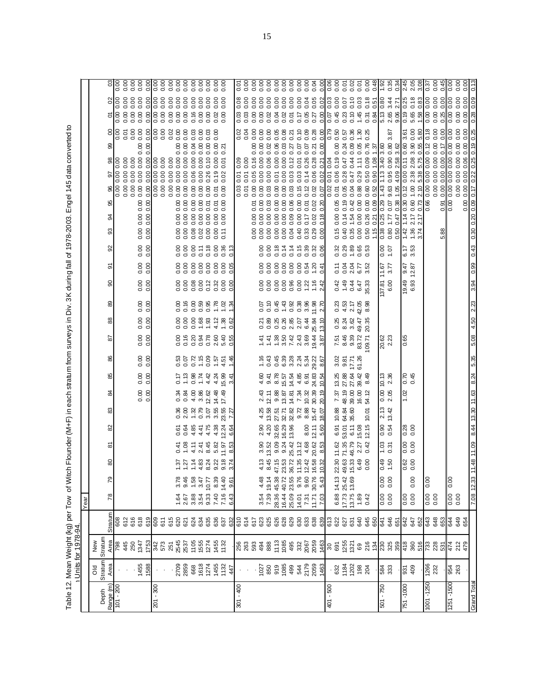Table 12. Mean Weight (kg) per Tow of Witch Flounder (M+F) in each stratum from surveys in Div. 3K during fall of 1978-2003. Engel 145 data converted to n Units for 1978-94.

|                    |                                   |                                  |            | Year                                                            |               |                                             |                 |               |                     |                                             |                |                                          |                                             |                    |                                             |                                             |                      |                |                                             |                                                                |               |                       |                           |                          |                              |                                            |
|--------------------|-----------------------------------|----------------------------------|------------|-----------------------------------------------------------------|---------------|---------------------------------------------|-----------------|---------------|---------------------|---------------------------------------------|----------------|------------------------------------------|---------------------------------------------|--------------------|---------------------------------------------|---------------------------------------------|----------------------|----------------|---------------------------------------------|----------------------------------------------------------------|---------------|-----------------------|---------------------------|--------------------------|------------------------------|--------------------------------------------|
|                    | $\frac{1}{2}$                     | New                              |            |                                                                 |               |                                             |                 |               |                     |                                             |                |                                          |                                             |                    |                                             |                                             |                      |                |                                             |                                                                |               |                       |                           |                          |                              |                                            |
| Range (m)<br>Depth | Stratum<br>Area                   | Stratum                          | Stratum    | 78                                                              | 79            | 8                                           | ౚ               | 8             | 33                  | ಹ                                           | 58             | 86                                       | 5                                           | 88                 | 8                                           | ႙                                           | ଚ                    | 8              | 33                                          | 3                                                              | 95            | ଚ                     |                           | 8<br>8                   | $\overline{0}$<br>Σ          | ප                                          |
| $101 - 200$        |                                   | $\frac{\text{Area}}{\text{798}}$ | 608        |                                                                 |               |                                             |                 |               |                     |                                             |                |                                          |                                             |                    |                                             |                                             |                      |                |                                             |                                                                | $\frac{8}{0}$ | 0.00                  | $\frac{8}{10}$            |                          | 0.00<br>0.00                 | 0.00                                       |
|                    |                                   | $4887$ $588$<br>$788$<br>$782$   | 612<br>616 |                                                                 |               |                                             |                 |               |                     |                                             |                |                                          |                                             |                    |                                             |                                             |                      |                |                                             |                                                                | 888           | 0.00<br>0.00          | 0.00                      | 000<br>000<br>000<br>000 | 0.00<br>0.00<br>0.00<br>0.00 |                                            |
|                    | 1455<br>1588                      |                                  | 618        |                                                                 |               |                                             |                 |               |                     | $\begin{array}{c} 0.00 \\ 0.00 \end{array}$ | 0.00           | $\begin{array}{c} 8 \\ 0.00 \end{array}$ | $\begin{array}{c} 0.00 \\ 0.00 \end{array}$ | 0.00000            | $\begin{array}{c} 0.00 \\ 0.00 \end{array}$ | 0.00000                                     | 0.00                 | 0.000          | $\begin{array}{c} 0.00 \\ 0.00 \end{array}$ |                                                                |               | 0.00                  |                           | 0.00                     | 0.00<br>0.00                 |                                            |
|                    |                                   |                                  | 619        |                                                                 |               |                                             |                 |               |                     |                                             | 0.00           |                                          |                                             |                    |                                             |                                             | 0.00                 |                |                                             |                                                                | 0.00          |                       |                           | 0.00<br>0.00             | 0.00<br>888888               |                                            |
| $201 - 300$        |                                   |                                  | 609        |                                                                 |               |                                             |                 |               |                     |                                             |                |                                          |                                             |                    |                                             |                                             |                      |                |                                             |                                                                | 0.00          |                       |                           | 0.00<br>0.00             | 0.00                         |                                            |
|                    |                                   |                                  | 611        |                                                                 |               |                                             |                 |               |                     |                                             |                |                                          |                                             |                    |                                             |                                             |                      |                |                                             |                                                                | 0.00          |                       |                           |                          | 0.00                         |                                            |
|                    |                                   |                                  | 615        |                                                                 |               |                                             |                 |               |                     |                                             |                |                                          |                                             |                    |                                             |                                             |                      |                |                                             |                                                                |               |                       |                           | 0.02                     | 0.00                         |                                            |
|                    | 2709<br>2859                      | 2545<br>2537                     | 620        | 1.64                                                            | 3.78          |                                             | $rac{4}{9}$     | 0.61          | 0.36                | 0.34                                        | 0.17           |                                          | 0.00                                        |                    | 0.00                                        | 0.00                                        | 0.00                 | 0.00           | 0.00                                        | 0.00                                                           |               |                       |                           | 0.00                     |                              |                                            |
|                    |                                   |                                  | 621        | 2.67                                                            | 9.46          |                                             | $\frac{8}{1}$   | 0.64          | 2.00                | 0.84                                        | 1.13           |                                          | 0.16                                        |                    |                                             | 0.00                                        | 0.00                 | 0.00           | 0.00                                        | 0.00                                                           | 0.00          |                       |                           | 0.00<br>0.00             |                              |                                            |
|                    |                                   |                                  | 624        | 3.88                                                            | 1.58          |                                             | 4.11            | 4.85          | 1.32                | 4.00                                        | 0.98           |                                          |                                             |                    |                                             |                                             |                      | 0.00           | 0.08<br>0.02                                | 0.00                                                           | 0.00          | 0.06                  |                           | 0.03                     | 0.00<br>0.16                 |                                            |
|                    | 668<br>1618<br>1274               | 1105<br>1555<br>1274             | 635<br>634 | 9.33<br>3.54                                                    | 3.47<br>10.77 | 5<br>2 5 7 8 9 9 9 9 7<br>2 5 7 8 9 9 9 9 1 | 8.45<br>2.41    | 4.75<br>4.41  | 0.79<br>3.07        | 3.86<br>12.62                               | 1.74<br>4.42   | និទ្ធ ដូច<br>ខេត្ត ដូច មិន<br>ខេត្ត មិន  |                                             | $88888$<br>$00077$ | $1888$<br>0.0000                            | 88<br>0.82<br>0.0                           | 888                  | 0.18<br>0.11   | 0.00                                        | 8888558<br>8888558<br>0.00                                     | 0.00          | 0.00<br>0.26          | 88888888889<br>8888888889 | 0.00<br>0.03             | 0.00<br>0.00<br>0.00<br>0.00 |                                            |
|                    |                                   |                                  | 636        |                                                                 | 8.39          |                                             | 5.82            | 4.38          | 3.55                |                                             |                |                                          |                                             |                    | 1.78                                        | 0.32                                        |                      | 0.00           | 0.00                                        |                                                                | 0.01          | 0.19                  | 0.00                      | 0.00                     | 0.00                         |                                            |
|                    | $1455$<br>$132$<br>$447$          | 1455<br>1132                     | 637        | 7.40<br>7.16                                                    |               |                                             | 11.97           | 12.24         | 23.55               | 14.48<br>17.49                              | 4.24<br>15.99  |                                          |                                             | $4.12$<br>1.38     |                                             | 0.00                                        | 0.00000              | 0.36           | 0.11                                        | 0.00000                                                        | 0.00          | 0.02                  | 0.01                      | $0.00$<br>$0.21$         | 0.00<br>0.02                 | 0.00000                                    |
|                    |                                   |                                  | 632        | 6.43                                                            | 14.40<br>9.61 |                                             | 8.53            | 6.64          | 7.27                |                                             | 3.41           | 1,46                                     |                                             | 0.62               | 1.34                                        | 0.00                                        | 0.05                 | 0.13           |                                             |                                                                |               |                       |                           |                          |                              |                                            |
| $301 - 400$        |                                   |                                  | 610        |                                                                 |               |                                             |                 |               |                     |                                             |                |                                          |                                             |                    |                                             |                                             |                      |                |                                             |                                                                | 0.03          | 0.01                  | 0.09                      | 0.02                     | 0.08<br>0.03                 | ρ<br>Θ                                     |
|                    |                                   |                                  | 617<br>617 |                                                                 |               |                                             |                 |               |                     |                                             |                |                                          |                                             |                    |                                             |                                             |                      |                |                                             |                                                                | 0.01          | 0.01                  | 0.00                      | 0.04                     | 0.00<br>0.03                 | 0.00                                       |
|                    |                                   |                                  |            |                                                                 |               |                                             |                 |               |                     |                                             |                |                                          |                                             |                    |                                             |                                             |                      |                | 0.00                                        | 0.00<br>0.00                                                   |               | 0.05                  | 0.16                      | 0.00<br>0.00             | 0.00<br>0.0000               | $\begin{matrix} 0.00 \\ 0.00 \end{matrix}$ |
|                    | $1027$<br>$850$<br>$950$<br>$499$ | 88<br>88<br>88<br>88<br>88<br>88 | 623        | 3.54                                                            | 4.48          | 4.13                                        | 3.90            | 2.90          | 4.25                | 2.43                                        | 4.60           |                                          | $\frac{4}{1}$                               | 0.21               |                                             | 0.00                                        | 0.00                 | 0.00           | 0.00                                        | 0.00                                                           |               |                       | 0.00                      | 0.00<br>0.00             | 0.00                         |                                            |
|                    |                                   |                                  | 625        | 7.39 19.14                                                      |               | 8.45                                        | 13.52           | 4.20          | 13.58               | 12.11                                       | 9.41           | 0.43                                     | 1.41                                        | 0.89               | 0.10                                        | 0.00                                        |                      | 0.00           | 0.00                                        | 0.00                                                           |               | 0.00                  | 0.06                      | 0.00<br>0.02             | 0.00<br>0.02                 | $\frac{1}{2}$                              |
|                    |                                   |                                  | 626        | 28.36 45.38                                                     |               | $47.15$<br>$23.53$<br>$36.72$<br>$11.35$    | 9.09            | 32.65         | 27.51               | 9.88                                        | 8.78           |                                          | 1.38                                        | 0.25               | 0.45                                        | $\begin{array}{c} 0.00 \\ 0.00 \end{array}$ | 8888                 | 0.18           | 0.00<br>0.00                                | $\begin{array}{c} 0.8 \\ 0.8 \\ 0.9 \end{array}$<br>888<br>000 | 0.00          | 0.01                  | 0.00                      | 0.05<br>0.06             | 0.00<br>0.04                 | 0.00000                                    |
|                    |                                   |                                  | 628        | 16.44 40.72                                                     |               |                                             | 9.24            | 16.29         | 32.71               | 13.87                                       | 15.57          |                                          | 3.50                                        | 0.26               | 1.43                                        |                                             |                      | 0.14           |                                             |                                                                | 0.00          | 0.00                  |                           | 0.08<br>0.03             | 0.00<br>0.02                 |                                            |
|                    |                                   |                                  | 629        | 25.09 23.55                                                     |               |                                             | 25.42           | 13.96         | 32.82               | 14.81                                       | 14.54          |                                          |                                             | 2.85               | 0.92                                        | 0.96                                        |                      | 0.14           | 0.04                                        | 0.06                                                           | 0.03          | 0.03                  |                           | 0.21<br>0.27             | 0.00<br>0.01                 | $\alpha$                                   |
|                    |                                   |                                  | 633<br>633 | 14.01                                                           | 9.76<br>9.60  |                                             | 13.12           |               | $\frac{0.72}{8.88}$ | 7.34                                        | $4.85$<br>6.91 |                                          |                                             | $\frac{0.67}{0.4}$ | 0.38                                        | 0.00                                        |                      | 0.15           | 0.40<br>0.33                                | 0.00000<br>0.00                                                | 0.15          | 0.03                  | 0.01                      | 0.10<br>0.07             | 0.00<br>0.17                 | $\frac{00}{00}$                            |
|                    | 521<br>2179<br>54                 | $11888888888$                    | 638        | 7.31                                                            |               | 12.42                                       | $4.68$<br>20.62 | 8.00<br>12.11 | 15.47               | 30.39<br>10.32                              | 24.83          | ६. १९९१ में १९९१<br>संबंध राज हो         | r 4 3 9 4 2<br>4 3 9 4 2<br>4 3 9 4 2       |                    | 3.96<br>11.98                               | 1.22                                        | $888$<br>$-0.58$     | 0.39<br>0.32   | 0.29                                        | 0.17<br>0.02                                                   | 0.02<br>0.12  | 0.14<br>0.06          | 0.26<br>0.28              | 0.28<br>0.09<br>0.07     | 0.05<br>0.04<br>0.05         |                                            |
|                    |                                   |                                  | 639        | 11.71 30.76                                                     | 5.43          | 16.58<br>10.32                              | 8.53            | 5.60          | 18.07               | 20.19                                       | 10.54          | 8.67                                     |                                             | 25.84<br>13.10     | 2.70                                        | 1.16<br>2.42                                | 0.41                 | 0.06           | 0.00                                        | 0.02<br>0.18                                                   | 0.07          | 0.02                  |                           | 0.00<br>0.21             | 0.27                         | 0.04<br>0.00                               |
|                    | 1463                              |                                  |            | 7.03                                                            |               |                                             |                 |               |                     |                                             |                |                                          |                                             |                    |                                             |                                             |                      |                |                                             |                                                                |               |                       | 0.21                      | 0.00                     | 0.02<br>0.00                 |                                            |
| 401 - 500          |                                   |                                  | 613<br>622 | 6.88 14.13                                                      |               | 22.30                                       | 11.62           | 6.91          | 10.88               | 7.37                                        | 13.25          | 3.02                                     | 7.51                                        | 0.25               | $\frac{25}{3}$                              | 0.42                                        | 0.11                 | 0.32           | 0.15                                        | 0.05<br>0.00                                                   | 0.01<br>0.02  | 0.01<br>0.06          | 0.19<br>0.04              | 0.79<br>0.50<br>0.00     | 0.00<br>0.03<br>0.45<br>0.07 | 0.06<br>0.00                               |
|                    | 832<br>1934<br>1202               |                                  | 627        |                                                                 |               |                                             | 71.35           | 53.01         | 64.84               |                                             |                | 9.87                                     |                                             |                    | 4.53                                        | 1.49                                        | 0.04                 |                | 0.40                                        | 0.14                                                           | 0.05          | 0.28                  | 0.47                      | 0.57<br>0.24             | 0.07<br>0.23                 | $\overline{0}$ .                           |
|                    |                                   |                                  | 631        |                                                                 |               | ខ្លះ<br>មុក អូ<br>សូម                       | 46.79           | 6.11          | 35.60               | 48.19<br>39.00                              | 27.88<br>27.64 | 17.71                                    | 8.46<br>9.39                                | 8.36<br>3.62       | 2.17                                        | 0.44                                        | 2.04                 | $0.29$<br>1.89 | 0.35                                        | 0.42<br>1.54                                                   | 0.04          | 0.47                  | 0.44                      | 0.36<br>0.09             | 0.10<br>0.10                 | 0.02                                       |
|                    | $188$<br>204                      |                                  | 640        | $\begin{array}{c} 17.7325.42 \\ 13.7513.69 \\ 1.89 \end{array}$ |               |                                             | 2.27            | 15.08         |                     | 16.00                                       | 39.42          | 61.26                                    | 83.72                                       | 49.47              | 42.05                                       | 6.47<br>35.33                               | $6.77$<br>$3.52$     | 0.65<br>0.53   | 0.00                                        | 0.00<br>0.00                                                   | 0.88          | 0.29                  | 1.11 0.05                 | 1.30                     | 0.03<br>1.45                 | $\overline{0}$                             |
|                    |                                   |                                  | 645<br>650 | 0.42                                                            |               | 0.00                                        | 0.42            | 12.15         | 10.01               | 54.12                                       | 8.49           |                                          | 09.71                                       | 20.35              | 8.98                                        |                                             |                      |                | 0.50                                        | 0.00<br>0.26                                                   | 0.60<br>0.52  | 0.50<br>$\frac{1}{2}$ | 0.09 0.76                 | 0.25                     | 0.18<br>0.51<br>0.31<br>0.84 | 0.00<br>0.48                               |
| 501 - 750          |                                   |                                  | 641        |                                                                 |               |                                             |                 |               |                     |                                             | 10.13          |                                          |                                             |                    |                                             |                                             |                      |                | $\frac{115}{0.38}$                          | $\frac{8}{10}$<br>$\frac{0.21}{0.25}$                          | 1.43          | 1.13                  | $rac{8}{340}$             | $\frac{1.37}{3.60}$      | 0.80<br>5.13                 | 1.92                                       |
|                    | 584<br>333                        |                                  | 646        |                                                                 | 8<br>0.00     | $\frac{49}{1.50}$                           | ី ខ<br>- ទ      | 8.54<br>0.51  | 213<br>13.42        | 0.8<br>0.8                                  | 2.36           |                                          | 20.62<br>2.23                               |                    |                                             | 00.9                                        | $\frac{17.57}{3.77}$ | 7.00           | 0.80                                        | 0.07<br>1.77                                                   | 9.63          | 0.95                  |                           | 3.87<br>0.80             | 3.44<br>2.65                 | 0.35                                       |
|                    |                                   |                                  | 651        |                                                                 |               |                                             |                 |               |                     |                                             |                |                                          |                                             |                    |                                             |                                             |                      |                | 0.50                                        | 0.47                                                           |               | 4.09                  | $0.90$<br>$2.58$          | 3.62                     | 2.71<br>9.06                 | 0.34                                       |
| 751 - 1000         | 931<br>409                        |                                  | 642        |                                                                 |               | $0.62$<br>0.00                              | $\frac{8}{3}$   | 0.28          |                     | 1.02                                        | 0.70<br>0.45   |                                          | 0.65                                        |                    |                                             | 19.49<br>6.93                               | $9.47$<br>12.87      |                | 1.42                                        | $\frac{8}{0.30}$<br>1.14                                       | 0.12          | 0.00                  | 0.11                      | 3.61<br>0.60             | 0.25<br>0.19                 | 2.45                                       |
|                    |                                   |                                  | 647        |                                                                 | 0.00          |                                             |                 |               |                     |                                             |                |                                          |                                             |                    |                                             |                                             |                      | 6.17<br>3.53   | $1.36$<br>$3.74$                            | 0.60<br>$2.17$<br>$2.17$                                       | 1.00          | 2.38                  | 2.08                      | 0.00<br>3.90             | 0.18<br>5.65                 | 2.05                                       |
|                    |                                   |                                  | 652        |                                                                 |               |                                             |                 |               |                     |                                             |                |                                          |                                             |                    |                                             |                                             |                      |                |                                             | 0.73                                                           |               | 5.38                  | 5.75                      | 5.80<br>0.55             | 0.83<br>1.58                 | 3.08                                       |
| $-1250$<br>1001    | 1266<br>232                       |                                  | 643        | 0.0000                                                          | 0.00          |                                             |                 |               |                     |                                             |                |                                          |                                             |                    |                                             |                                             |                      |                |                                             | 0.66                                                           | 0.00          | 0.00                  | 0.00                      | 0.18<br>0.12             | 0.00<br>$\frac{1}{2}$        | 0.37                                       |
|                    |                                   |                                  | 648        |                                                                 |               |                                             |                 |               |                     |                                             |                |                                          |                                             |                    |                                             |                                             |                      |                | 5.88                                        | 0.91                                                           | 0.00<br>0.00  | 0.00                  | 0.00                      | 0.00<br>0.00<br>0.00     | 0.00<br>0.00<br>0.00         | 0.00                                       |
| 1251 - 1500        | ទន<br>2ន                          |                                  | 644        | 0.00<br>0.00                                                    | 0.00          |                                             |                 |               |                     |                                             |                |                                          |                                             |                    |                                             |                                             |                      |                |                                             | 0.00                                                           | 0.00          | 0.00 0.00             |                           | 0.00<br>0.00             | 0.00<br>0.00                 | 0.00                                       |
|                    |                                   | 474<br>212<br>479                | 649<br>654 |                                                                 |               |                                             |                 |               |                     |                                             |                |                                          |                                             |                    |                                             |                                             |                      |                |                                             |                                                                | 0.00          | 0.00                  | 0.00                      | 0.00<br>0.00             | 0.00<br>0.00                 | 0.00                                       |
|                    |                                   |                                  |            |                                                                 |               |                                             |                 |               |                     |                                             |                |                                          |                                             |                    |                                             |                                             |                      |                |                                             | 0.00                                                           | 0.00          |                       |                           | 0.00                     | 0.00                         |                                            |
| <b>Grand Total</b> |                                   |                                  |            |                                                                 | 7.08 12.33    |                                             | 1.48 11.09      |               | 8.44 13.30 11.63    |                                             | 8.24           | 5.35                                     | 5.08                                        | 4.50               | 2.23                                        | 3.94                                        | 0.99                 | 0.43           | 0.30 0.20 0.09                              |                                                                | 0.17          |                       | 0.25                      | 0.25<br>0.19             | 0.09                         |                                            |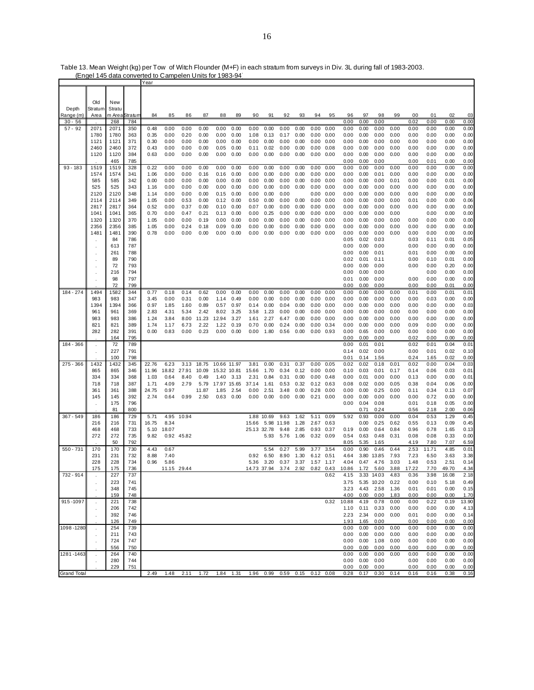|                    |               |        |         | Year  |             |            |       |       |       |                                                                  |       |       |      |      |      |       |      |                 |      |       |       |       |              |
|--------------------|---------------|--------|---------|-------|-------------|------------|-------|-------|-------|------------------------------------------------------------------|-------|-------|------|------|------|-------|------|-----------------|------|-------|-------|-------|--------------|
|                    |               |        |         |       |             |            |       |       |       |                                                                  |       |       |      |      |      |       |      |                 |      |       |       |       |              |
|                    |               |        |         |       |             |            |       |       |       |                                                                  |       |       |      |      |      |       |      |                 |      |       |       |       |              |
|                    | Old           | New    |         |       |             |            |       |       |       |                                                                  |       |       |      |      |      |       |      |                 |      |       |       |       |              |
| Depth              | Stratum       | Stratu |         |       |             |            |       |       |       |                                                                  |       |       |      |      |      |       |      |                 |      |       |       |       |              |
| Range (m)          | Area          | m Area | Stratum | 84    | 85          | 86         | 87    | 88    | 89    | 90                                                               | 91    | 92    | 93   | 94   | 95   | 96    | 97   | 98              | 99   | 00    | 01    | 02    | 03           |
| $30 - 56$          |               | 268    | 784     |       |             |            |       |       |       |                                                                  |       |       |      |      |      | 0.00  | 0.00 | 0.00            |      | 0.02  | 0.00  | 0.00  | 0.00         |
| $57 - 92$          | 2071          | 2071   | 350     | 0.48  | 0.00        | 0.00       | 0.00  | 0.00  | 0.00  | 0.00                                                             | 0.00  | 0.00  | 0.00 | 0.00 | 0.00 | 0.00  | 0.00 | 0.00            | 0.00 | 0.00  | 0.00  | 0.00  | 0.00         |
|                    | 1780          | 1780   | 363     | 0.35  | 0.00        | 0.20       | 0.00  | 0.00  | 0.00  | 1.08                                                             | 0.13  | 0.17  | 0.00 | 0.00 | 0.00 | 0.00  | 0.00 | 0.00            | 0.00 | 0.00  | 0.00  | 0.00  | 0.00         |
|                    | 1121          | 1121   | 371     | 0.30  | 0.00        | 0.00       | 0.00  | 0.00  | 0.00  | 0.00                                                             | 0.00  | 0.00  | 0.00 | 0.00 | 0.00 | 0.00  | 0.00 | 0.00            | 0.00 | 0.00  | 0.00  | 0.00  | 0.00         |
|                    | 2460          | 2460   | 372     | 0.43  | 0.00        | 0.00       | 0.00  | 0.05  | 0.00  | 0.11                                                             | 0.02  | 0.00  | 0.00 | 0.00 | 0.08 | 0.00  | 0.00 | 0.00            | 0.00 | 0.00  | 0.00  | 0.00  | 0.00         |
|                    | 1120          | 1120   | 384     | 0.63  | 0.00        | 0.00       | 0.00  | 0.00  | 0.00  | 0.00                                                             | 0.00  | 0.00  | 0.00 | 0.00 | 0.00 | 0.00  | 0.00 | 0.00            | 0.00 | 0.00  | 0.00  | 0.00  | 0.00         |
|                    |               | 465    | 785     |       |             |            |       |       |       |                                                                  |       |       |      |      |      | 0.00  | 0.00 | 0.00            |      | 0.00  | 0.01  | 0.00  | 0.00         |
| $93 - 183$         | 1519          | 1519   | 328     | 0.22  | 0.00        | 0.00       | 0.00  | 0.00  | 0.00  | 0.00                                                             | 0.00  | 0.00  | 0.00 | 0.00 | 0.00 | 0.00  | 0.00 | 0.00            | 0.00 | 0.00  | 0.00  | 0.00  | 0.00         |
|                    | 1574          | 1574   | 341     | 1.06  | 0.00        | 0.00       | 0.16  | 0.16  | 0.00  | 0.00                                                             | 0.00  | 0.00  | 0.00 | 0.00 | 0.00 | 0.00  | 0.00 | 0.01            | 0.00 | 0.00  | 0.00  | 0.00  | 0.00         |
|                    | 585           | 585    | 342     | 0.00  | 0.00        | 0.00       | 0.00  | 0.00  | 0.00  | 0.00                                                             | 0.00  | 0.00  | 0.00 | 0.00 | 0.00 | 0.00  | 0.00 | 0.00            | 0.01 | 0.00  | 0.00  | 0.01  | 0.00         |
|                    | 525           | 525    | 343     | 1.16  | 0.00        | 0.00       | 0.00  | 0.00  | 0.00  | 0.00                                                             | 0.00  | 0.00  | 0.00 | 0.00 | 0.00 | 0.00  | 0.00 | 0.00            | 0.00 | 0.00  | 0.00  | 0.00  | 0.00         |
|                    | 2120          | 2120   | 348     | 1.14  | 0.00        | 0.00       | 0.00  | 0.15  | 0.00  | 0.00                                                             | 0.00  | 0.00  |      | 0.00 | 0.00 | 0.00  | 0.00 | 0.00            | 0.00 | 0.00  | 0.00  | 0.00  | 0.00         |
|                    | 2114          | 2114   | 349     | 1.05  | 0.00        | 0.53       | 0.00  | 0.12  | 0.00  | 0.50                                                             | 0.00  | 0.00  | 0.00 | 0.00 | 0.00 | 0.00  | 0.00 | 0.00            | 0.00 | 0.01  | 0.00  | 0.00  | 0.06         |
|                    | 2817          | 2817   | 364     | 0.52  | 0.00        | 0.37       | 0.00  | 0.10  | 0.00  | 0.07                                                             | 0.00  | 0.00  | 0.00 | 0.00 | 0.00 | 0.00  | 0.00 | 0.00            | 0.00 | 0.00  | 0.00  | 0.00  | 0.00         |
|                    | 1041          | 1041   | 365     | 0.70  | 0.00        | 0.47       | 0.21  | 0.13  | 0.00  | 0.00                                                             | 0.25  | 0.00  | 0.00 | 0.00 | 0.00 | 0.00  | 0.00 | 0.00            | 0.00 |       | 0.00  | 0.00  | 0.00         |
|                    | 1320          |        |         |       |             |            |       |       |       |                                                                  |       |       |      |      |      |       |      | 0.00            |      |       |       |       |              |
|                    |               | 1320   | 370     | 1.05  | 0.00        | 0.00       | 0.19  | 0.00  | 0.00  | 0.00                                                             | 0.00  | 0.00  | 0.00 | 0.00 | 0.00 | 0.00  | 0.00 |                 | 0.00 | 0.00  | 0.00  | 0.00  | 0.00         |
|                    | 2356          | 2356   | 385     | 1.05  | 0.00        | 0.24       | 0.18  | 0.09  | 0.00  | 0.00                                                             | 0.00  | 0.00  | 0.00 | 0.00 | 0.00 | 0.00  | 0.00 | 0.00            | 0.00 | 0.00  | 0.00  | 0.00  | 0.00         |
|                    | 1481          | 1481   | 390     | 0.78  | 0.00        | 0.00       | 0.00  | 0.00  | 0.00  | 0.00                                                             | 0.00  | 0.00  | 0.00 | 0.00 | 0.00 | 0.00  | 0.00 | 0.00            | 0.00 | 0.00  | 0.00  | 0.00  | 0.00         |
|                    |               | 84     | 786     |       |             |            |       |       |       |                                                                  |       |       |      |      |      | 0.05  | 0.02 | 0.03            |      | 0.03  | 0.11  | 0.01  | 0.05         |
|                    |               | 613    | 787     |       |             |            |       |       |       |                                                                  |       |       |      |      |      | 0.00  | 0.00 | 0.00            |      | 0.00  | 0.00  | 0.00  | 0.00         |
|                    |               | 261    | 788     |       |             |            |       |       |       |                                                                  |       |       |      |      |      | 0.00  | 0.00 | 0.01            |      | 0.01  | 0.00  | 0.00  | 0.00         |
|                    |               | 89     | 790     |       |             |            |       |       |       |                                                                  |       |       |      |      |      | 0.02  | 0.01 | 0.11            |      | 0.00  | 0.10  | 0.01  | 0.00         |
|                    |               | 72     | 793     |       |             |            |       |       |       |                                                                  |       |       |      |      |      | 0.00  | 0.00 | 0.00            |      | 0.00  | 0.00  | 0.20  | 0.00         |
|                    |               | 216    | 794     |       |             |            |       |       |       |                                                                  |       |       |      |      |      | 0.00  | 0.00 | 0.00            |      |       | 0.00  | 0.00  | 0.00         |
|                    |               | 98     | 797     |       |             |            |       |       |       |                                                                  |       |       |      |      |      | 0.01  | 0.00 | 0.00            |      | 0.00  | 0.00  | 0.00  | 0.00         |
|                    |               | 72     | 799     |       |             |            |       |       |       |                                                                  |       |       |      |      |      | 0.00  | 0.00 | 0.00            |      | 0.00  | 0.00  | 0.01  | 0.00         |
| 184 - 274          | 1494          | 1582   | 344     | 0.77  | 0.18        | 0.14       | 0.62  | 0.00  | 0.00  | 0.00                                                             | 0.00  | 0.00  | 0.00 | 0.00 | 0.00 | 0.00  | 0.00 | 0.00            | 0.00 | 0.01  | 0.00  | 0.01  | 0.01         |
|                    | 983           | 983    | 347     | 3.45  | 0.00        | 0.31       | 0.00  | 1.14  | 0.49  | 0.00                                                             | 0.00  | 0.00  | 0.00 | 0.00 | 0.00 | 0.00  | 0.00 | 0.00            | 0.00 | 0.00  | 0.03  | 0.00  | 0.00         |
|                    | 1394          | 1394   | 366     | 0.97  | 1.85        | 1.60       | 0.89  | 0.57  | 0.97  | 0.14                                                             | 0.00  | 0.04  | 0.00 | 0.00 | 0.00 | 0.00  | 0.00 | 0.00            | 0.00 | 0.00  | 0.00  | 0.00  | 0.03         |
|                    | 961           | 961    | 369     | 2.83  | 4.31        | 5.34       | 2.42  | 8.02  | 3.25  | 3.58                                                             | 1.23  | 0.00  | 0.00 | 0.00 | 0.00 | 0.00  | 0.00 | 0.00            | 0.00 | 0.00  | 0.00  | 0.00  | 0.00         |
|                    | 983           | 983    | 386     | 1.24  | 3.84        | 8.00       | 11.23 | 12.94 | 3.27  | 1.61                                                             | 2.27  | 6.47  | 0.00 | 0.00 | 0.00 | 0.00  | 0.00 | 0.00            | 0.00 | 0.00  | 0.00  | 0.00  | 0.00         |
|                    | 821           | 821    | 389     | 1.74  | 1.17        | 6.73       | 2.22  | 1.22  | 0.19  | 0.70                                                             | 0.00  | 0.24  | 0.00 | 0.00 | 0.34 | 0.00  | 0.00 | 0.00            | 0.00 | 0.09  | 0.00  | 0.00  | 0.00         |
|                    | 282           | 282    | 391     | 0.00  | 0.83        | 0.00       | 0.23  | 0.00  | 0.00  | 0.00                                                             | 1.80  | 0.56  | 0.00 | 0.00 | 0.93 | 0.00  | 0.65 | 0.00            | 0.00 | 0.00  | 0.00  | 0.00  | 0.00         |
|                    |               | 164    | 795     |       |             |            |       |       |       |                                                                  |       |       |      |      |      | 0.00  | 0.00 | 0.00            |      | 0.02  | 0.00  | 0.00  | 0.00         |
| 184 - 366          | $\mathcal{L}$ | 72     | 789     |       |             |            |       |       |       |                                                                  |       |       |      |      |      | 0.00  | 0.01 | 0.01            |      | 0.02  | 0.01  | 0.04  | 0.01         |
|                    | ÷.            | 227    | 791     |       |             |            |       |       |       |                                                                  |       |       |      |      |      | 0.14  | 0.02 | 0.00            |      | 0.00  | 0.01  | 0.02  | 0.10         |
|                    |               | 100    | 798     |       |             |            |       |       |       |                                                                  |       |       |      |      |      | 0.01  | 0.14 | 1.56            |      | 0.24  | 1.65  | 0.02  | 0.00         |
| $275 - 366$        | 1432          | 1432   | 345     | 22.76 | 6.23        | 3.13       | 18.75 | 10.66 | 11.97 | 3.81                                                             | 0.00  | 0.31  | 0.37 | 0.00 | 0.05 | 0.02  | 0.02 | 0.18            | 0.01 | 0.02  | 0.00  | 0.04  | 0.03         |
|                    | 865           | 865    | 346     | 11.96 | 18.82       | 27.91      | 10.09 | 15.32 | 10.81 | 15.66                                                            | 1.70  | 0.34  | 0.12 | 0.00 | 0.00 | 0.10  | 0.03 | 0.01            | 0.17 | 0.14  | 0.06  | 0.03  | 0.01         |
|                    | 334           | 334    | 368     | 1.03  | 0.64        | 8.40       | 0.49  | 1.40  | 3.13  | 2.31                                                             | 0.84  | 0.31  | 0.00 | 0.00 | 0.48 | 0.00  | 0.01 | 0.00            | 0.00 | 0.13  | 0.00  | 0.00  | 0.01         |
|                    | 718           | 718    | 387     | 1.71  | 4.09        | 2.79       | 5.79  | 17.97 | 15.65 | 37.14                                                            | 1.61  | 0.53  | 0.32 | 0.12 | 0.63 | 0.08  | 0.02 | 0.00            | 0.05 | 0.38  | 0.04  | 0.06  | 0.00         |
|                    | 361           | 361    | 388     | 24.75 | 0.97        |            | 11.87 | 1.85  | 2.54  | 0.00                                                             | 2.51  | 3.48  | 0.00 | 0.28 | 0.00 | 0.00  | 0.00 | 0.25            | 0.00 | 0.11  | 0.34  | 0.13  | 0.07         |
|                    | 145           | 145    | 392     | 2.74  | 0.64        | 0.99       | 2.50  | 0.63  | 0.00  | 0.00                                                             | 0.00  | 0.00  | 0.00 | 0.21 | 0.00 | 0.00  | 0.00 | 0.00            | 0.00 | 0.00  | 0.72  | 0.00  | 0.00         |
|                    |               | 175    | 796     |       |             |            |       |       |       |                                                                  |       |       |      |      |      | 0.00  | 0.04 | 0.08            |      | 0.01  | 0.18  | 0.05  | 0.00         |
|                    |               |        |         |       |             |            |       |       |       |                                                                  |       |       |      |      |      |       |      |                 |      |       |       |       |              |
|                    |               | 81     | 800     |       |             |            |       |       |       |                                                                  | 10.69 |       | 1.62 |      |      |       | 0.71 | 0.24            |      | 0.56  | 2.18  | 2.00  | 0.06<br>0.45 |
| 367 - 549          | 186           | 186    | 729     | 5.71  | 4.95        | 10.94      |       |       |       | 1.88                                                             |       | 9.63  |      | 5.11 | 0.09 | 5.92  | 0.93 | 0.00            | 0.00 | 0.04  | 0.53  | 1.29  |              |
|                    | 216           | 216    | 731     | 16.75 | 8.34        |            |       |       |       | 15.66                                                            | 5.98  | 11.98 | 1.28 | 2.67 | 0.63 |       | 0.00 | 0.25            | 0.62 | 0.55  | 0.13  | 0.09  | 0.45         |
|                    | 468           | 468    | 733     | 5.10  | 18.07       |            |       |       |       | 25.13 32.78                                                      |       | 9.48  | 2.85 | 0.93 | 0.37 | 0.19  | 0.00 | 0.64            | 0.84 | 0.96  | 0.78  | 1.65  | 0.13         |
|                    | 272           | 272    | 735     | 9.82  |             | 0.92 45.82 |       |       |       |                                                                  | 5.93  | 5.76  | 1.06 | 0.32 | 0.09 | 0.54  | 0.63 | 0.48            | 0.31 | 0.08  | 0.08  | 0.33  | 0.00         |
|                    |               | 50     | 792     |       |             |            |       |       |       |                                                                  |       |       |      |      |      | 8.05  | 5.35 | 1.65            |      | 4.19  | 7.80  | 7.07  | 6.59         |
| $550 - 731$        | 170           | 170    | 730     | 4.43  | 0.67        |            |       |       |       |                                                                  | 5.54  | 0.27  | 5.99 | 3.77 | 3.54 | 0.00  | 0.90 | 0.46            | 0.44 | 2.53  | 11.71 | 4.85  | 0.01         |
|                    | 231           | 231    | 732     | 8.88  | 7.40        |            |       |       |       | 0.92                                                             | 6.50  | 8.90  | 1.30 | 6.12 | 0.51 | 4.64  | 3.80 | 13.85           | 7.93 | 7.23  | 6.50  | 3.63  | 3.38         |
|                    | 228           | 228    | 734     | 0.96  | 5.86        |            |       |       |       | 5.36                                                             | 3.20  | 0.37  | 3.37 | 1.57 | 1.17 | 4.04  | 0.47 | 4.76            | 3.03 | 1.48  | 0.53  | 2.51  | 0.14         |
|                    | 175           | 175    | 736     |       | 11.15 29.44 |            |       |       |       | 14.73 37.94                                                      |       | 3.74  | 2.92 | 0.82 | 0.43 | 10.86 | 1.72 | 5.60            | 3.88 | 17.22 | 7.70  | 49.70 | 4.34         |
| 732 - 914          |               | 227    | 737     |       |             |            |       |       |       |                                                                  |       |       |      |      | 0.62 |       |      | 4.15 3.33 14.03 | 4.83 | 0.36  | 3.98  | 16.08 | 2.18         |
|                    |               | 223    | 741     |       |             |            |       |       |       |                                                                  |       |       |      |      |      | 3.75  |      | 5.35 10.20      | 0.22 | 0.00  | 0.10  | 5.18  | 0.49         |
|                    |               | 348    | 745     |       |             |            |       |       |       |                                                                  |       |       |      |      |      | 3.23  | 4.43 | 2.58            | 1.36 | 0.01  | 0.01  | 0.00  | 0.15         |
|                    |               | 159    | 748     |       |             |            |       |       |       |                                                                  |       |       |      |      |      | 4.00  | 0.00 | 0.00            | 1.83 | 0.00  | 0.00  | 0.00  | 1.70         |
| 915-1097           |               | 221    | 738     |       |             |            |       |       |       |                                                                  |       |       |      |      | 0.32 | 10.88 | 4.19 | 0.78            | 0.00 | 0.00  | 0.22  | 0.19  | 13.90        |
|                    |               | 206    | 742     |       |             |            |       |       |       |                                                                  |       |       |      |      |      | 1.10  | 0.11 | 0.33            | 0.00 | 0.00  | 0.00  | 0.00  | 4.13         |
|                    |               | 392    | 746     |       |             |            |       |       |       |                                                                  |       |       |      |      |      | 2.23  | 2.34 | 0.00 0.00       |      | 0.01  | 0.00  | 0.00  | 0.14         |
|                    |               | 126    | 749     |       |             |            |       |       |       |                                                                  |       |       |      |      |      | 1.93  | 1.65 | 0.00            |      | 0.00  | 0.00  | 0.00  | 0.00         |
| 1098-1280          |               | 254    | 739     |       |             |            |       |       |       |                                                                  |       |       |      |      |      | 0.00  | 0.00 | 0.00            | 0.00 | 0.00  | 0.00  | 0.00  | 0.00         |
|                    |               | 211    | 743     |       |             |            |       |       |       |                                                                  |       |       |      |      |      | 0.00  | 0.00 | 0.00            | 0.00 | 0.00  | 0.00  | 0.00  | 0.00         |
|                    |               | 724    | 747     |       |             |            |       |       |       |                                                                  |       |       |      |      |      | 0.00  | 0.00 | 1.08 0.00       |      | 0.00  | 0.00  | 0.00  | 0.00         |
|                    |               | 556    | 750     |       |             |            |       |       |       |                                                                  |       |       |      |      |      | 0.00  | 0.00 | 0.00            | 0.00 | 0.00  | 0.00  | 0.00  | 0.00         |
| 1281-1463          |               | 264    | 740     |       |             |            |       |       |       |                                                                  |       |       |      |      |      | 0.00  | 0.00 | 0.00 0.00       |      | 0.00  | 0.00  | 0.00  | 0.00         |
|                    |               | 280    | 744     |       |             |            |       |       |       |                                                                  |       |       |      |      |      | 0.00  | 0.00 | 0.00            |      | 0.00  | 0.00  | 0.00  | 0.00         |
|                    |               | 229    | 751     |       |             |            |       |       |       |                                                                  |       |       |      |      |      | 0.00  | 0.00 | 0.00            |      | 0.00  | 0.00  | 0.00  | 0.00         |
| <b>Grand Total</b> |               |        |         | 2.49  |             |            |       |       |       | 1.48  2.11  1.72  1.84  1.31  1.96  0.99  0.59  0.15  0.12  0.08 |       |       |      |      |      | 0.28  | 0.17 | $0.30$ $0.14$   |      | 0.16  | 0.16  | 0.38  | 0.16         |
|                    |               |        |         |       |             |            |       |       |       |                                                                  |       |       |      |      |      |       |      |                 |      |       |       |       |              |

Table 13. Mean Weight (kg) per Tow of Witch Flounder (M+F) in each stratum from surveys in Div. 3L during fall of 1983-2003. (Engel 145 data converted to Campelen Units for 1983-94)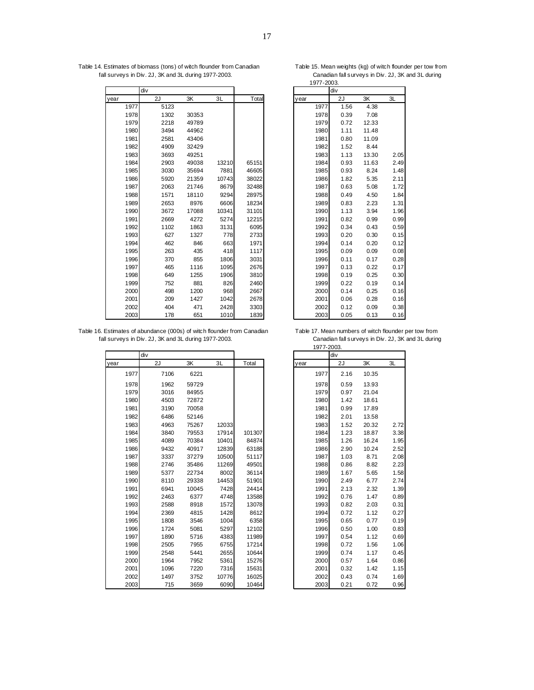Table 14. Estimates of biomass (tons) of witch flounder from Canadian Table 15. Mean weights (kg) of witch flounder per tow from<br>fall surveys in Div. 2J, 3K and 3L during 1977-2003. Canadian fall surveys in Div. 2J, 3K and fall surveys in Div. 2J,  $3K$  and 3L during 1977-2003.

|      |      |      |       |       |       | $1311 - 2000$ . |      |      |       |      |  |  |  |
|------|------|------|-------|-------|-------|-----------------|------|------|-------|------|--|--|--|
|      |      | div  |       |       |       |                 |      | div  |       |      |  |  |  |
| year |      | 2J   | 3K    | 3L    | Total |                 | year | 2J   | 3K    | 3L   |  |  |  |
|      | 1977 | 5123 |       |       |       |                 | 1977 | 1.56 | 4.38  |      |  |  |  |
|      | 1978 | 1302 | 30353 |       |       |                 | 1978 | 0.39 | 7.08  |      |  |  |  |
|      | 1979 | 2218 | 49789 |       |       |                 | 1979 | 0.72 | 12.33 |      |  |  |  |
|      | 1980 | 3494 | 44962 |       |       |                 | 1980 | 1.11 | 11.48 |      |  |  |  |
|      | 1981 | 2581 | 43406 |       |       |                 | 1981 | 0.80 | 11.09 |      |  |  |  |
|      | 1982 | 4909 | 32429 |       |       |                 | 1982 | 1.52 | 8.44  |      |  |  |  |
|      | 1983 | 3693 | 49251 |       |       |                 | 1983 | 1.13 | 13.30 | 2.05 |  |  |  |
|      | 1984 | 2903 | 49038 | 13210 | 65151 |                 | 1984 | 0.93 | 11.63 | 2.49 |  |  |  |
|      | 1985 | 3030 | 35694 | 7881  | 46605 |                 | 1985 | 0.93 | 8.24  | 1.48 |  |  |  |
|      | 1986 | 5920 | 21359 | 10743 | 38022 |                 | 1986 | 1.82 | 5.35  | 2.11 |  |  |  |
|      | 1987 | 2063 | 21746 | 8679  | 32488 |                 | 1987 | 0.63 | 5.08  | 1.72 |  |  |  |
|      | 1988 | 1571 | 18110 | 9294  | 28975 |                 | 1988 | 0.49 | 4.50  | 1.84 |  |  |  |
|      | 1989 | 2653 | 8976  | 6606  | 18234 |                 | 1989 | 0.83 | 2.23  | 1.31 |  |  |  |
|      | 1990 | 3672 | 17088 | 10341 | 31101 |                 | 1990 | 1.13 | 3.94  | 1.96 |  |  |  |
|      | 1991 | 2669 | 4272  | 5274  | 12215 |                 | 1991 | 0.82 | 0.99  | 0.99 |  |  |  |
|      | 1992 | 1102 | 1863  | 3131  | 6095  |                 | 1992 | 0.34 | 0.43  | 0.59 |  |  |  |
|      | 1993 | 627  | 1327  | 778   | 2733  |                 | 1993 | 0.20 | 0.30  | 0.15 |  |  |  |
|      | 1994 | 462  | 846   | 663   | 1971  |                 | 1994 | 0.14 | 0.20  | 0.12 |  |  |  |
|      | 1995 | 263  | 435   | 418   | 1117  |                 | 1995 | 0.09 | 0.09  | 0.08 |  |  |  |
|      | 1996 | 370  | 855   | 1806  | 3031  |                 | 1996 | 0.11 | 0.17  | 0.28 |  |  |  |
|      | 1997 | 465  | 1116  | 1095  | 2676  |                 | 1997 | 0.13 | 0.22  | 0.17 |  |  |  |
|      | 1998 | 649  | 1255  | 1906  | 3810  |                 | 1998 | 0.19 | 0.25  | 0.30 |  |  |  |
|      | 1999 | 752  | 881   | 826   | 2460  |                 | 1999 | 0.22 | 0.19  | 0.14 |  |  |  |
|      | 2000 | 498  | 1200  | 968   | 2667  |                 | 2000 | 0.14 | 0.25  | 0.16 |  |  |  |
|      | 2001 | 209  | 1427  | 1042  | 2678  |                 | 2001 | 0.06 | 0.28  | 0.16 |  |  |  |
|      | 2002 | 404  | 471   | 2428  | 3303  |                 | 2002 | 0.12 | 0.09  | 0.38 |  |  |  |
|      | 2003 | 178  | 651   | 1010  | 1839  |                 | 2003 | 0.05 | 0.13  | 0.16 |  |  |  |

|      | div       |       |      |
|------|-----------|-------|------|
| year | <u>2J</u> | 3K    | 3L   |
| 1977 | 1.56      | 4.38  |      |
| 1978 | 0.39      | 7.08  |      |
| 1979 | 0.72      | 12.33 |      |
| 1980 | 1.11      | 11.48 |      |
| 1981 | 0.80      | 11.09 |      |
| 1982 | 1.52      | 8.44  |      |
| 1983 | 1.13      | 13.30 | 2.05 |
| 1984 | 0.93      | 11.63 | 2.49 |
| 1985 | 0.93      | 8.24  | 1.48 |
| 1986 | 1.82      | 5.35  | 2.11 |
| 1987 | 0.63      | 5.08  | 1.72 |
| 1988 | 0.49      | 4.50  | 1.84 |
| 1989 | 0.83      | 2.23  | 1.31 |
| 1990 | 1.13      | 3.94  | 1.96 |
| 1991 | 0.82      | 0.99  | 0.99 |
| 1992 | 0.34      | 0.43  | 0.59 |
| 1993 | 0.20      | 0.30  | 0.15 |
| 1994 | 0.14      | 0.20  | 0.12 |
| 1995 | 0.09      | 0.09  | 0.08 |
| 1996 | 0.11      | 0.17  | 0.28 |
| 1997 | 0.13      | 0.22  | 0.17 |
| 1998 | 0.19      | 0.25  | 0.30 |
| 1999 | 0.22      | 0.19  | 0.14 |
| 2000 | 0.14      | 0.25  | 0.16 |
| 2001 | 0.06      | 0.28  | 0.16 |
| 2002 | 0.12      | 0.09  | 0.38 |
| 2003 | 0.05      | 0.13  | 0.16 |

Table 16. Estimates of abundance (000s) of witch flounder from Canadian Table 17. Mean numbers of witch flounder per tow from<br>fall surveys in Div. 2J, 3K and 3L during 1977-2003. Canadian fall surveys in Div. 2J, 3K and 3L fall surveys in Div. 2J, 3K and 3L during 1977-2003.

|      |      |       |       |        | <br>$\sim\!\!\sim\!\!\sim\!\!\sim$ |      |       |      |  |
|------|------|-------|-------|--------|------------------------------------|------|-------|------|--|
|      | div  |       |       |        |                                    | div  |       |      |  |
| year | 2J   | 3K    | 3L    | Total  | year                               | 2J   | 3K    | 3L   |  |
| 1977 | 7106 | 6221  |       |        | 1977                               | 2.16 | 10.35 |      |  |
| 1978 | 1962 | 59729 |       |        | 1978                               | 0.59 | 13.93 |      |  |
| 1979 | 3016 | 84955 |       |        | 1979                               | 0.97 | 21.04 |      |  |
| 1980 | 4503 | 72872 |       |        | 1980                               | 1.42 | 18.61 |      |  |
| 1981 | 3190 | 70058 |       |        | 1981                               | 0.99 | 17.89 |      |  |
| 1982 | 6486 | 52146 |       |        | 1982                               | 2.01 | 13.58 |      |  |
| 1983 | 4963 | 75267 | 12033 |        | 1983                               | 1.52 | 20.32 | 2.72 |  |
| 1984 | 3840 | 79553 | 17914 | 101307 | 1984                               | 1.23 | 18.87 | 3.38 |  |
| 1985 | 4089 | 70384 | 10401 | 84874  | 1985                               | 1.26 | 16.24 | 1.95 |  |
| 1986 | 9432 | 40917 | 12839 | 63188  | 1986                               | 2.90 | 10.24 | 2.52 |  |
| 1987 | 3337 | 37279 | 10500 | 51117  | 1987                               | 1.03 | 8.71  | 2.08 |  |
| 1988 | 2746 | 35486 | 11269 | 49501  | 1988                               | 0.86 | 8.82  | 2.23 |  |
| 1989 | 5377 | 22734 | 8002  | 36114  | 1989                               | 1.67 | 5.65  | 1.58 |  |
| 1990 | 8110 | 29338 | 14453 | 51901  | 1990                               | 2.49 | 6.77  | 2.74 |  |
| 1991 | 6941 | 10045 | 7428  | 24414  | 1991                               | 2.13 | 2.32  | 1.39 |  |
| 1992 | 2463 | 6377  | 4748  | 13588  | 1992                               | 0.76 | 1.47  | 0.89 |  |
| 1993 | 2588 | 8918  | 1572  | 13078  | 1993                               | 0.82 | 2.03  | 0.31 |  |
| 1994 | 2369 | 4815  | 1428  | 8612   | 1994                               | 0.72 | 1.12  | 0.27 |  |
| 1995 | 1808 | 3546  | 1004  | 6358   | 1995                               | 0.65 | 0.77  | 0.19 |  |
| 1996 | 1724 | 5081  | 5297  | 12102  | 1996                               | 0.50 | 1.00  | 0.83 |  |
| 1997 | 1890 | 5716  | 4383  | 11989  | 1997                               | 0.54 | 1.12  | 0.69 |  |
| 1998 | 2505 | 7955  | 6755  | 17214  | 1998                               | 0.72 | 1.56  | 1.06 |  |
| 1999 | 2548 | 5441  | 2655  | 10644  | 1999                               | 0.74 | 1.17  | 0.45 |  |
| 2000 | 1964 | 7952  | 5361  | 15276  | 2000                               | 0.57 | 1.64  | 0.86 |  |
| 2001 | 1096 | 7220  | 7316  | 15631  | 2001                               | 0.32 | 1.42  | 1.15 |  |
| 2002 | 1497 | 3752  | 10776 | 16025  | 2002                               | 0.43 | 0.74  | 1.69 |  |
| 2003 | 715  | 3659  | 6090  | 10464  | 2003                               | 0.21 | 0.72  | 0.96 |  |

|      | 1977-2003. |       |           |
|------|------------|-------|-----------|
|      | div        |       |           |
| year | 2J         | 3K    | <u>3L</u> |
| 1977 | 2.16       | 10.35 |           |
| 1978 | 0.59       | 13.93 |           |
| 1979 | 0.97       | 21.04 |           |
| 1980 | 1.42       | 18.61 |           |
| 1981 | 0.99       | 17.89 |           |
| 1982 | 2.01       | 13.58 |           |
| 1983 | 1.52       | 20.32 | 2.72      |
| 1984 | 1.23       | 18.87 | 3.38      |
| 1985 | 1.26       | 16.24 | 1.95      |
| 1986 | 2.90       | 10.24 | 2.52      |
| 1987 | 1.03       | 8.71  | 2.08      |
| 1988 | 0.86       | 8.82  | 2.23      |
| 1989 | 1.67       | 5.65  | 1.58      |
| 1990 | 2.49       | 6.77  | 2.74      |
| 1991 | 2.13       | 2.32  | 1.39      |
| 1992 | 0.76       | 1.47  | 0.89      |
| 1993 | 0.82       | 2.03  | 0.31      |
| 1994 | 0.72       | 1.12  | 0.27      |
| 1995 | 0.65       | 0.77  | 0.19      |
| 1996 | 0.50       | 1.00  | 0.83      |
| 1997 | 0.54       | 1.12  | 0.69      |
| 1998 | 0.72       | 1.56  | 1.06      |
| 1999 | 0.74       | 1.17  | 0.45      |
| 2000 | 0.57       | 1.64  | 0.86      |
| 2001 | 0.32       | 1.42  | 1.15      |
| 2002 | 0.43       | 0.74  | 1.69      |
| 2003 | 0.21       | 0.72  | 0.96      |

1977-2003.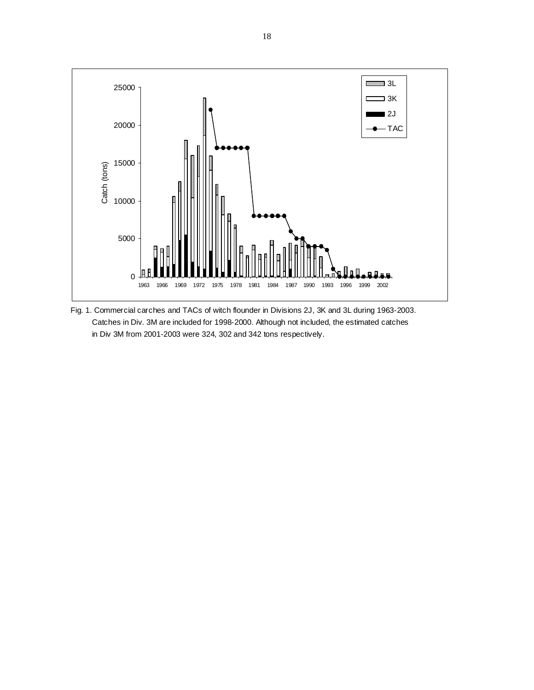

Fig. 1. Commercial carches and TACs of witch flounder in Divisions 2J, 3K and 3L during 1963-2003. Catches in Div. 3M are included for 1998-2000. Although not included, the estimated catches in Div 3M from 2001-2003 were 324, 302 and 342 tons respectively.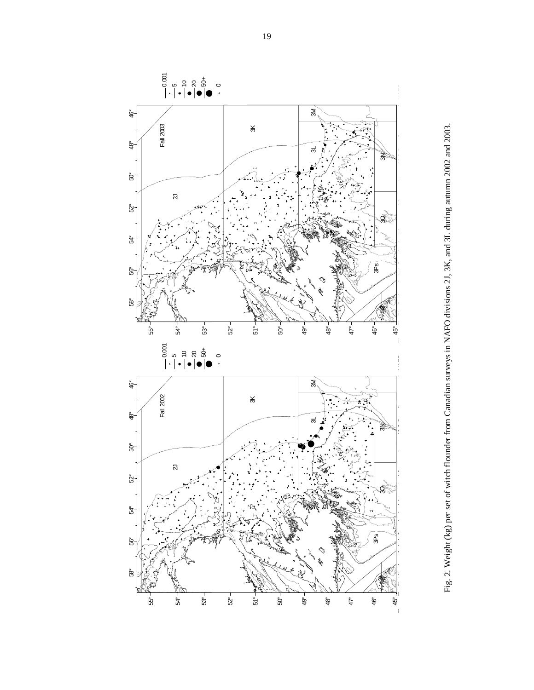

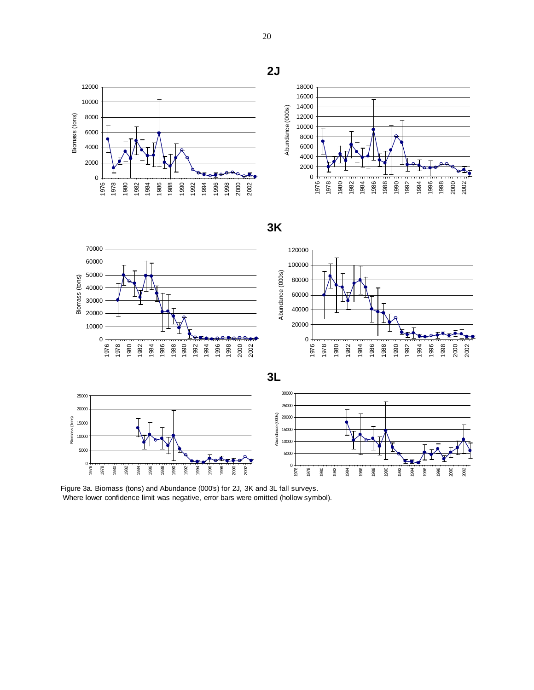







Figure 3a. Biomass (tons) and Abundance (000's) for 2J, 3K and 3L fall surveys. Where lower confidence limit was negative, error bars were omitted (hollow symbol).

**2J**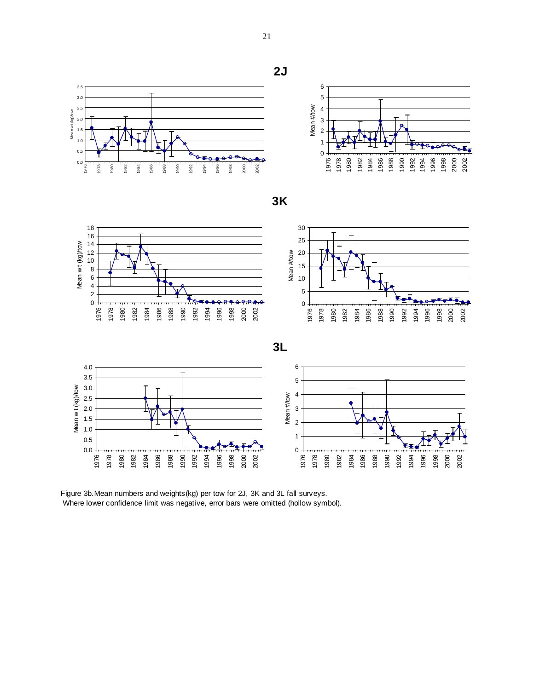



**3K**





Figure 3b.Mean numbers and weights(kg) per tow for 2J, 3K and 3L fall surveys. Where lower confidence limit was negative, error bars were omitted (hollow symbol).